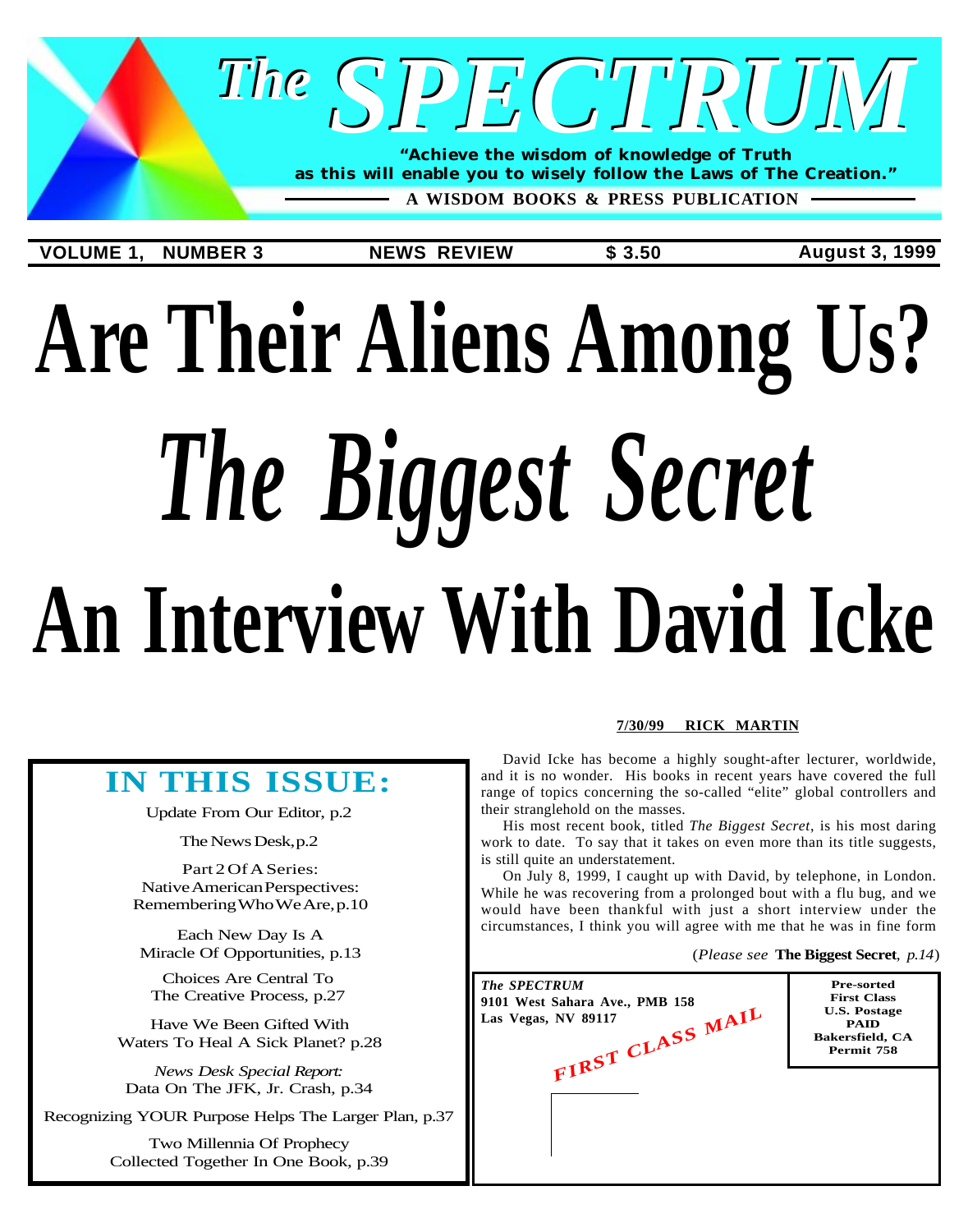

# **Are Their Aliens Among Us?** *The Biggest Secret* **An Interview With David Icke**

### **IN THIS ISSUE:**

[Update From Our Editor, p.2](#page-1-0)

[The News Desk, p.2](#page-1-0)

Part 2 Of A Series: Native American Perspectives: [Remembering Who We Are, p.10](#page-9-0)

[Miracle Of Opportunities, p.13](#page-12-0)

Choices Are Central To [The Creative Process, p.27](#page-26-0)

Have We Been Gifted With [Waters To Heal A Sick Planet? p.28](#page-27-0)

*News Desk Special Report:* [Data On The JFK, Jr. Crash, p.34](#page-33-0)

[Recognizing YOUR Purpose Helps The Larger Plan, p.37](#page-36-0)

Two Millennia Of Prophecy [Collected Together In One Book, p.39](#page-38-0)

#### **7/30/99 RICK MARTIN**

David Icke has become a highly sought-after lecturer, worldwide, and it is no wonder. His books in recent years have covered the full range of topics concerning the so-called "elite" global controllers and their stranglehold on the masses.

His most recent book, titled *The Biggest Secret*, is his most daring work to date. To say that it takes on even more than its title suggests, is still quite an understatement.

On July 8, 1999, I caught up with David, by telephone, in London. While he was recovering from a prolonged bout with a flu bug, and we would have been thankful with just a short interview under the Each New Day Is A circumstances, I think you will agree with me that he was in fine form

(*Please see* **[The Biggest Secret](#page-13-0)**, *p.14*)

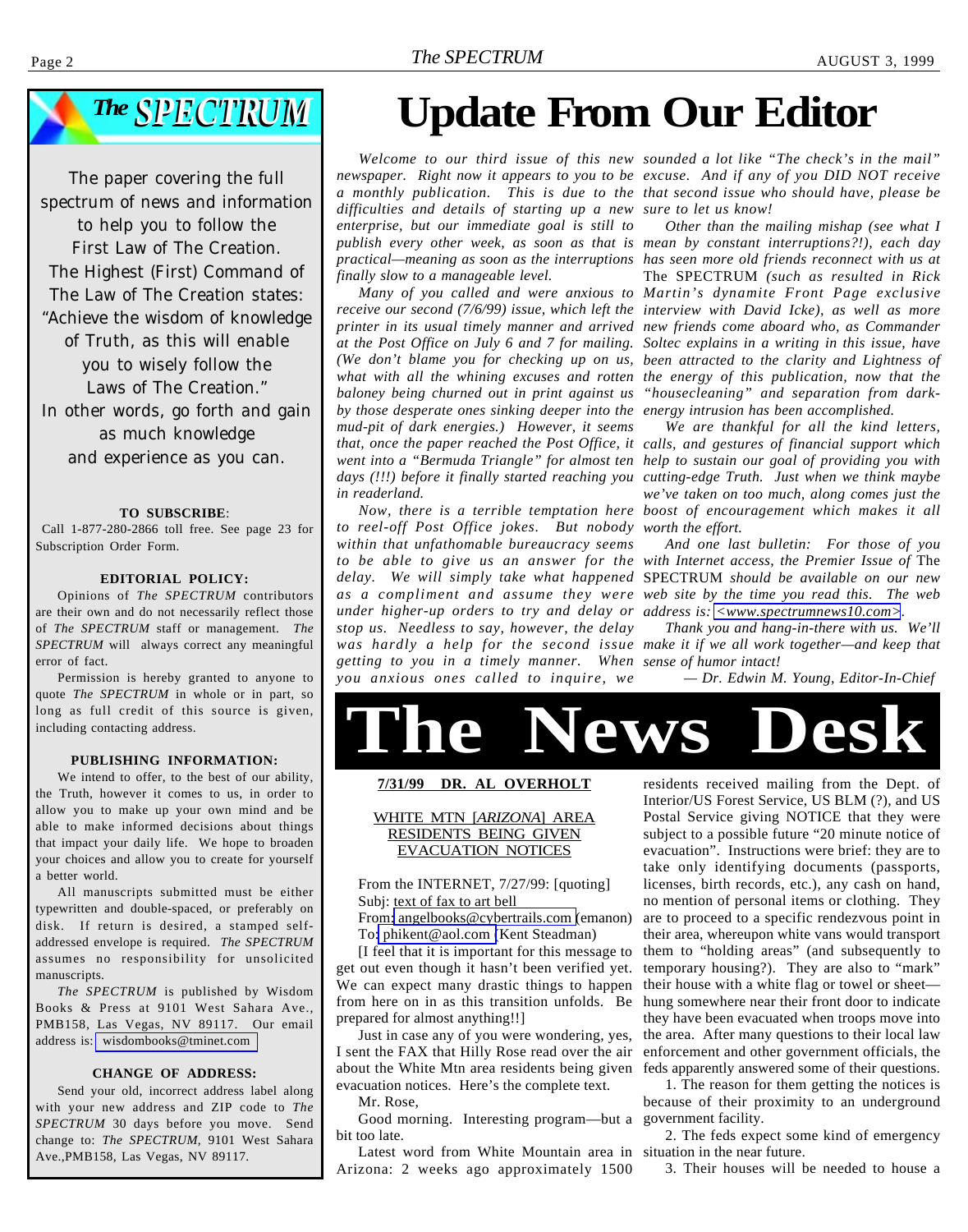#### <span id="page-1-0"></span>Page 2 **The SPECTRUM** AUGUST 3, 1999

### *The SPECTRUM*

The paper covering the full spectrum of news and information to help you to follow the First Law of The Creation. The Highest (First) Command of The Law of The Creation states: "Achieve the wisdom of knowledge of Truth, as this will enable you to wisely follow the Laws of The Creation." In other words, go forth and gain as much knowledge and experience as you can.

#### **TO SUBSCRIBE**:

 Call 1-877-280-2866 toll free. See page 23 for Subscription Order Form.

#### **EDITORIAL POLICY:**

Opinions of *The SPECTRUM* contributors are their own and do not necessarily reflect those of *The SPECTRUM* staff or management. *The SPECTRUM* will always correct any meaningful error of fact.

Permission is hereby granted to anyone to quote *The SPECTRUM* in whole or in part, so long as full credit of this source is given, including contacting address.

#### **PUBLISHING INFORMATION:**

We intend to offer, to the best of our ability, the Truth, however it comes to us, in order to allow you to make up your own mind and be able to make informed decisions about things that impact your daily life. We hope to broaden your choices and allow you to create for yourself a better world.

All manuscripts submitted must be either typewritten and double-spaced, or preferably on disk. If return is desired, a stamped selfaddressed envelope is required. *The SPECTRUM* assumes no responsibility for unsolicited manuscripts.

*The SPECTRUM* is published by Wisdom Books & Press at 9101 West Sahara Ave., PMB158, Las Vegas, NV 89117. Our email address is: [wisdombooks@tminet.com](mailto:wisdombooks@tminet.com)

#### **CHANGE OF ADDRESS:**

Send your old, incorrect address label along with your new address and ZIP code to *The SPECTRUM* 30 days before you move. Send change to: *The SPECTRUM*, 9101 West Sahara Ave.,PMB158, Las Vegas, NV 89117.

## **Update From Our Editor**

*difficulties and details of starting up a new sure to let us know! enterprise, but our immediate goal is still to publish every other week, as soon as that is mean by constant interruptions?!), each day practical—meaning as soon as the interruptions has seen more old friends reconnect with us at finally slow to a manageable level.*

*receive our second (7/6/99) issue, which left the interview with David Icke), as well as more printer in its usual timely manner and arrived new friends come aboard who, as Commander at the Post Office on July 6 and 7 for mailing. Soltec explains in a writing in this issue, have (We don't blame you for checking up on us, been attracted to the clarity and Lightness of what with all the whining excuses and rotten the energy of this publication, now that the baloney being churned out in print against us "housecleaning" and separation from darkby those desperate ones sinking deeper into the energy intrusion has been accomplished. mud-pit of dark energies.) However, it seems that, once the paper reached the Post Office, it calls, and gestures of financial support which went into a "Bermuda Triangle" for almost ten help to sustain our goal of providing you with days (!!!) before it finally started reaching you cutting-edge Truth. Just when we think maybe in readerland.*

*to reel-off Post Office jokes. But nobody worth the effort. within that unfathomable bureaucracy seems to be able to give us an answer for the with Internet access, the Premier Issue of* The *delay. We will simply take what happened* SPECTRUM *should be available on our new as a compliment and assume they were web site by the time you read this. The web under higher-up orders to try and delay or address is: [<www.spectrumnews10.com>](http://www.spectrumnews10.com). stop us. Needless to say, however, the delay getting to you in a timely manner. When sense of humor intact! you anxious ones called to inquire, we*

*Welcome to our third issue of this new sounded a lot like "The check's in the mail" newspaper. Right now it appears to you to be excuse. And if any of you DID NOT receive a monthly publication. This is due to the that second issue who should have, please be*

*Many of you called and were anxious to Martin's dynamite Front Page exclusive Other than the mailing mishap (see what I* The SPECTRUM *(such as resulted in Rick*

*Now, there is a terrible temptation here boost of encouragement which makes it all We are thankful for all the kind letters, we've taken on too much, along comes just the*

*And one last bulletin: For those of you*

*was hardly a help for the second issue make it if we all work together—and keep that Thank you and hang-in-there with us. We'll*

 *— Dr. Edwin M. Young, Editor-In-Chief*



#### **7/31/99 DR. AL OVERHOLT**

#### WHITE MTN [*ARIZONA*] AREA RESIDENTS BEING GIVEN EVACUATION NOTICES

From the INTERNET, 7/27/99: [quoting] Subj: text of fax to art bell

From: [angelbooks@cybertrails.com](mailto:angelbooks@cybertrails.com) (emanon) To[: phikent@aol.com \(](mailto:phikent@aol.com)Kent Steadman)

[I feel that it is important for this message to get out even though it hasn't been verified yet. We can expect many drastic things to happen from here on in as this transition unfolds. Be prepared for almost anything!!]

Just in case any of you were wondering, yes, I sent the FAX that Hilly Rose read over the air about the White Mtn area residents being given evacuation notices. Here's the complete text.

Mr. Rose,

Good morning. Interesting program—but a government facility. bit too late.

Latest word from White Mountain area in situation in the near future. Arizona: 2 weeks ago approximately 1500

residents received mailing from the Dept. of Interior/US Forest Service, US BLM (?), and US Postal Service giving NOTICE that they were subject to a possible future "20 minute notice of evacuation". Instructions were brief: they are to take only identifying documents (passports, licenses, birth records, etc.), any cash on hand, no mention of personal items or clothing. They are to proceed to a specific rendezvous point in their area, whereupon white vans would transport them to "holding areas" (and subsequently to temporary housing?). They are also to "mark" their house with a white flag or towel or sheet hung somewhere near their front door to indicate they have been evacuated when troops move into the area. After many questions to their local law enforcement and other government officials, the feds apparently answered some of their questions.

1. The reason for them getting the notices is because of their proximity to an underground

2. The feds expect some kind of emergency

3. Their houses will be needed to house a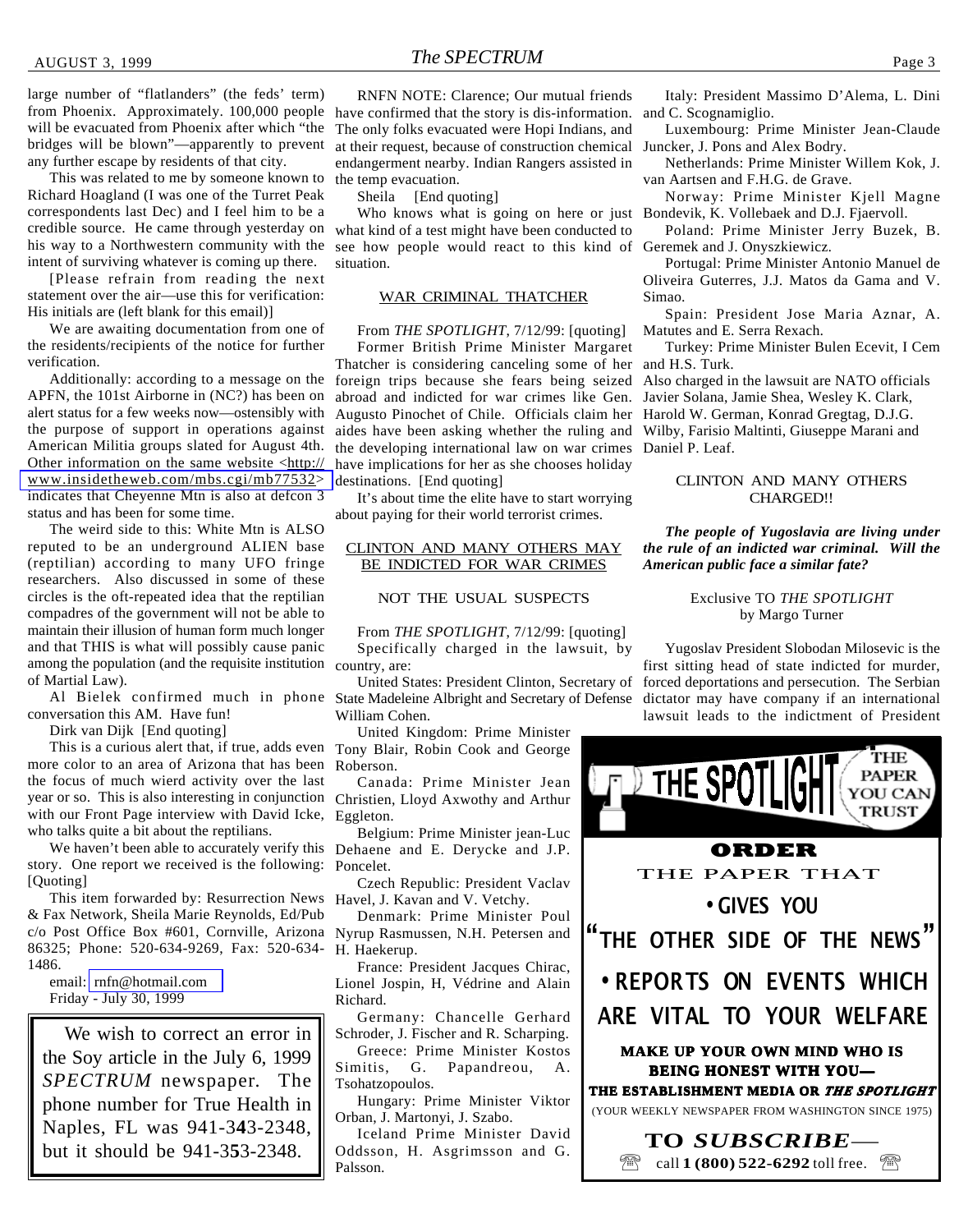large number of "flatlanders" (the feds' term) from Phoenix. Approximately. 100,000 people have confirmed that the story is dis-information. will be evacuated from Phoenix after which "the bridges will be blown"—apparently to prevent any further escape by residents of that city.

This was related to me by someone known to Richard Hoagland (I was one of the Turret Peak correspondents last Dec) and I feel him to be a credible source. He came through yesterday on his way to a Northwestern community with the intent of surviving whatever is coming up there.

[Please refrain from reading the next statement over the air—use this for verification: His initials are (left blank for this email)]

We are awaiting documentation from one of the residents/recipients of the notice for further verification.

APFN, the 101st Airborne in (NC?) has been on alert status for a few weeks now—ostensibly with the purpose of support in operations against American Militia groups slated for August 4th. Other information on the same website <http:// [www.insidetheweb.com/mbs.cgi/mb77532>](http://www.insidetheweb.com/mbs.cgi/mb77532) indicates that Cheyenne Mtn is also at defcon 3 status and has been for some time.

The weird side to this: White Mtn is ALSO reputed to be an underground ALIEN base (reptilian) according to many UFO fringe researchers. Also discussed in some of these circles is the oft-repeated idea that the reptilian compadres of the government will not be able to maintain their illusion of human form much longer and that THIS is what will possibly cause panic among the population (and the requisite institution country, are: of Martial Law).

conversation this AM. Have fun!

Dirk van Dijk [End quoting]

This is a curious alert that, if true, adds even Tony Blair, Robin Cook and George more color to an area of Arizona that has been the focus of much wierd activity over the last year or so. This is also interesting in conjunction Christien, Lloyd Axwothy and Arthur with our Front Page interview with David Icke, Eggleton. who talks quite a bit about the reptilians.

We haven't been able to accurately verify this Dehaene and E. Derycke and J.P. story. One report we received is the following: Poncelet. [Quoting]

This item forwarded by: Resurrection News Havel, J. Kavan and V. Vetchy. & Fax Network, Sheila Marie Reynolds, Ed/Pub c/o Post Office Box #601, Cornville, Arizona Nyrup Rasmussen, N.H. Petersen and 86325; Phone: 520-634-9269, Fax: 520-634- 1486.

email: [rnfn@hotmail.com](mailto:rnfn@hotmail.com) Friday - July 30, 1999

We wish to correct an error in the Soy article in the July 6, 1999 *SPECTRUM* newspaper. The phone number for True Health in Naples, FL was 941-3**4**3-2348, but it should be 941-3**5**3-2348.

RNFN NOTE: Clarence; Our mutual friends The only folks evacuated were Hopi Indians, and at their request, because of construction chemical endangerment nearby. Indian Rangers assisted in the temp evacuation.

Sheila [End quoting]

Who knows what is going on here or just what kind of a test might have been conducted to see how people would react to this kind of Geremek and J. Onyszkiewicz. situation.

#### WAR CRIMINAL THATCHER

Additionally: according to a message on the foreign trips because she fears being seized Also charged in the lawsuit are NATO officials From *THE SPOTLIGHT*, 7/12/99: [quoting] Former British Prime Minister Margaret Thatcher is considering canceling some of her and H.S. Turk. abroad and indicted for war crimes like Gen. Javier Solana, Jamie Shea, Wesley K. Clark, Augusto Pinochet of Chile. Officials claim her Harold W. German, Konrad Gregtag, D.J.G. aides have been asking whether the ruling and the developing international law on war crimes have implications for her as she chooses holiday destinations. [End quoting]

> It's about time the elite have to start worrying about paying for their world terrorist crimes.

#### CLINTON AND MANY OTHERS MAY BE INDICTED FOR WAR CRIMES

NOT THE USUAL SUSPECTS

From *THE SPOTLIGHT*, 7/12/99: [quoting] Specifically charged in the lawsuit, by

United States: President Clinton, Secretary of

Al Bielek confirmed much in phone State Madeleine Albright and Secretary of Defense William Cohen.

United Kingdom: Prime Minister Roberson.

Canada: Prime Minister Jean

Belgium: Prime Minister jean-Luc

Czech Republic: President Vaclav

Denmark: Prime Minister Poul H. Haekerup.

France: President Jacques Chirac, Lionel Jospin, H, Védrine and Alain Richard.

Germany: Chancelle Gerhard Schroder, J. Fischer and R. Scharping.

Greece: Prime Minister Kostos Simitis, G. Papandreou, A. Tsohatzopoulos.

Hungary: Prime Minister Viktor Orban, J. Martonyi, J. Szabo.

Iceland Prime Minister David Oddsson, H. Asgrimsson and G. Palsson.

Italy: President Massimo D'Alema, L. Dini and C. Scognamiglio.

Luxembourg: Prime Minister Jean-Claude Juncker, J. Pons and Alex Bodry.

Netherlands: Prime Minister Willem Kok, J. van Aartsen and F.H.G. de Grave.

Norway: Prime Minister Kjell Magne Bondevik, K. Vollebaek and D.J. Fjaervoll.

Poland: Prime Minister Jerry Buzek, B.

Portugal: Prime Minister Antonio Manuel de Oliveira Guterres, J.J. Matos da Gama and V. Simao.

Spain: President Jose Maria Aznar, A. Matutes and E. Serra Rexach.

Turkey: Prime Minister Bulen Ecevit, I Cem

Wilby, Farisio Maltinti, Giuseppe Marani and Daniel P. Leaf.

#### CLINTON AND MANY OTHERS CHARGED!!

*The people of Yugoslavia are living under the rule of an indicted war criminal. Will the American public face a similar fate?*

> Exclusive TO *THE SPOTLIGHT* by Margo Turner

Yugoslav President Slobodan Milosevic is the first sitting head of state indicted for murder,

### AUGUST 3, 1999 *The SPECTRUM* Page 3

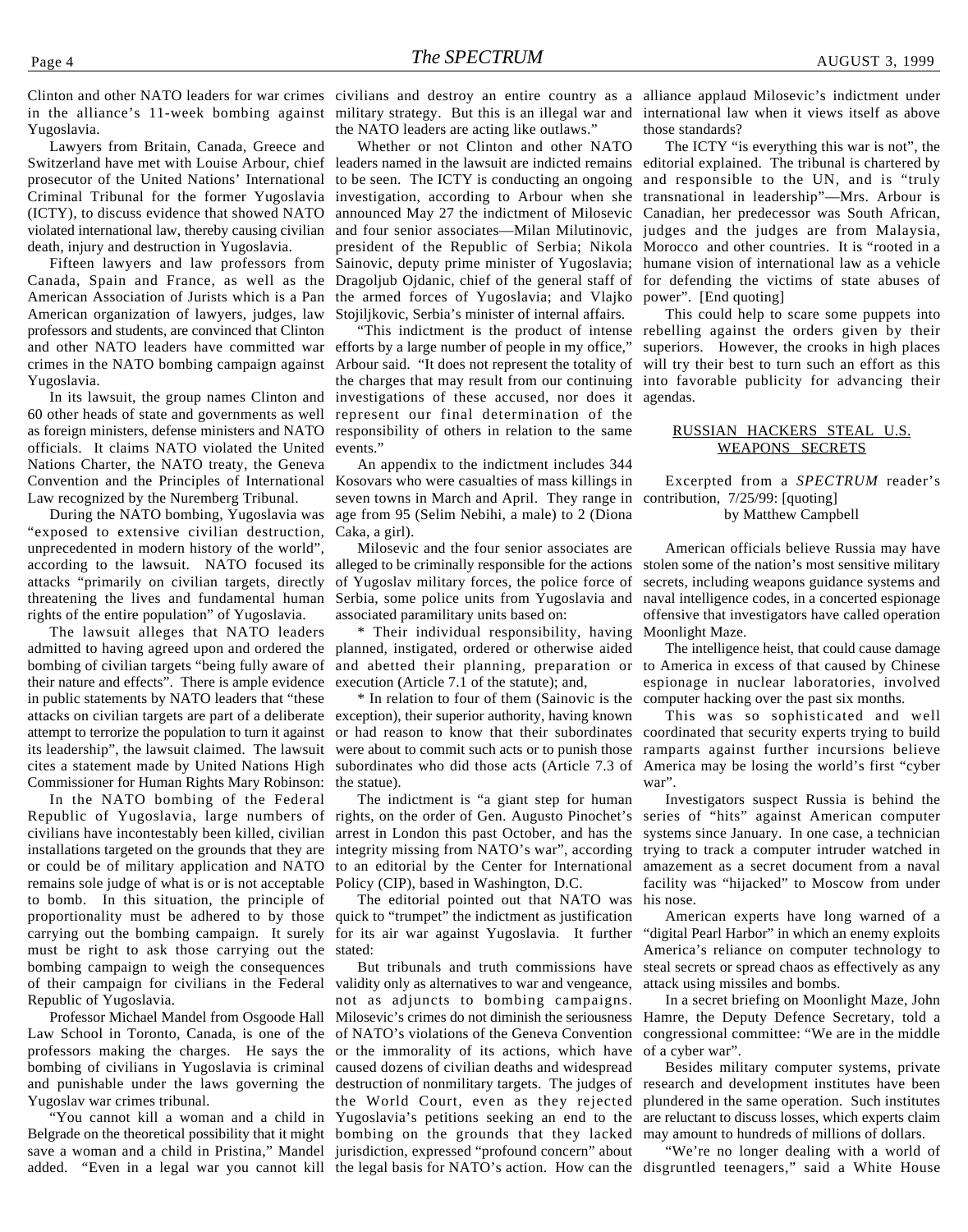in the alliance's 11-week bombing against military strategy. But this is an illegal war and international law when it views itself as above Yugoslavia.

Lawyers from Britain, Canada, Greece and Switzerland have met with Louise Arbour, chief prosecutor of the United Nations' International Criminal Tribunal for the former Yugoslavia (ICTY), to discuss evidence that showed NATO violated international law, thereby causing civilian death, injury and destruction in Yugoslavia.

Fifteen lawyers and law professors from Canada, Spain and France, as well as the American Association of Jurists which is a Pan American organization of lawyers, judges, law professors and students, are convinced that Clinton and other NATO leaders have committed war efforts by a large number of people in my office," crimes in the NATO bombing campaign against Arbour said. "It does not represent the totality of will try their best to turn such an effort as this Yugoslavia.

60 other heads of state and governments as well represent our final determination of the as foreign ministers, defense ministers and NATO responsibility of others in relation to the same officials. It claims NATO violated the United Nations Charter, the NATO treaty, the Geneva Convention and the Principles of International Kosovars who were casualties of mass killings in Law recognized by the Nuremberg Tribunal.

During the NATO bombing, Yugoslavia was "exposed to extensive civilian destruction, unprecedented in modern history of the world", according to the lawsuit. NATO focused its attacks "primarily on civilian targets, directly threatening the lives and fundamental human rights of the entire population" of Yugoslavia.

The lawsuit alleges that NATO leaders admitted to having agreed upon and ordered the bombing of civilian targets "being fully aware of their nature and effects". There is ample evidence in public statements by NATO leaders that "these attacks on civilian targets are part of a deliberate attempt to terrorize the population to turn it against its leadership", the lawsuit claimed. The lawsuit cites a statement made by United Nations High Commissioner for Human Rights Mary Robinson:

In the NATO bombing of the Federal Republic of Yugoslavia, large numbers of civilians have incontestably been killed, civilian installations targeted on the grounds that they are or could be of military application and NATO remains sole judge of what is or is not acceptable to bomb. In this situation, the principle of proportionality must be adhered to by those carrying out the bombing campaign. It surely must be right to ask those carrying out the bombing campaign to weigh the consequences of their campaign for civilians in the Federal Republic of Yugoslavia.

Professor Michael Mandel from Osgoode Hall Law School in Toronto, Canada, is one of the professors making the charges. He says the bombing of civilians in Yugoslavia is criminal and punishable under the laws governing the Yugoslav war crimes tribunal.

Belgrade on the theoretical possibility that it might bombing on the grounds that they lacked save a woman and a child in Pristina," Mandel jurisdiction, expressed "profound concern" about added. "Even in a legal war you cannot kill the legal basis for NATO's action. How can the disgruntled teenagers," said a White House

Clinton and other NATO leaders for war crimes civilians and destroy an entire country as a alliance applaud Milosevic's indictment under the NATO leaders are acting like outlaws."

> Whether or not Clinton and other NATO leaders named in the lawsuit are indicted remains to be seen. The ICTY is conducting an ongoing investigation, according to Arbour when she announced May 27 the indictment of Milosevic and four senior associates—Milan Milutinovic, president of the Republic of Serbia; Nikola Morocco and other countries. It is "rooted in a Dragoljub Ojdanic, chief of the general staff of for defending the victims of state abuses of the armed forces of Yugoslavia; and Vlajko Stojiljkovic, Serbia's minister of internal affairs.

In its lawsuit, the group names Clinton and investigations of these accused, nor does it agendas. events."

> An appendix to the indictment includes 344 seven towns in March and April. They range in contribution, 7/25/99: [quoting] age from 95 (Selim Nebihi, a male) to 2 (Diona Caka, a girl).

Milosevic and the four senior associates are alleged to be criminally responsible for the actions of Yugoslav military forces, the police force of Serbia, some police units from Yugoslavia and associated paramilitary units based on:

\* Their individual responsibility, having planned, instigated, ordered or otherwise aided and abetted their planning, preparation or to America in excess of that caused by Chinese execution (Article 7.1 of the statute); and,

\* In relation to four of them (Sainovic is the exception), their superior authority, having known or had reason to know that their subordinates were about to commit such acts or to punish those ramparts against further incursions believe subordinates who did those acts (Article 7.3 of America may be losing the world's first "cyber the statue).

The indictment is "a giant step for human rights, on the order of Gen. Augusto Pinochet's arrest in London this past October, and has the integrity missing from NATO's war", according to an editorial by the Center for International Policy (CIP), based in Washington, D.C.

The editorial pointed out that NATO was quick to "trumpet" the indictment as justification for its air war against Yugoslavia. It further stated:

"You cannot kill a woman and a child in Yugoslavia's petitions seeking an end to the But tribunals and truth commissions have validity only as alternatives to war and vengeance, not as adjuncts to bombing campaigns. Milosevic's crimes do not diminish the seriousness of NATO's violations of the Geneva Convention or the immorality of its actions, which have caused dozens of civilian deaths and widespread destruction of nonmilitary targets. The judges of the World Court, even as they rejected

those standards?

Sainovic, deputy prime minister of Yugoslavia; humane vision of international law as a vehicle The ICTY "is everything this war is not", the editorial explained. The tribunal is chartered by and responsible to the UN, and is "truly transnational in leadership"—Mrs. Arbour is Canadian, her predecessor was South African, judges and the judges are from Malaysia, power". [End quoting]

"This indictment is the product of intense rebelling against the orders given by their the charges that may result from our continuing into favorable publicity for advancing their This could help to scare some puppets into superiors. However, the crooks in high places

#### RUSSIAN HACKERS STEAL U.S. WEAPONS SECRETS

Excerpted from a *SPECTRUM* reader's by Matthew Campbell

American officials believe Russia may have stolen some of the nation's most sensitive military secrets, including weapons guidance systems and naval intelligence codes, in a concerted espionage offensive that investigators have called operation Moonlight Maze.

The intelligence heist, that could cause damage espionage in nuclear laboratories, involved computer hacking over the past six months.

This was so sophisticated and well coordinated that security experts trying to build war".

Investigators suspect Russia is behind the series of "hits" against American computer systems since January. In one case, a technician trying to track a computer intruder watched in amazement as a secret document from a naval facility was "hijacked" to Moscow from under his nose.

American experts have long warned of a "digital Pearl Harbor" in which an enemy exploits America's reliance on computer technology to steal secrets or spread chaos as effectively as any attack using missiles and bombs.

In a secret briefing on Moonlight Maze, John Hamre, the Deputy Defence Secretary, told a congressional committee: "We are in the middle of a cyber war".

Besides military computer systems, private research and development institutes have been plundered in the same operation. Such institutes are reluctant to discuss losses, which experts claim may amount to hundreds of millions of dollars.

"We're no longer dealing with a world of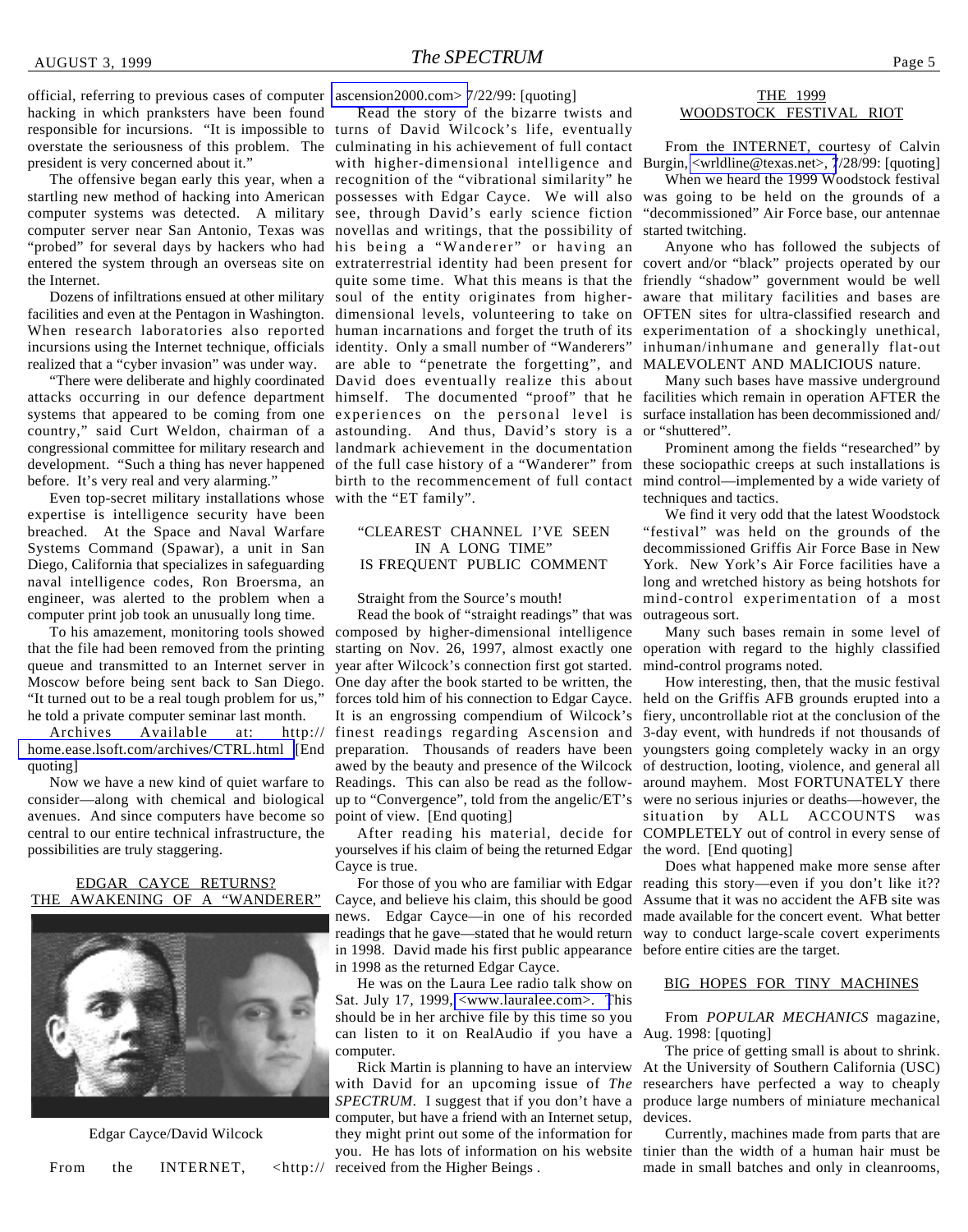official, referring to previous cases of computer [ascension2000.com> 7](http://www.ascension2000.com)/22/99: [quoting] hacking in which pranksters have been found responsible for incursions. "It is impossible to turns of David Wilcock's life, eventually overstate the seriousness of this problem. The culminating in his achievement of full contact president is very concerned about it."

The offensive began early this year, when a startling new method of hacking into American possesses with Edgar Cayce. We will also computer systems was detected. A military computer server near San Antonio, Texas was "probed" for several days by hackers who had his being a "Wanderer" or having an entered the system through an overseas site on the Internet.

facilities and even at the Pentagon in Washington. dimensional levels, volunteering to take on OFTEN sites for ultra-classified research and When research laboratories also reported human incarnations and forget the truth of its experimentation of a shockingly unethical, incursions using the Internet technique, officials identity. Only a small number of "Wanderers" realized that a "cyber invasion" was under way.

attacks occurring in our defence department himself. The documented "proof" that he facilities which remain in operation AFTER the systems that appeared to be coming from one experiences on the personal level is surface installation has been decommissioned and/ country," said Curt Weldon, chairman of a astounding. And thus, David's story is a or "shuttered". congressional committee for military research and landmark achievement in the documentation development. "Such a thing has never happened of the full case history of a "Wanderer" from these sociopathic creeps at such installations is before. It's very real and very alarming."

Even top-secret military installations whose expertise is intelligence security have been breached. At the Space and Naval Warfare Systems Command (Spawar), a unit in San Diego, California that specializes in safeguarding naval intelligence codes, Ron Broersma, an engineer, was alerted to the problem when a computer print job took an unusually long time.

To his amazement, monitoring tools showed that the file had been removed from the printing queue and transmitted to an Internet server in Moscow before being sent back to San Diego. "It turned out to be a real tough problem for us," he told a private computer seminar last month.

Archives Available at: http:// [home.ease.lsoft.com/archives/CTRL.html](http://www.home.edase.lsoft.com/archives/CTRL.html) [End quoting]

Now we have a new kind of quiet warfare to consider—along with chemical and biological avenues. And since computers have become so central to our entire technical infrastructure, the possibilities are truly staggering.

#### EDGAR CAYCE RETURNS? THE AWAKENING OF A "WANDERER"



Edgar Cayce/David Wilcock From the INTERNET,

"There were deliberate and highly coordinated David does eventually realize this about Read the story of the bizarre twists and with higher-dimensional intelligence and recognition of the "vibrational similarity" he see, through David's early science fiction novellas and writings, that the possibility of are able to "penetrate the forgetting", and MALEVOLENT AND MALICIOUS nature. birth to the recommencement of full contact mind control—implemented by a wide variety of with the "ET family".

#### "CLEAREST CHANNEL I'VE SEEN IN A LONG TIME" IS FREQUENT PUBLIC COMMENT

Straight from the Source's mouth!

Read the book of "straight readings" that was composed by higher-dimensional intelligence year after Wilcock's connection first got started. One day after the book started to be written, the It is an engrossing compendium of Wilcock's point of view. [End quoting]

yourselves if his claim of being the returned Edgar the word. [End quoting] Cayce is true.

Cayce, and believe his claim, this should be good in 1998. David made his first public appearance in 1998 as the returned Edgar Cayce.

He was on the Laura Lee radio talk show on Sat. July 17, 1999, [<www.lauralee.com>. T](http://www.lauralee.com)his should be in her archive file by this time so you can listen to it on RealAudio if you have a Aug. 1998: [quoting] computer.

Rick Martin is planning to have an interview with David for an upcoming issue of *The* researchers have perfected a way to cheaply *SPECTRUM*. I suggest that if you don't have a computer, but have a friend with an Internet setup, they might print out some of the information for you. He has lots of information on his website tinier than the width of a human hair must be  $\langle$ http:// received from the Higher Beings.

#### THE 1999 WOODSTOCK FESTIVAL RIOT

From the INTERNET, courtesy of Calvin Burgin, [<wrldline@texas.net>, 7](mailto:wrldline@texas.net)/28/99: [quoting]

When we heard the 1999 Woodstock festival was going to be held on the grounds of a "decommissioned" Air Force base, our antennae started twitching.

Dozens of infiltrations ensued at other military soul of the entity originates from higher- aware that military facilities and bases are extraterrestrial identity had been present for covert and/or "black" projects operated by our quite some time. What this means is that the friendly "shadow" government would be well Anyone who has followed the subjects of inhuman/inhumane and generally flat-out

Many such bases have massive underground

Prominent among the fields "researched" by techniques and tactics.

We find it very odd that the latest Woodstock "festival" was held on the grounds of the decommissioned Griffis Air Force Base in New York. New York's Air Force facilities have a long and wretched history as being hotshots for mind-control experimentation of a most outrageous sort.

starting on Nov. 26, 1997, almost exactly one operation with regard to the highly classified Many such bases remain in some level of mind-control programs noted.

forces told him of his connection to Edgar Cayce. held on the Griffis AFB grounds erupted into a finest readings regarding Ascension and 3-day event, with hundreds if not thousands of preparation. Thousands of readers have been youngsters going completely wacky in an orgy awed by the beauty and presence of the Wilcock of destruction, looting, violence, and general all Readings. This can also be read as the follow-around mayhem. Most FORTUNATELY there up to "Convergence", told from the angelic/ET's were no serious injuries or deaths—however, the After reading his material, decide for COMPLETELY out of control in every sense of How interesting, then, that the music festival fiery, uncontrollable riot at the conclusion of the situation by ALL ACCOUNTS was

For those of you who are familiar with Edgar reading this story—even if you don't like it?? news. Edgar Cayce—in one of his recorded made available for the concert event. What better readings that he gave—stated that he would return way to conduct large-scale covert experiments Does what happened make more sense after Assume that it was no accident the AFB site was before entire cities are the target.

#### **BIG HOPES FOR TINY MACHINES**

From *POPULAR MECHANICS* magazine,

The price of getting small is about to shrink. At the University of Southern California (USC) produce large numbers of miniature mechanical devices.

Currently, machines made from parts that are made in small batches and only in cleanrooms,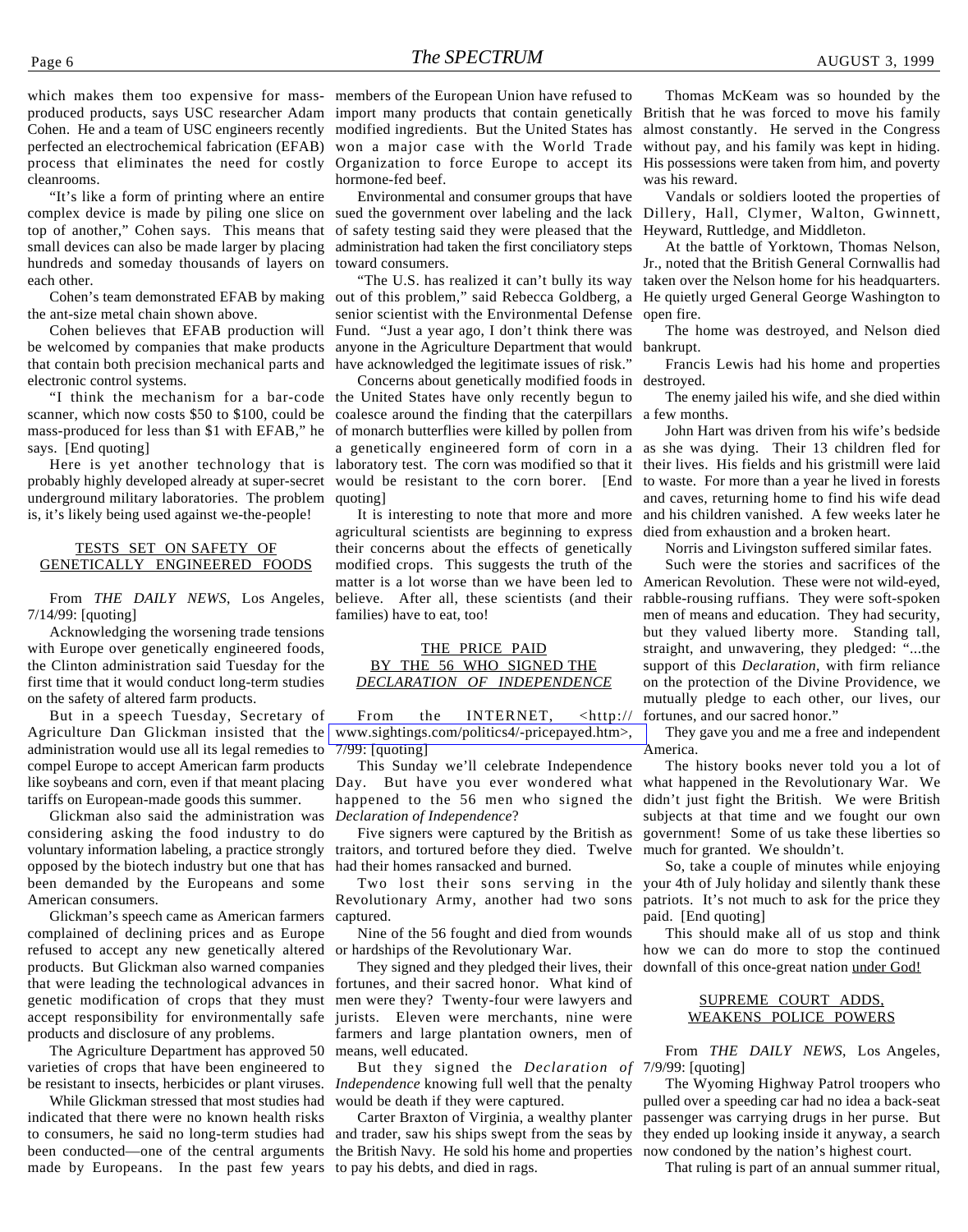produced products, says USC researcher Adam import many products that contain genetically Cohen. He and a team of USC engineers recently perfected an electrochemical fabrication (EFAB) won a major case with the World Trade process that eliminates the need for costly cleanrooms.

"It's like a form of printing where an entire complex device is made by piling one slice on top of another," Cohen says. This means that small devices can also be made larger by placing hundreds and someday thousands of layers on each other.

Cohen's team demonstrated EFAB by making the ant-size metal chain shown above.

Cohen believes that EFAB production will be welcomed by companies that make products that contain both precision mechanical parts and electronic control systems.

mass-produced for less than \$1 with EFAB," he says. [End quoting]

Here is yet another technology that is probably highly developed already at super-secret underground military laboratories. The problem is, it's likely being used against we-the-people!

#### TESTS SET ON SAFETY OF GENETICALLY ENGINEERED FOODS

From *THE DAILY NEWS*, Los Angeles, 7/14/99: [quoting]

Acknowledging the worsening trade tensions with Europe over genetically engineered foods, the Clinton administration said Tuesday for the first time that it would conduct long-term studies on the safety of altered farm products.

But in a speech Tuesday, Secretary of Agriculture Dan Glickman insisted that the [www.sightings.com/politics4/-pricepayed.htm>,](http://www.sightings.com/politics4/-pricepayed.htm) administration would use all its legal remedies to 7/99: [quoting] compel Europe to accept American farm products like soybeans and corn, even if that meant placing Day. But have you ever wondered what what happened in the Revolutionary War. We tariffs on European-made goods this summer.

Glickman also said the administration was considering asking the food industry to do voluntary information labeling, a practice strongly opposed by the biotech industry but one that has been demanded by the Europeans and some American consumers.

Glickman's speech came as American farmers complained of declining prices and as Europe refused to accept any new genetically altered products. But Glickman also warned companies that were leading the technological advances in genetic modification of crops that they must accept responsibility for environmentally safe products and disclosure of any problems.

The Agriculture Department has approved 50 varieties of crops that have been engineered to be resistant to insects, herbicides or plant viruses.

While Glickman stressed that most studies had indicated that there were no known health risks made by Europeans. In the past few years to pay his debts, and died in rags.

which makes them too expensive for mass-members of the European Union have refused to modified ingredients. But the United States has Organization to force Europe to accept its hormone-fed beef.

> Environmental and consumer groups that have sued the government over labeling and the lack of safety testing said they were pleased that the administration had taken the first conciliatory steps toward consumers.

"The U.S. has realized it can't bully its way senior scientist with the Environmental Defense Fund. "Just a year ago, I don't think there was anyone in the Agriculture Department that would bankrupt. have acknowledged the legitimate issues of risk."

"I think the mechanism for a bar-code the United States have only recently begun to scanner, which now costs \$50 to \$100, could be coalesce around the finding that the caterpillars a few months. Concerns about genetically modified foods in destroyed. of monarch butterflies were killed by pollen from a genetically engineered form of corn in a as she was dying. Their 13 children fled for laboratory test. The corn was modified so that it their lives. His fields and his gristmill were laid would be resistant to the corn borer. [End to waste. For more than a year he lived in forests quoting]

> agricultural scientists are beginning to express their concerns about the effects of genetically modified crops. This suggests the truth of the matter is a lot worse than we have been led to believe. After all, these scientists (and their families) have to eat, too!

#### THE PRICE PAID BY THE 56 WHO SIGNED THE *DECLARATION OF INDEPENDENCE*

From the INTERNET, <http://

This Sunday we'll celebrate Independence happened to the 56 men who signed the didn't just fight the British. We were British *Declaration of Independence*?

Five signers were captured by the British as traitors, and tortured before they died. Twelve had their homes ransacked and burned.

Revolutionary Army, another had two sons captured.

Nine of the 56 fought and died from wounds or hardships of the Revolutionary War.

They signed and they pledged their lives, their fortunes, and their sacred honor. What kind of men were they? Twenty-four were lawyers and jurists. Eleven were merchants, nine were farmers and large plantation owners, men of means, well educated.

But they signed the *Declaration of Independence* knowing full well that the penalty would be death if they were captured.

to consumers, he said no long-term studies had and trader, saw his ships swept from the seas by been conducted—one of the central arguments the British Navy. He sold his home and properties Carter Braxton of Virginia, a wealthy planter

Thomas McKeam was so hounded by the British that he was forced to move his family almost constantly. He served in the Congress without pay, and his family was kept in hiding. His possessions were taken from him, and poverty was his reward.

Vandals or soldiers looted the properties of Dillery, Hall, Clymer, Walton, Gwinnett, Heyward, Ruttledge, and Middleton.

out of this problem," said Rebecca Goldberg, a He quietly urged General George Washington to At the battle of Yorktown, Thomas Nelson, Jr., noted that the British General Cornwallis had taken over the Nelson home for his headquarters. open fire.

The home was destroyed, and Nelson died

Francis Lewis had his home and properties

The enemy jailed his wife, and she died within

It is interesting to note that more and more and his children vanished. A few weeks later he John Hart was driven from his wife's bedside and caves, returning home to find his wife dead died from exhaustion and a broken heart.

Norris and Livingston suffered similar fates.

Such were the stories and sacrifices of the American Revolution. These were not wild-eyed, rabble-rousing ruffians. They were soft-spoken men of means and education. They had security, but they valued liberty more. Standing tall, straight, and unwavering, they pledged: "...the support of this *Declaration*, with firm reliance on the protection of the Divine Providence, we mutually pledge to each other, our lives, our fortunes, and our sacred honor."

They gave you and me a free and independent America.

The history books never told you a lot of subjects at that time and we fought our own government! Some of us take these liberties so much for granted. We shouldn't.

Two lost their sons serving in the your 4th of July holiday and silently thank these So, take a couple of minutes while enjoying patriots. It's not much to ask for the price they paid. [End quoting]

> This should make all of us stop and think how we can do more to stop the continued downfall of this once-great nation under God!

#### SUPREME COURT ADDS, WEAKENS POLICE POWERS

From *THE DAILY NEWS*, Los Angeles, 7/9/99: [quoting]

The Wyoming Highway Patrol troopers who pulled over a speeding car had no idea a back-seat passenger was carrying drugs in her purse. But they ended up looking inside it anyway, a search now condoned by the nation's highest court.

That ruling is part of an annual summer ritual,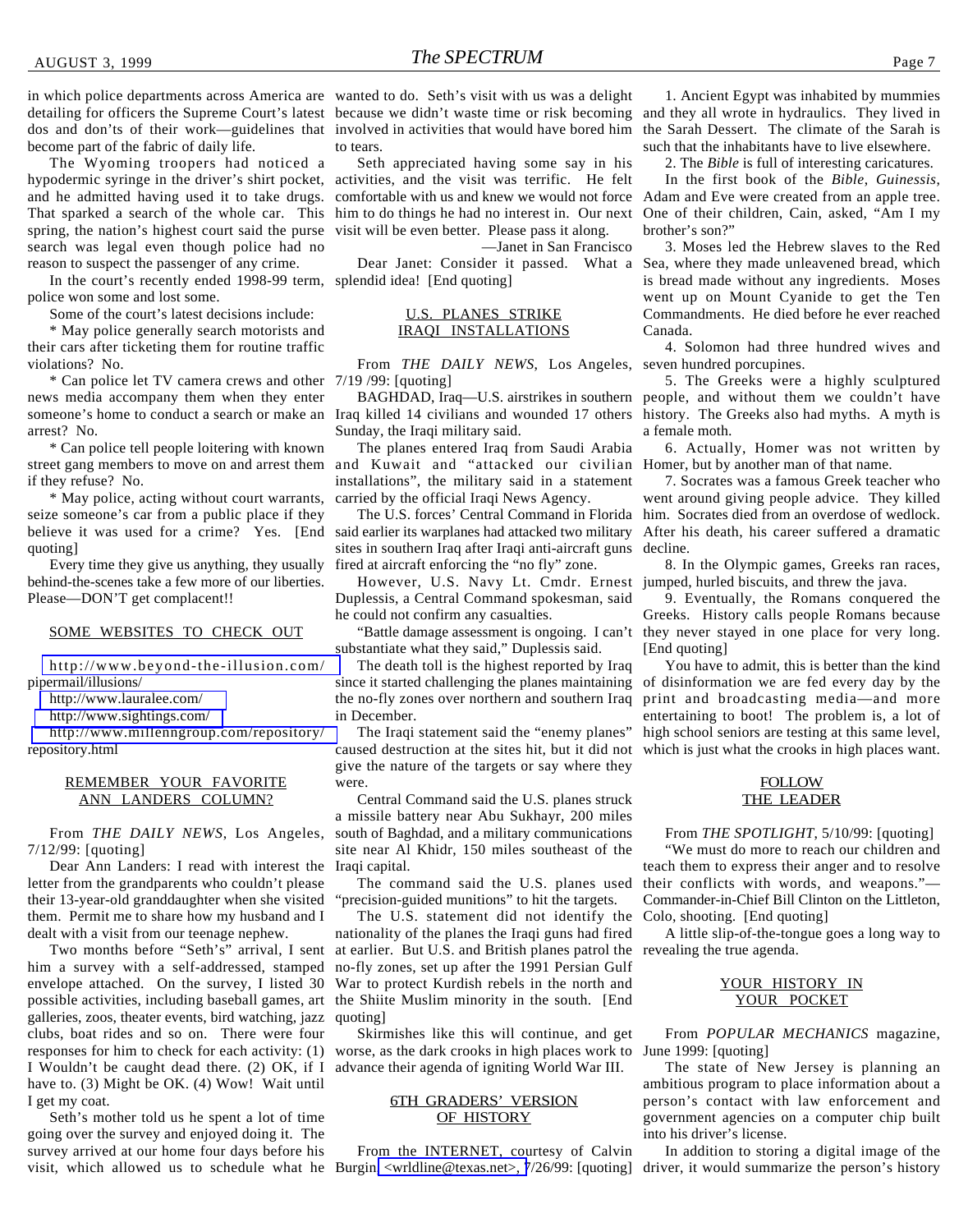in which police departments across America are wanted to do. Seth's visit with us was a delight become part of the fabric of daily life.

The Wyoming troopers had noticed a hypodermic syringe in the driver's shirt pocket, and he admitted having used it to take drugs. That sparked a search of the whole car. This spring, the nation's highest court said the purse search was legal even though police had no reason to suspect the passenger of any crime.

In the court's recently ended 1998-99 term, splendid idea! [End quoting] police won some and lost some.

Some of the court's latest decisions include:

\* May police generally search motorists and their cars after ticketing them for routine traffic violations? No.

\* Can police let TV camera crews and other 7/19 /99: [quoting] news media accompany them when they enter arrest? No.

\* Can police tell people loitering with known if they refuse? No.

\* May police, acting without court warrants, seize someone's car from a public place if they quoting]

Every time they give us anything, they usually behind-the-scenes take a few more of our liberties. Please—DON'T get complacent!!

#### SOME WEBSITES TO CHECK OUT

[http://www.beyond-the-illusion.com/](http://www.beyond-the-illusion.com/pipermail/illusions/) pipermail/illusions/

[http://www.lauralee.com/](http://www.lauralee.com)

<http://www.sightings.com/>

[http://www.millenngroup.com/repository/](http://www.millenngroup.com/repository/repository.html) repository.html

#### REMEMBER YOUR FAVORITE ANN LANDERS COLUMN?

From *THE DAILY NEWS*, Los Angeles, 7/12/99: [quoting]

Dear Ann Landers: I read with interest the letter from the grandparents who couldn't please their 13-year-old granddaughter when she visited them. Permit me to share how my husband and I dealt with a visit from our teenage nephew.

Two months before "Seth's" arrival, I sent him a survey with a self-addressed, stamped envelope attached. On the survey, I listed 30 possible activities, including baseball games, art galleries, zoos, theater events, bird watching, jazz clubs, boat rides and so on. There were four responses for him to check for each activity: (1) worse, as the dark crooks in high places work to I Wouldn't be caught dead there. (2) OK, if I have to. (3) Might be OK. (4) Wow! Wait until I get my coat.

Seth's mother told us he spent a lot of time going over the survey and enjoyed doing it. The survey arrived at our home four days before his visit, which allowed us to schedule what he Burgin[, <wrldline@texas.net>, 7](mailto:wrldline@texas.net)/26/99: [quoting] driver, it would summarize the person's history

to tears.

Seth appreciated having some say in his activities, and the visit was terrific. He felt him to do things he had no interest in. Our next visit will be even better. Please pass it along.

—Janet in San Francisco

#### U.S. PLANES STRIKE IRAQI INSTALLATIONS

From *THE DAILY NEWS*, Los Angeles, seven hundred porcupines.

someone's home to conduct a search or make an Iraq killed 14 civilians and wounded 17 others history. The Greeks also had myths. A myth is Sunday, the Iraqi military said.

street gang members to move on and arrest them and Kuwait and "attacked our civilian Homer, but by another man of that name. The planes entered Iraq from Saudi Arabia installations", the military said in a statement carried by the official Iraqi News Agency.

believe it was used for a crime? Yes. [End said earlier its warplanes had attacked two military After his death, his career suffered a dramatic sites in southern Iraq after Iraqi anti-aircraft guns decline. fired at aircraft enforcing the "no fly" zone.

> However, U.S. Navy Lt. Cmdr. Ernest jumped, hurled biscuits, and threw the java. Duplessis, a Central Command spokesman, said he could not confirm any casualties.

substantiate what they said," Duplessis said.

The death toll is the highest reported by Iraq since it started challenging the planes maintaining the no-fly zones over northern and southern Iraq in December.

The Iraqi statement said the "enemy planes" caused destruction at the sites hit, but it did not give the nature of the targets or say where they were.

Central Command said the U.S. planes struck a missile battery near Abu Sukhayr, 200 miles south of Baghdad, and a military communications site near Al Khidr, 150 miles southeast of the Iraqi capital.

The command said the U.S. planes used "precision-guided munitions" to hit the targets.

The U.S. statement did not identify the nationality of the planes the Iraqi guns had fired at earlier. But U.S. and British planes patrol the no-fly zones, set up after the 1991 Persian Gulf War to protect Kurdish rebels in the north and the Shiite Muslim minority in the south. [End quoting]

Skirmishes like this will continue, and get advance their agenda of igniting World War III.

#### 6TH GRADERS' VERSION OF HISTORY

From the INTERNET, courtesy of Calvin

detailing for officers the Supreme Court's latest because we didn't waste time or risk becoming and they all wrote in hydraulics. They lived in dos and don'ts of their work—guidelines that involved in activities that would have bored him the Sarah Dessert. The climate of the Sarah is 1. Ancient Egypt was inhabited by mummies such that the inhabitants have to live elsewhere.

2. The *Bible* is full of interesting caricatures.

comfortable with us and knew we would not force Adam and Eve were created from an apple tree. In the first book of the *Bible*, *Guinessis*, One of their children, Cain, asked, "Am I my brother's son?"

Dear Janet: Consider it passed. What a Sea, where they made unleavened bread, which 3. Moses led the Hebrew slaves to the Red is bread made without any ingredients. Moses went up on Mount Cyanide to get the Ten Commandments. He died before he ever reached Canada.

4. Solomon had three hundred wives and

BAGHDAD, Iraq—U.S. airstrikes in southern people, and without them we couldn't have 5. The Greeks were a highly sculptured a female moth.

6. Actually, Homer was not written by

The U.S. forces' Central Command in Florida him. Socrates died from an overdose of wedlock. 7. Socrates was a famous Greek teacher who went around giving people advice. They killed

8. In the Olympic games, Greeks ran races,

"Battle damage assessment is ongoing. I can't they never stayed in one place for very long. 9. Eventually, the Romans conquered the Greeks. History calls people Romans because [End quoting]

> You have to admit, this is better than the kind of disinformation we are fed every day by the print and broadcasting media—and more entertaining to boot! The problem is, a lot of high school seniors are testing at this same level, which is just what the crooks in high places want.

#### FOLLOW THE LEADER

From *THE SPOTLIGHT*, 5/10/99: [quoting]

"We must do more to reach our children and teach them to express their anger and to resolve their conflicts with words, and weapons."— Commander-in-Chief Bill Clinton on the Littleton, Colo, shooting. [End quoting]

A little slip-of-the-tongue goes a long way to revealing the true agenda.

#### YOUR HISTORY IN YOUR POCKET

From *POPULAR MECHANICS* magazine, June 1999: [quoting]

The state of New Jersey is planning an ambitious program to place information about a person's contact with law enforcement and government agencies on a computer chip built into his driver's license.

In addition to storing a digital image of the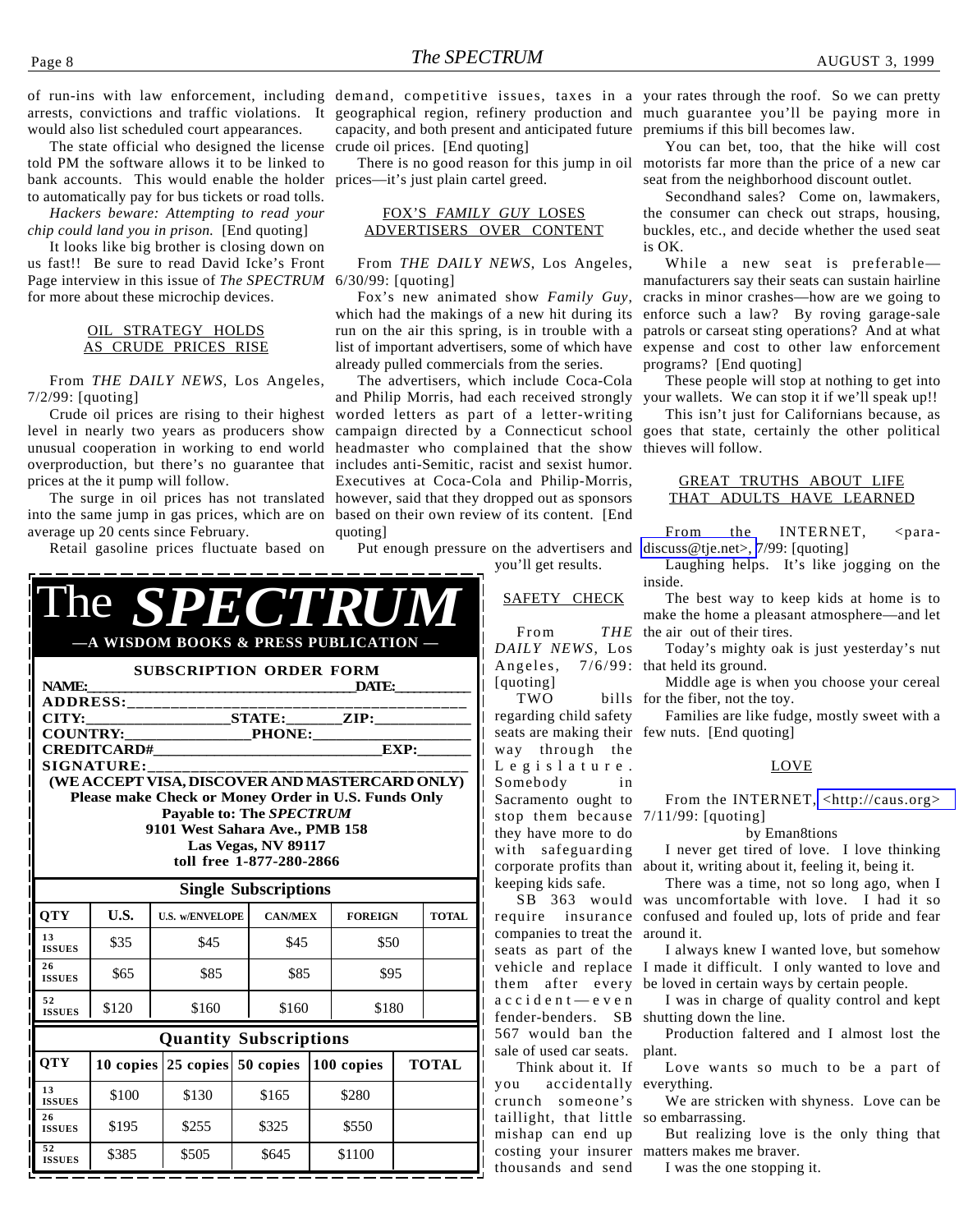The state official who designed the license told PM the software allows it to be linked to bank accounts. This would enable the holder to automatically pay for bus tickets or road tolls.

*Hackers beware: Attempting to read your chip could land you in prison.* [End quoting]

It looks like big brother is closing down on us fast!! Be sure to read David Icke's Front Page interview in this issue of *The SPECTRUM* 6/30/99: [quoting] for more about these microchip devices.

#### OIL STRATEGY HOLDS AS CRUDE PRICES RISE

From *THE DAILY NEWS*, Los Angeles, 7/2/99: [quoting]

Crude oil prices are rising to their highest level in nearly two years as producers show overproduction, but there's no guarantee that prices at the it pump will follow.

average up 20 cents since February.

Retail gasoline prices fluctuate based on

of run-ins with law enforcement, including demand, competitive issues, taxes in a your rates through the roof. So we can pretty geographical region, refinery production and much guarantee you'll be paying more in capacity, and both present and anticipated future premiums if this bill becomes law. crude oil prices. [End quoting]

prices—it's just plain cartel greed.

#### FOX'S *FAMILY GUY* LOSES ADVERTISERS OVER CONTENT

From *THE DAILY NEWS*, Los Angeles,

Fox's new animated show *Family Guy*, which had the makings of a new hit during its run on the air this spring, is in trouble with a patrols or carseat sting operations? And at what already pulled commercials from the series.

unusual cooperation in working to end world headmaster who complained that the show The surge in oil prices has not translated however, said that they dropped out as sponsors into the same jump in gas prices, which are on based on their own review of its content. [End The advertisers, which include Coca-Cola and Philip Morris, had each received strongly worded letters as part of a letter-writing campaign directed by a Connecticut school includes anti-Semitic, racist and sexist humor. Executives at Coca-Cola and Philip-Morris, quoting]

> Put enough pressure on the advertisers and [discuss@tje.net>, 7](mailto:para-discuss@tje.net)/99: [quoting] you'll get results.

There is no good reason for this jump in oil motorists far more than the price of a new car You can bet, too, that the hike will cost seat from the neighborhood discount outlet.

> Secondhand sales? Come on, lawmakers, the consumer can check out straps, housing, buckles, etc., and decide whether the used seat is OK.

list of important advertisers, some of which have expense and cost to other law enforcement While a new seat is preferable manufacturers say their seats can sustain hairline cracks in minor crashes—how are we going to enforce such a law? By roving garage-sale programs? [End quoting]

> These people will stop at nothing to get into your wallets. We can stop it if we'll speak up!!

> This isn't just for Californians because, as goes that state, certainly the other political thieves will follow.

#### GREAT TRUTHS ABOUT LIFE THAT ADULTS HAVE LEARNED

From the INTERNET, <para-

Laughing helps. It's like jogging on the inside.

The best way to keep kids at home is to make the home a pleasant atmosphere—and let the air out of their tires.

Today's mighty oak is just yesterday's nut

Middle age is when you choose your cereal bills for the fiber, not the toy.

seats are making their few nuts. [End quoting] Families are like fudge, mostly sweet with a

#### LOVE

From the INTERNET, [<http://caus.org>](http://www.caus.org)

#### by Eman8tions

I never get tired of love. I love thinking about it, writing about it, feeling it, being it.

SB 363 would was uncomfortable with love. I had it so require insurance confused and fouled up, lots of pride and fear There was a time, not so long ago, when I around it.

> I always knew I wanted love, but somehow I made it difficult. I only wanted to love and be loved in certain ways by certain people.

> I was in charge of quality control and kept shutting down the line.

Production faltered and I almost lost the plant.

Love wants so much to be a part of everything.

We are stricken with shyness. Love can be

costing your insurer matters makes me braver. But realizing love is the only thing that

I was the one stopping it.

**SUBSCRIPTION ORDER FORM NAME:\_\_\_\_\_\_\_\_\_\_\_\_\_\_\_\_\_\_\_\_\_\_\_\_\_\_\_\_\_\_\_\_\_\_\_\_\_\_\_\_\_\_\_DATE:\_\_\_\_\_\_\_\_\_\_\_\_ ADDRESS:\_\_\_\_\_\_\_\_\_\_\_\_\_\_\_\_\_\_\_\_\_\_\_\_\_\_\_\_\_\_\_\_\_\_\_\_\_\_\_ CITY:\_\_\_\_\_\_\_\_\_\_\_\_\_\_\_\_\_\_STATE:\_\_\_\_\_\_\_ZIP:\_\_\_\_\_\_\_\_\_\_\_\_ COUNTRY:** PHONE: **CREDITCARD#\_\_\_\_\_\_\_\_\_\_\_\_\_\_\_\_\_\_\_\_\_\_\_\_\_\_\_\_\_\_EXP:\_\_\_\_\_\_\_ SIGNATURE:\_\_\_\_\_\_\_\_\_\_\_\_\_\_\_\_\_\_\_\_\_\_\_\_\_\_\_\_\_\_\_\_\_\_\_\_\_ (WE ACCEPT VISA, DISCOVER AND MASTERCARD ONLY) Please make Check or Money Order in U.S. Funds Only Payable to: The** *SPECTRUM* **9101 West Sahara Ave., PMB 158 Las Vegas, NV 89117 toll free 1-877-280-2866** The *SPECTRUM* **—A WISDOM BOOKS & PRESS PUBLICATION — Single Subscriptions**  $$35$   $$45$   $$45$   $$45$   $$50$  $$120$  | \$160 | \$160 | \$180 **QTY** | **U.S.** | U.S. w/ENVELOPE | CAN/MEX | FOREIGN | TOTAL **1 3 ISSUES 2 6 ISSUES 5 2 ISSUES** \$65 \$85 \$85 \$95 **Quantity Subscriptions**

 **10 copies 25 copies 50 copies 100 copies TOTAL**  $$100$   $$130$   $$165$   $$280$  $$385$   $$505$   $$645$   $$1100$ **QTY 1 3 ISSUES 2 6 ISSUES**  $\overline{52}$ **ISSUES**  $$195$   $$255$   $$325$   $$550$ 

SAFETY CHECK

From *THE DAILY NEWS*, Los Angeles, 7/6/99: that held its ground. [quoting]

TWO regarding child safety way through the Legislature. Somebody in Sacramento ought to stop them because 7/11/99: [quoting] they have more to do with safeguarding corporate profits than keeping kids safe.

companies to treat the seats as part of the vehicle and replace them after every accident—even fender-benders. SB 567 would ban the sale of used car seats.

Think about it. If you accidentally crunch someone's taillight, that little so embarrassing. mishap can end up thousands and send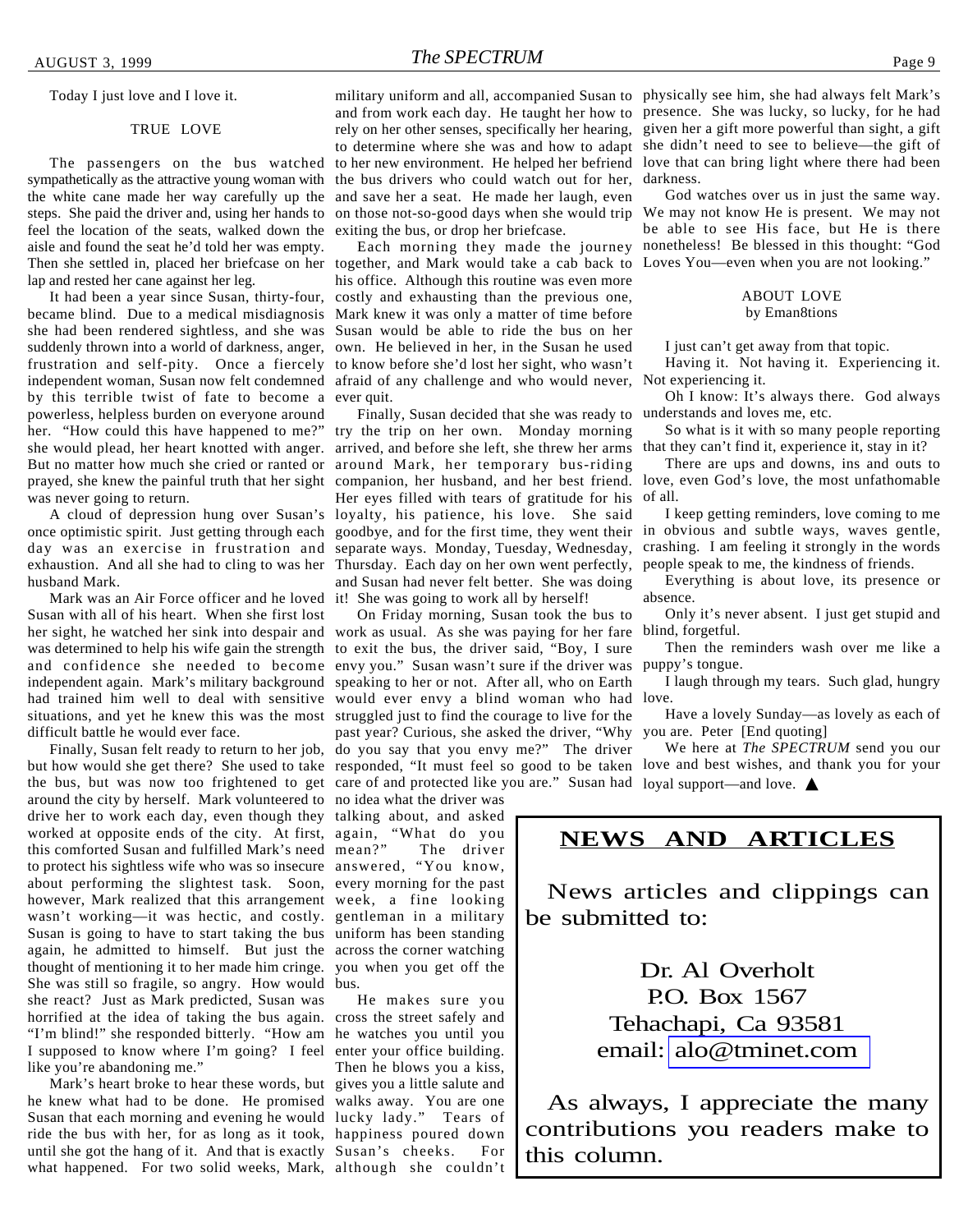Today I just love and I love it.

#### TRUE LOVE

The passengers on the bus watched sympathetically as the attractive young woman with the white cane made her way carefully up the steps. She paid the driver and, using her hands to feel the location of the seats, walked down the aisle and found the seat he'd told her was empty. Then she settled in, placed her briefcase on her lap and rested her cane against her leg.

became blind. Due to a medical misdiagnosis Mark knew it was only a matter of time before she had been rendered sightless, and she was Susan would be able to ride the bus on her suddenly thrown into a world of darkness, anger, own. He believed in her, in the Susan he used frustration and self-pity. Once a fiercely to know before she'd lost her sight, who wasn't independent woman, Susan now felt condemned afraid of any challenge and who would never, Not experiencing it. by this terrible twist of fate to become a ever quit. powerless, helpless burden on everyone around her. "How could this have happened to me?" try the trip on her own. Monday morning she would plead, her heart knotted with anger. arrived, and before she left, she threw her arms But no matter how much she cried or ranted or around Mark, her temporary bus-riding was never going to return.

husband Mark.

Mark was an Air Force officer and he loved Susan with all of his heart. When she first lost her sight, he watched her sink into despair and work as usual. As she was paying for her fare was determined to help his wife gain the strength and confidence she needed to become independent again. Mark's military background had trained him well to deal with sensitive situations, and yet he knew this was the most struggled just to find the courage to live for the difficult battle he would ever face.

the bus, but was now too frightened to get care of and protected like you are." Susan had loyal support—and love. around the city by herself. Mark volunteered to no idea what the driver was drive her to work each day, even though they talking about, and asked worked at opposite ends of the city. At first, again, "What do you this comforted Susan and fulfilled Mark's need mean?" to protect his sightless wife who was so insecure answered, "You know, about performing the slightest task. Soon, every morning for the past however, Mark realized that this arrangement week, a fine looking wasn't working—it was hectic, and costly. gentleman in a military Susan is going to have to start taking the bus uniform has been standing again, he admitted to himself. But just the across the corner watching thought of mentioning it to her made him cringe. you when you get off the She was still so fragile, so angry. How would bus. she react? Just as Mark predicted, Susan was horrified at the idea of taking the bus again. cross the street safely and "I'm blind!" she responded bitterly. "How am he watches you until you I supposed to know where I'm going? I feel enter your office building. like you're abandoning me."

Mark's heart broke to hear these words, but gives you a little salute and he knew what had to be done. He promised walks away. You are one Susan that each morning and evening he would lucky lady." Tears of ride the bus with her, for as long as it took, happiness poured down until she got the hang of it. And that is exactly Susan's cheeks. For what happened. For two solid weeks, Mark, although she couldn't

the bus drivers who could watch out for her, and save her a seat. He made her laugh, even on those not-so-good days when she would trip exiting the bus, or drop her briefcase.

It had been a year since Susan, thirty-four, costly and exhausting than the previous one, Each morning they made the journey together, and Mark would take a cab back to his office. Although this routine was even more

prayed, she knew the painful truth that her sight companion, her husband, and her best friend. love, even God's love, the most unfathomable A cloud of depression hung over Susan's loyalty, his patience, his love. She said once optimistic spirit. Just getting through each goodbye, and for the first time, they went their in obvious and subtle ways, waves gentle, day was an exercise in frustration and separate ways. Monday, Tuesday, Wednesday, exhaustion. And all she had to cling to was her Thursday. Each day on her own went perfectly, Finally, Susan decided that she was ready to understands and loves me, etc. Her eyes filled with tears of gratitude for his and Susan had never felt better. She was doing it! She was going to work all by herself!

Finally, Susan felt ready to return to her job, do you say that you envy me?" The driver On Friday morning, Susan took the bus to to exit the bus, the driver said, "Boy, I sure envy you." Susan wasn't sure if the driver was puppy's tongue. speaking to her or not. After all, who on Earth would ever envy a blind woman who had love. past year? Curious, she asked the driver, "Why you are. Peter [End quoting]

The driver

He makes sure you Then he blows you a kiss,

military uniform and all, accompanied Susan to physically see him, she had always felt Mark's and from work each day. He taught her how to presence. She was lucky, so lucky, for he had rely on her other senses, specifically her hearing, given her a gift more powerful than sight, a gift to determine where she was and how to adapt she didn't need to see to believe—the gift of to her new environment. He helped her befriend love that can bring light where there had been darkness.

> God watches over us in just the same way. We may not know He is present. We may not be able to see His face, but He is there nonetheless! Be blessed in this thought: "God Loves You—even when you are not looking."

#### ABOUT LOVE by Eman8tions

I just can't get away from that topic.

Having it. Not having it. Experiencing it.

Oh I know: It's always there. God always

So what is it with so many people reporting that they can't find it, experience it, stay in it?

There are ups and downs, ins and outs to of all.

I keep getting reminders, love coming to me crashing. I am feeling it strongly in the words people speak to me, the kindness of friends.

Everything is about love, its presence or absence.

Only it's never absent. I just get stupid and blind, forgetful.

Then the reminders wash over me like a

I laugh through my tears. Such glad, hungry

Have a lovely Sunday—as lovely as each of

but how would she get there? She used to take responded, "It must feel so good to be taken love and best wishes, and thank you for your We here at *The SPECTRUM* send you our

#### **NEWS AND ARTICLES**

News articles and clippings can be submitted to:

> Dr. Al Overholt P.O. Box 1567 Tehachapi, Ca 93581 email: [alo@tminet.com](mailto:alo@tminet.com)

As always, I appreciate the many contributions you readers make to this column.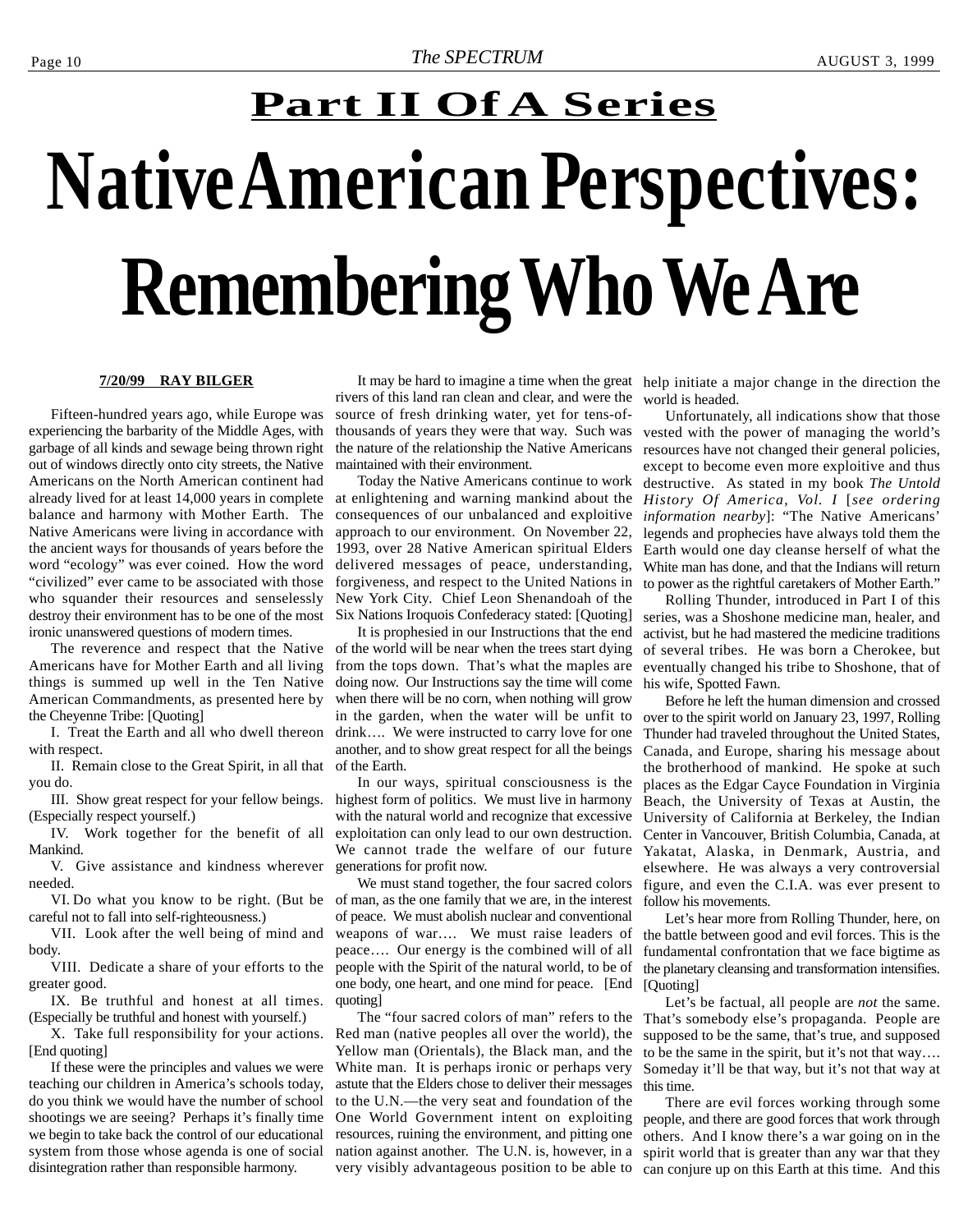## <span id="page-9-0"></span>**Native American Perspectives: Remembering Who We Are Part II Of A Series**

#### **7/20/99 RAY BILGER**

Fifteen-hundred years ago, while Europe was experiencing the barbarity of the Middle Ages, with garbage of all kinds and sewage being thrown right out of windows directly onto city streets, the Native Americans on the North American continent had already lived for at least 14,000 years in complete balance and harmony with Mother Earth. The Native Americans were living in accordance with the ancient ways for thousands of years before the word "ecology" was ever coined. How the word "civilized" ever came to be associated with those who squander their resources and senselessly destroy their environment has to be one of the most ironic unanswered questions of modern times.

The reverence and respect that the Native Americans have for Mother Earth and all living things is summed up well in the Ten Native American Commandments, as presented here by the Cheyenne Tribe: [Quoting]

I. Treat the Earth and all who dwell thereon with respect.

II. Remain close to the Great Spirit, in all that you do.

III. Show great respect for your fellow beings. (Especially respect yourself.)

IV. Work together for the benefit of all Mankind.

V. Give assistance and kindness wherever needed.

VI. Do what you know to be right. (But be careful not to fall into self-righteousness.)

VII. Look after the well being of mind and body.

VIII. Dedicate a share of your efforts to the greater good.

IX. Be truthful and honest at all times. (Especially be truthful and honest with yourself.)

X. Take full responsibility for your actions. [End quoting]

If these were the principles and values we were teaching our children in America's schools today, do you think we would have the number of school shootings we are seeing? Perhaps it's finally time we begin to take back the control of our educational system from those whose agenda is one of social disintegration rather than responsible harmony.

It may be hard to imagine a time when the great help initiate a major change in the direction the rivers of this land ran clean and clear, and were the source of fresh drinking water, yet for tens-ofthousands of years they were that way. Such was the nature of the relationship the Native Americans maintained with their environment.

Today the Native Americans continue to work at enlightening and warning mankind about the consequences of our unbalanced and exploitive approach to our environment. On November 22, 1993, over 28 Native American spiritual Elders delivered messages of peace, understanding, forgiveness, and respect to the United Nations in New York City. Chief Leon Shenandoah of the Six Nations Iroquois Confederacy stated: [Quoting]

It is prophesied in our Instructions that the end of the world will be near when the trees start dying from the tops down. That's what the maples are doing now. Our Instructions say the time will come when there will be no corn, when nothing will grow in the garden, when the water will be unfit to drink…. We were instructed to carry love for one another, and to show great respect for all the beings of the Earth.

In our ways, spiritual consciousness is the highest form of politics. We must live in harmony with the natural world and recognize that excessive exploitation can only lead to our own destruction. We cannot trade the welfare of our future generations for profit now.

We must stand together, the four sacred colors of man, as the one family that we are, in the interest of peace. We must abolish nuclear and conventional weapons of war…. We must raise leaders of peace…. Our energy is the combined will of all people with the Spirit of the natural world, to be of one body, one heart, and one mind for peace. [End quoting]

The "four sacred colors of man" refers to the Red man (native peoples all over the world), the Yellow man (Orientals), the Black man, and the White man. It is perhaps ironic or perhaps very astute that the Elders chose to deliver their messages to the U.N.—the very seat and foundation of the One World Government intent on exploiting resources, ruining the environment, and pitting one nation against another. The U.N. is, however, in a very visibly advantageous position to be able to can conjure up on this Earth at this time. And this

world is headed.

Unfortunately, all indications show that those vested with the power of managing the world's resources have not changed their general policies, except to become even more exploitive and thus destructive. As stated in my book *The Untold History Of America, Vol. I* [*see ordering information nearby*]: "The Native Americans' legends and prophecies have always told them the Earth would one day cleanse herself of what the White man has done, and that the Indians will return to power as the rightful caretakers of Mother Earth."

Rolling Thunder, introduced in Part I of this series, was a Shoshone medicine man, healer, and activist, but he had mastered the medicine traditions of several tribes. He was born a Cherokee, but eventually changed his tribe to Shoshone, that of his wife, Spotted Fawn.

Before he left the human dimension and crossed over to the spirit world on January 23, 1997, Rolling Thunder had traveled throughout the United States, Canada, and Europe, sharing his message about the brotherhood of mankind. He spoke at such places as the Edgar Cayce Foundation in Virginia Beach, the University of Texas at Austin, the University of California at Berkeley, the Indian Center in Vancouver, British Columbia, Canada, at Yakatat, Alaska, in Denmark, Austria, and elsewhere. He was always a very controversial figure, and even the C.I.A. was ever present to follow his movements.

Let's hear more from Rolling Thunder, here, on the battle between good and evil forces. This is the fundamental confrontation that we face bigtime as the planetary cleansing and transformation intensifies. [Ouoting]

Let's be factual, all people are *not* the same. That's somebody else's propaganda. People are supposed to be the same, that's true, and supposed to be the same in the spirit, but it's not that way…. Someday it'll be that way, but it's not that way at this time.

There are evil forces working through some people, and there are good forces that work through others. And I know there's a war going on in the spirit world that is greater than any war that they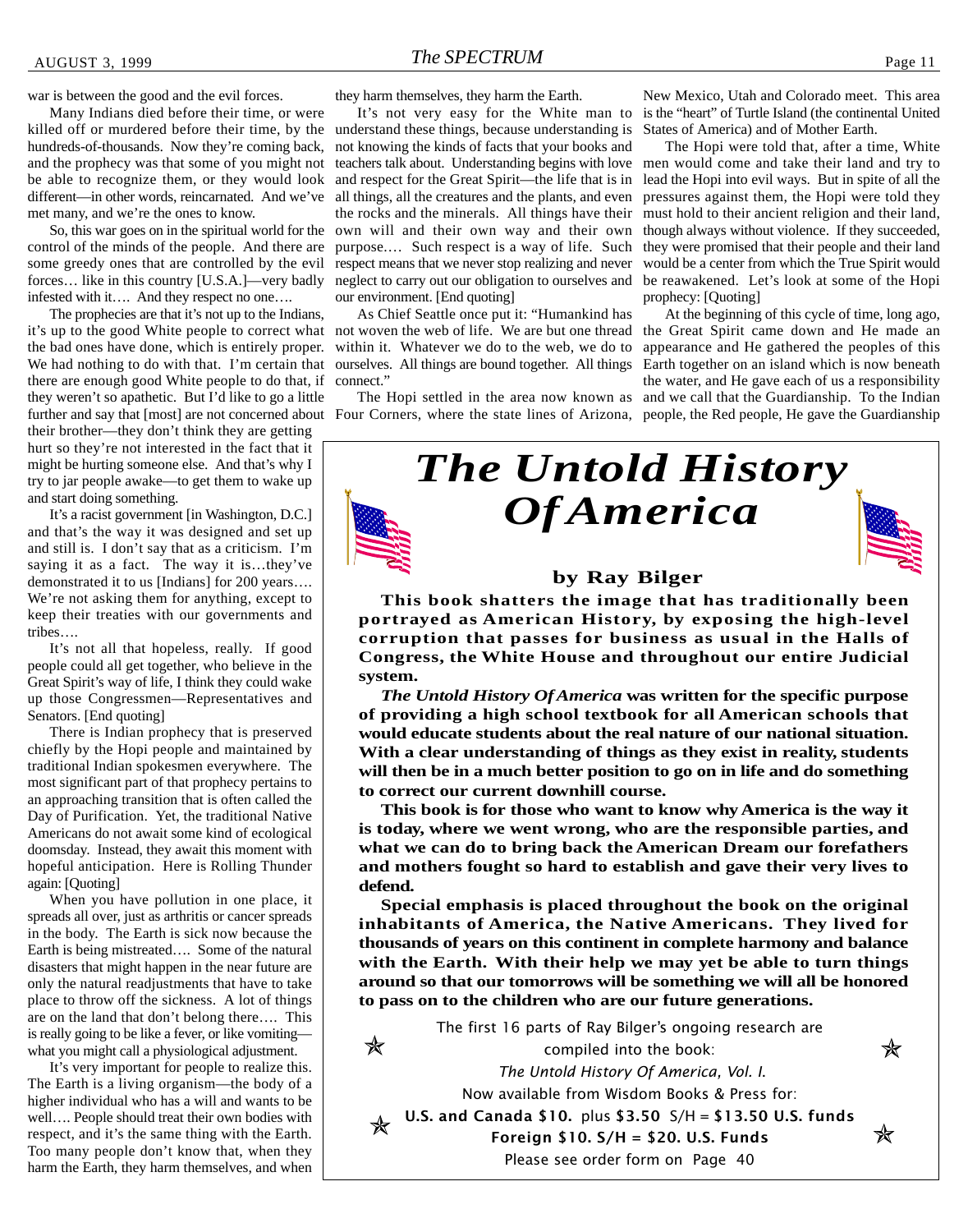war is between the good and the evil forces.

Many Indians died before their time, or were killed off or murdered before their time, by the hundreds-of-thousands. Now they're coming back, and the prophecy was that some of you might not be able to recognize them, or they would look different—in other words, reincarnated. And we've met many, and we're the ones to know.

So, this war goes on in the spiritual world for the control of the minds of the people. And there are some greedy ones that are controlled by the evil forces… like in this country [U.S.A.]—very badly infested with it…. And they respect no one….

The prophecies are that it's not up to the Indians, there are enough good White people to do that, if they weren't so apathetic. But I'd like to go a little further and say that [most] are not concerned about Four Corners, where the state lines of Arizona, people, the Red people, He gave the Guardianship

their brother—they don't think they are getting hurt so they're not interested in the fact that it might be hurting someone else. And that's why I try to jar people awake—to get them to wake up and start doing something.

It's a racist government [in Washington, D.C.] and that's the way it was designed and set up and still is. I don't say that as a criticism. I'm saying it as a fact. The way it is…they've demonstrated it to us [Indians] for 200 years…. We're not asking them for anything, except to keep their treaties with our governments and tribes….

It's not all that hopeless, really. If good people could all get together, who believe in the Great Spirit's way of life, I think they could wake up those Congressmen—Representatives and Senators. [End quoting]

There is Indian prophecy that is preserved chiefly by the Hopi people and maintained by traditional Indian spokesmen everywhere. The most significant part of that prophecy pertains to an approaching transition that is often called the Day of Purification. Yet, the traditional Native Americans do not await some kind of ecological doomsday. Instead, they await this moment with hopeful anticipation. Here is Rolling Thunder again: [Quoting]

When you have pollution in one place, it spreads all over, just as arthritis or cancer spreads in the body. The Earth is sick now because the Earth is being mistreated…. Some of the natural disasters that might happen in the near future are only the natural readjustments that have to take place to throw off the sickness. A lot of things are on the land that don't belong there…. This is really going to be like a fever, or like vomiting what you might call a physiological adjustment.

It's very important for people to realize this. The Earth is a living organism—the body of a higher individual who has a will and wants to be well…. People should treat their own bodies with respect, and it's the same thing with the Earth. Too many people don't know that, when they harm the Earth, they harm themselves, and when

they harm themselves, they harm the Earth.

It's not very easy for the White man to understand these things, because understanding is not knowing the kinds of facts that your books and teachers talk about. Understanding begins with love and respect for the Great Spirit—the life that is in all things, all the creatures and the plants, and even the rocks and the minerals. All things have their own will and their own way and their own purpose.… Such respect is a way of life. Such respect means that we never stop realizing and never neglect to carry out our obligation to ourselves and our environment. [End quoting]

As Chief Seattle once put it: "Humankind has connect."

New Mexico, Utah and Colorado meet. This area is the "heart" of Turtle Island (the continental United States of America) and of Mother Earth.

The Hopi were told that, after a time, White men would come and take their land and try to lead the Hopi into evil ways. But in spite of all the pressures against them, the Hopi were told they must hold to their ancient religion and their land, though always without violence. If they succeeded, they were promised that their people and their land would be a center from which the True Spirit would be reawakened. Let's look at some of the Hopi prophecy: [Quoting]

it's up to the good White people to correct what not woven the web of life. We are but one thread the Great Spirit came down and He made an the bad ones have done, which is entirely proper. within it. Whatever we do to the web, we do to appearance and He gathered the peoples of this We had nothing to do with that. I'm certain that ourselves. All things are bound together. All things Earth together on an island which is now beneath The Hopi settled in the area now known as and we call that the Guardianship. To the Indian At the beginning of this cycle of time, long ago, the water, and He gave each of us a responsibility



#### **by Ray Bilger**

**This book shatters the image that has traditionally been portrayed as American History, by exposing the high-level corruption that passes for business as usual in the Halls of Congress, the White House and throughout our entire Judicial system.**

*The Untold History Of America* **was written for the specific purpose of providing a high school textbook for all American schools that would educate students about the real nature of our national situation. With a clear understanding of things as they exist in reality, students will then be in a much better position to go on in life and do something to correct our current downhill course.**

**This book is for those who want to know why America is the way it is today, where we went wrong, who are the responsible parties, and what we can do to bring back the American Dream our forefathers and mothers fought so hard to establish and gave their very lives to defend.**

**Special emphasis is placed throughout the book on the original inhabitants of America, the Native Americans. They lived for thousands of years on this continent in complete harmony and balance with the Earth. With their help we may yet be able to turn things around so that our tomorrows will be something we will all be honored to pass on to the children who are our future generations.**

The first 16 parts of Ray Bilger's ongoing research are  $\bigstar$ compiled into the book: The Untold History Of America, Vol. I. Now available from Wisdom Books & Press for: U.S. and Canada \$10. plus \$3.50 S/H = \$13.50 U.S. funds ✬ Foreign \$10. S/H = \$20. U.S. Funds Please see order form on Page 40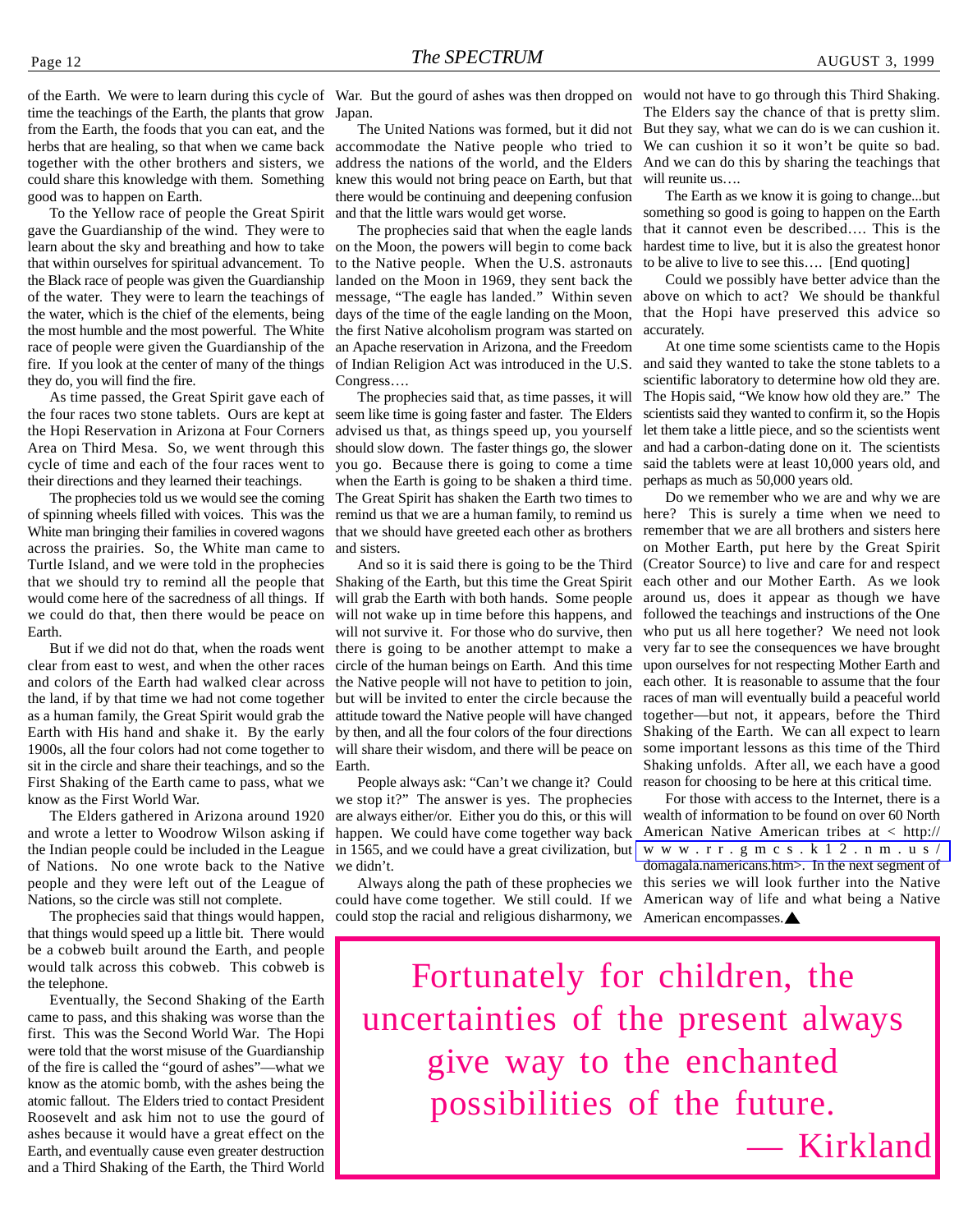time the teachings of the Earth, the plants that grow from the Earth, the foods that you can eat, and the herbs that are healing, so that when we came back together with the other brothers and sisters, we could share this knowledge with them. Something good was to happen on Earth.

To the Yellow race of people the Great Spirit gave the Guardianship of the wind. They were to learn about the sky and breathing and how to take that within ourselves for spiritual advancement. To the Black race of people was given the Guardianship of the water. They were to learn the teachings of the water, which is the chief of the elements, being the most humble and the most powerful. The White race of people were given the Guardianship of the an Apache reservation in Arizona, and the Freedom fire. If you look at the center of many of the things they do, you will find the fire.

As time passed, the Great Spirit gave each of the four races two stone tablets. Ours are kept at seem like time is going faster and faster. The Elders the Hopi Reservation in Arizona at Four Corners Area on Third Mesa. So, we went through this cycle of time and each of the four races went to their directions and they learned their teachings.

The prophecies told us we would see the coming of spinning wheels filled with voices. This was the White man bringing their families in covered wagons across the prairies. So, the White man came to Turtle Island, and we were told in the prophecies that we should try to remind all the people that would come here of the sacredness of all things. If we could do that, then there would be peace on Earth.

But if we did not do that, when the roads went clear from east to west, and when the other races and colors of the Earth had walked clear across the land, if by that time we had not come together as a human family, the Great Spirit would grab the Earth with His hand and shake it. By the early 1900s, all the four colors had not come together to sit in the circle and share their teachings, and so the First Shaking of the Earth came to pass, what we know as the First World War.

The Elders gathered in Arizona around 1920 and wrote a letter to Woodrow Wilson asking if the Indian people could be included in the League of Nations. No one wrote back to the Native people and they were left out of the League of Nations, so the circle was still not complete.

The prophecies said that things would happen, that things would speed up a little bit. There would be a cobweb built around the Earth, and people would talk across this cobweb. This cobweb is the telephone.

Eventually, the Second Shaking of the Earth came to pass, and this shaking was worse than the first. This was the Second World War. The Hopi were told that the worst misuse of the Guardianship of the fire is called the "gourd of ashes"—what we know as the atomic bomb, with the ashes being the atomic fallout. The Elders tried to contact President Roosevelt and ask him not to use the gourd of ashes because it would have a great effect on the Earth, and eventually cause even greater destruction and a Third Shaking of the Earth, the Third World

Japan.

The United Nations was formed, but it did not accommodate the Native people who tried to address the nations of the world, and the Elders knew this would not bring peace on Earth, but that there would be continuing and deepening confusion and that the little wars would get worse.

The prophecies said that when the eagle lands on the Moon, the powers will begin to come back to the Native people. When the U.S. astronauts landed on the Moon in 1969, they sent back the message, "The eagle has landed." Within seven days of the time of the eagle landing on the Moon, that the Hopi have preserved this advice so the first Native alcoholism program was started on of Indian Religion Act was introduced in the U.S. Congress….

The prophecies said that, as time passes, it will advised us that, as things speed up, you yourself should slow down. The faster things go, the slower you go. Because there is going to come a time when the Earth is going to be shaken a third time. The Great Spirit has shaken the Earth two times to that we should have greeted each other as brothers and sisters.

And so it is said there is going to be the Third Shaking of the Earth, but this time the Great Spirit will grab the Earth with both hands. Some people will not wake up in time before this happens, and will not survive it. For those who do survive, then there is going to be another attempt to make a circle of the human beings on Earth. And this time the Native people will not have to petition to join, but will be invited to enter the circle because the attitude toward the Native people will have changed by then, and all the four colors of the four directions will share their wisdom, and there will be peace on Earth.

People always ask: "Can't we change it? Could we stop it?" The answer is yes. The prophecies are always either/or. Either you do this, or this will happen. We could have come together way back in 1565, and we could have a great civilization, but we didn't.

Always along the path of these prophecies we could have come together. We still could. If we could stop the racial and religious disharmony, we

of the Earth. We were to learn during this cycle of War. But the gourd of ashes was then dropped on would not have to go through this Third Shaking. The Elders say the chance of that is pretty slim. But they say, what we can do is we can cushion it. We can cushion it so it won't be quite so bad. And we can do this by sharing the teachings that will reunite us....

> The Earth as we know it is going to change...but something so good is going to happen on the Earth that it cannot even be described…. This is the hardest time to live, but it is also the greatest honor to be alive to live to see this…. [End quoting]

> Could we possibly have better advice than the above on which to act? We should be thankful accurately.

> At one time some scientists came to the Hopis and said they wanted to take the stone tablets to a scientific laboratory to determine how old they are. The Hopis said, "We know how old they are." The scientists said they wanted to confirm it, so the Hopis let them take a little piece, and so the scientists went and had a carbon-dating done on it. The scientists said the tablets were at least 10,000 years old, and perhaps as much as 50,000 years old.

remind us that we are a human family, to remind us here? This is surely a time when we need to Do we remember who we are and why we are remember that we are all brothers and sisters here on Mother Earth, put here by the Great Spirit (Creator Source) to live and care for and respect each other and our Mother Earth. As we look around us, does it appear as though we have followed the teachings and instructions of the One who put us all here together? We need not look very far to see the consequences we have brought upon ourselves for not respecting Mother Earth and each other. It is reasonable to assume that the four races of man will eventually build a peaceful world together—but not, it appears, before the Third Shaking of the Earth. We can all expect to learn some important lessons as this time of the Third Shaking unfolds. After all, we each have a good reason for choosing to be here at this critical time.

> For those with access to the Internet, there is a wealth of information to be found on over 60 North American Native American tribes at < http:// [www.rr.gmcs.k12.nm.us/](http://www.rr.gmcs.kl2.nm.us/domagala.namericans.htm) domagala.namericans.htm>. In the next segment of this series we will look further into the Native American way of life and what being a Native American encompasses.

> > **Kirkland**

Fortunately for children, the uncertainties of the present always give way to the enchanted possibilities of the future.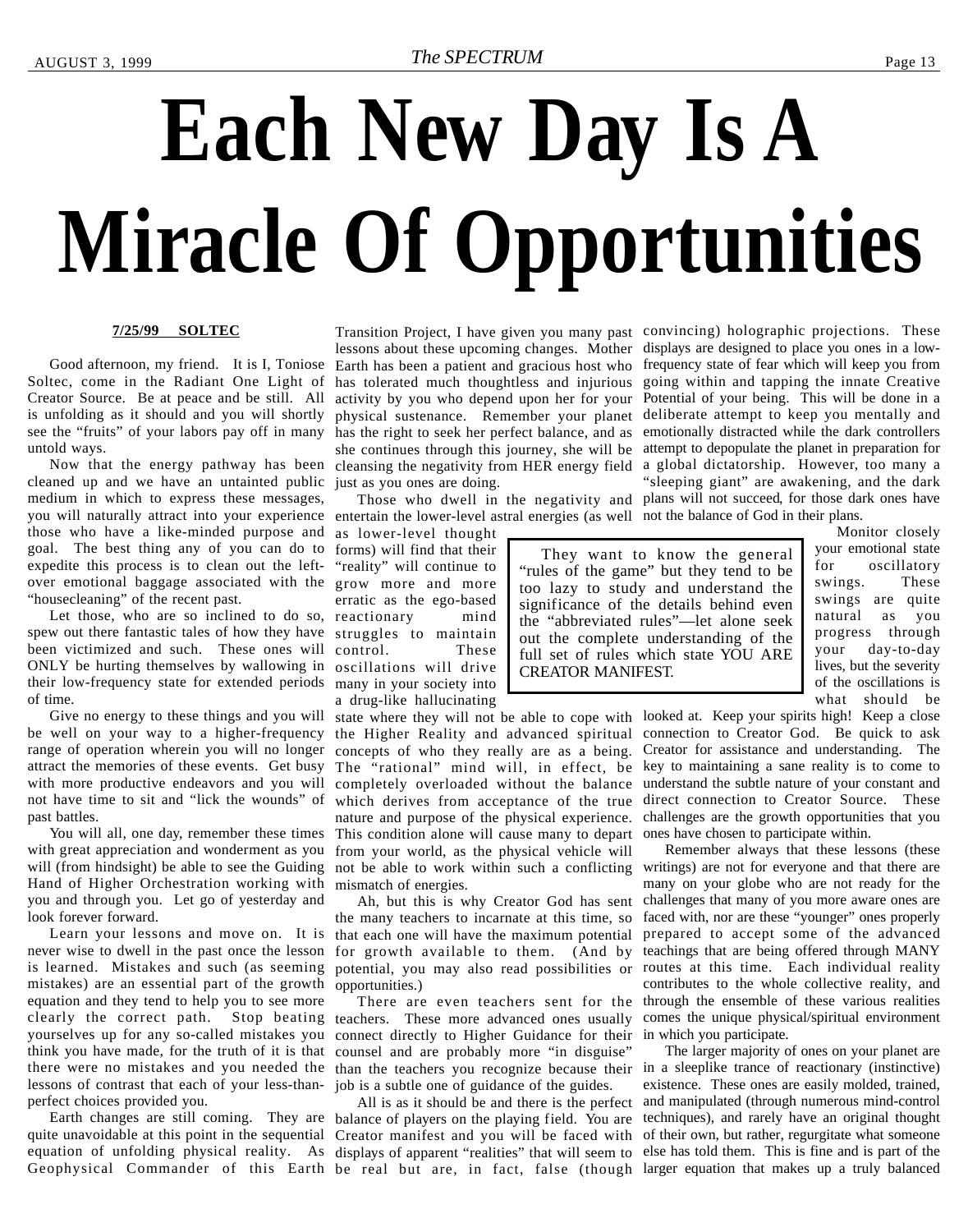# <span id="page-12-0"></span>**Each New Day Is A Miracle Of Opportunities**

#### **7/25/99 SOLTEC**

Good afternoon, my friend. It is I, Toniose Soltec, come in the Radiant One Light of Creator Source. Be at peace and be still. All is unfolding as it should and you will shortly see the "fruits" of your labors pay off in many untold ways.

cleaned up and we have an untainted public medium in which to express these messages, you will naturally attract into your experience those who have a like-minded purpose and goal. The best thing any of you can do to expedite this process is to clean out the leftover emotional baggage associated with the "housecleaning" of the recent past.

Let those, who are so inclined to do so, reactionary mind spew out there fantastic tales of how they have struggles to maintain been victimized and such. These ones will ONLY be hurting themselves by wallowing in oscillations will drive their low-frequency state for extended periods many in your society into of time.

Give no energy to these things and you will be well on your way to a higher-frequency range of operation wherein you will no longer attract the memories of these events. Get busy with more productive endeavors and you will not have time to sit and "lick the wounds" of past battles.

You will all, one day, remember these times with great appreciation and wonderment as you will (from hindsight) be able to see the Guiding Hand of Higher Orchestration working with you and through you. Let go of yesterday and look forever forward.

Learn your lessons and move on. It is never wise to dwell in the past once the lesson is learned. Mistakes and such (as seeming mistakes) are an essential part of the growth equation and they tend to help you to see more clearly the correct path. Stop beating yourselves up for any so-called mistakes you think you have made, for the truth of it is that there were no mistakes and you needed the lessons of contrast that each of your less-thanperfect choices provided you.

quite unavoidable at this point in the sequential Creator manifest and you will be faced with of their own, but rather, regurgitate what someone equation of unfolding physical reality. As displays of apparent "realities" that will seem to else has told them. This is fine and is part of the

Now that the energy pathway has been cleansing the negativity from HER energy field a global dictatorship. However, too many a lessons about these upcoming changes. Mother Earth has been a patient and gracious host who frequency state of fear which will keep you from has tolerated much thoughtless and injurious going within and tapping the innate Creative activity by you who depend upon her for your physical sustenance. Remember your planet deliberate attempt to keep you mentally and has the right to seek her perfect balance, and as emotionally distracted while the dark controllers she continues through this journey, she will be attempt to depopulate the planet in preparation for just as you ones are doing.

entertain the lower-level astral energies (as well not the balance of God in their plans.

as lower-level thought forms) will find that their "reality" will continue to grow more and more erratic as the ego-based control. These a drug-like hallucinating

concepts of who they really are as a being. which derives from acceptance of the true nature and purpose of the physical experience. This condition alone will cause many to depart from your world, as the physical vehicle will not be able to work within such a conflicting mismatch of energies.

Ah, but this is why Creator God has sent the many teachers to incarnate at this time, so that each one will have the maximum potential for growth available to them. (And by teachings that are being offered through MANY potential, you may also read possibilities or routes at this time. Each individual reality opportunities.)

There are even teachers sent for the teachers. These more advanced ones usually connect directly to Higher Guidance for their counsel and are probably more "in disguise" than the teachers you recognize because their in a sleeplike trance of reactionary (instinctive) job is a subtle one of guidance of the guides.

Earth changes are still coming. They are balance of players on the playing field. You are techniques), and rarely have an original thought Geophysical Commander of this Earth be real but are, in fact, false (though larger equation that makes up a truly balanced

Transition Project, I have given you many past convincing) holographic projections. These Those who dwell in the negativity and plans will not succeed, for those dark ones have displays are designed to place you ones in a low-Potential of your being. This will be done in a "sleeping giant" are awakening, and the dark

> They want to know the general "rules of the game" but they tend to be too lazy to study and understand the significance of the details behind even the "abbreviated rules"—let alone seek out the complete understanding of the full set of rules which state YOU ARE CREATOR MANIFEST.

Monitor closely your emotional state for oscillatory swings. These swings are quite natural as you progress through your day-to-day lives, but the severity of the oscillations is what should be

state where they will not be able to cope with looked at. Keep your spirits high! Keep a close the Higher Reality and advanced spiritual connection to Creator God. Be quick to ask The "rational" mind will, in effect, be key to maintaining a sane reality is to come to completely overloaded without the balance understand the subtle nature of your constant and Creator for assistance and understanding. The direct connection to Creator Source. These challenges are the growth opportunities that you ones have chosen to participate within.

> Remember always that these lessons (these writings) are not for everyone and that there are many on your globe who are not ready for the challenges that many of you more aware ones are faced with, nor are these "younger" ones properly prepared to accept some of the advanced contributes to the whole collective reality, and through the ensemble of these various realities comes the unique physical/spiritual environment in which you participate.

All is as it should be and there is the perfect and manipulated (through numerous mind-control The larger majority of ones on your planet are existence. These ones are easily molded, trained,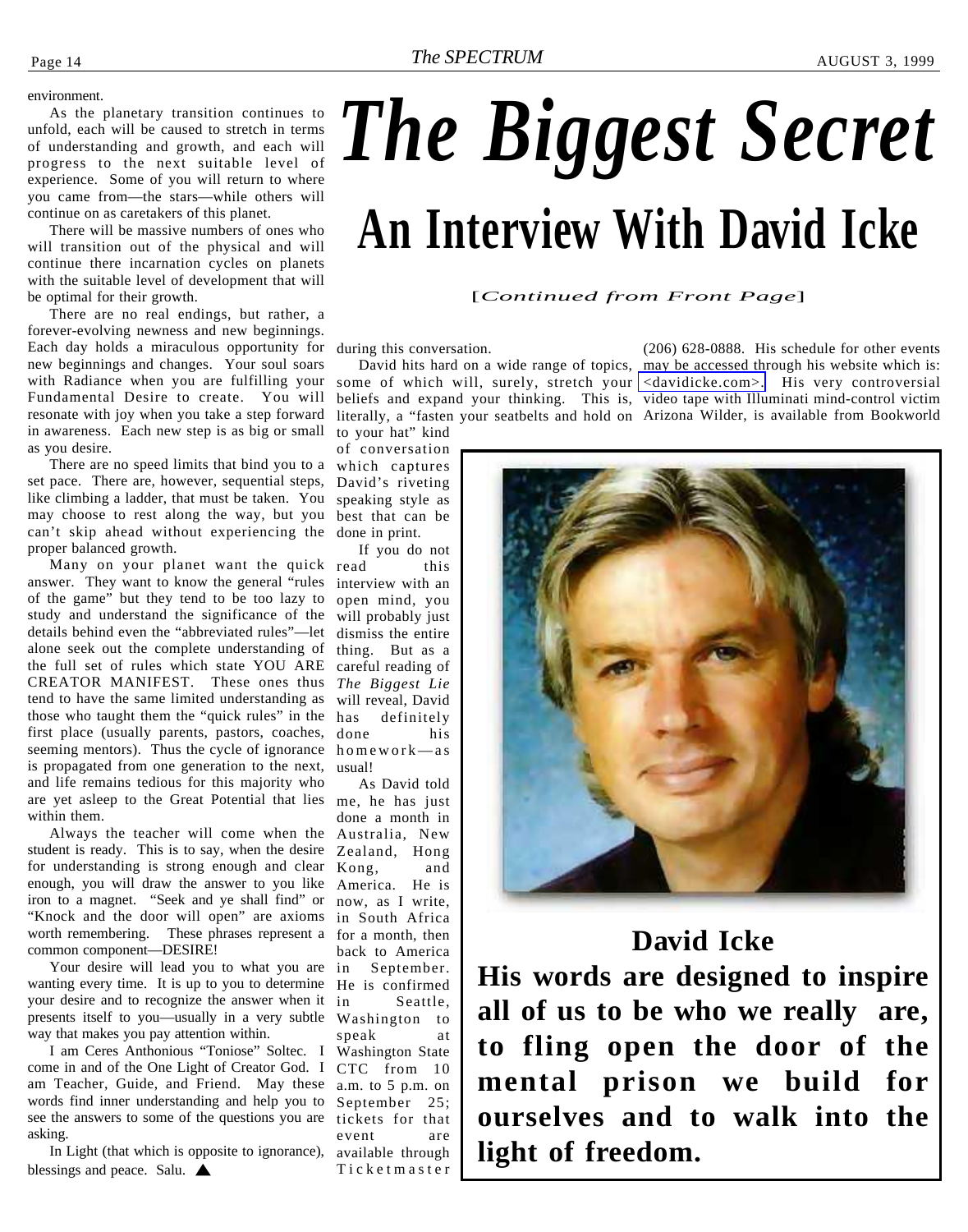#### <span id="page-13-0"></span>environment.

As the planetary transition continues to unfold, each will be caused to stretch in terms of understanding and growth, and each will progress to the next suitable level of experience. Some of you will return to where you came from—the stars—while others will continue on as caretakers of this planet.

There will be massive numbers of ones who will transition out of the physical and will continue there incarnation cycles on planets with the suitable level of development that will be optimal for their growth.

There are no real endings, but rather, a forever-evolving newness and new beginnings. Each day holds a miraculous opportunity for during this conversation. new beginnings and changes. Your soul soars with Radiance when you are fulfilling your some of which will, surely, stretch your [<davidicke.com>.](http://www.davidicke.com) His very controversial Fundamental Desire to create. You will resonate with joy when you take a step forward in awareness. Each new step is as big or small to your hat" kind as you desire.

There are no speed limits that bind you to a which captures set pace. There are, however, sequential steps, like climbing a ladder, that must be taken. You may choose to rest along the way, but you can't skip ahead without experiencing the proper balanced growth.

Many on your planet want the quick read this answer. They want to know the general "rules of the game" but they tend to be too lazy to study and understand the significance of the details behind even the "abbreviated rules"—let alone seek out the complete understanding of the full set of rules which state YOU ARE CREATOR MANIFEST. These ones thus tend to have the same limited understanding as those who taught them the "quick rules" in the first place (usually parents, pastors, coaches, done his seeming mentors). Thus the cycle of ignorance homework—as is propagated from one generation to the next, and life remains tedious for this majority who are yet asleep to the Great Potential that lies me, he has just within them.

Always the teacher will come when the Australia, New student is ready. This is to say, when the desire for understanding is strong enough and clear enough, you will draw the answer to you like iron to a magnet. "Seek and ye shall find" or "Knock and the door will open" are axioms worth remembering. These phrases represent a common component—DESIRE!

Your desire will lead you to what you are wanting every time. It is up to you to determine your desire and to recognize the answer when it presents itself to you—usually in a very subtle way that makes you pay attention within.

I am Ceres Anthonious "Toniose" Soltec. I come in and of the One Light of Creator God. I am Teacher, Guide, and Friend. May these words find inner understanding and help you to see the answers to some of the questions you are asking.

In Light (that which is opposite to ignorance), blessings and peace. Salu.  $\triangle$ 

## *The Biggest Secret* **An Interview With David Icke**

[*Continued from Front Page*]

literally, a "fasten your seatbelts and hold on Arizona Wilder, is available from Bookworld

David hits hard on a wide range of topics, may be accessed through his website which is: beliefs and expand your thinking. This is, video tape with Illuminati mind-control victim (206) 628-0888. His schedule for other events

of conversation David's riveting speaking style as best that can be done in print.

If you do not interview with an open mind, you will probably just dismiss the entire thing. But as a careful reading of *The Biggest Lie* will reveal, David has definitely usual!

As David told done a month in Zealand, Hong Kong, and America. He is now, as I write, in South Africa for a month, then back to America in September. He is confirmed in Seattle, Washington to speak at Washington State CTC from 10 a.m. to 5 p.m. on September 25; tickets for that event are available through Ticketmaster



### **David Icke**

**His words are designed to inspire all of us to be who we really are, to fling open the door of the mental prison we build for ourselves and to walk into the light of freedom.**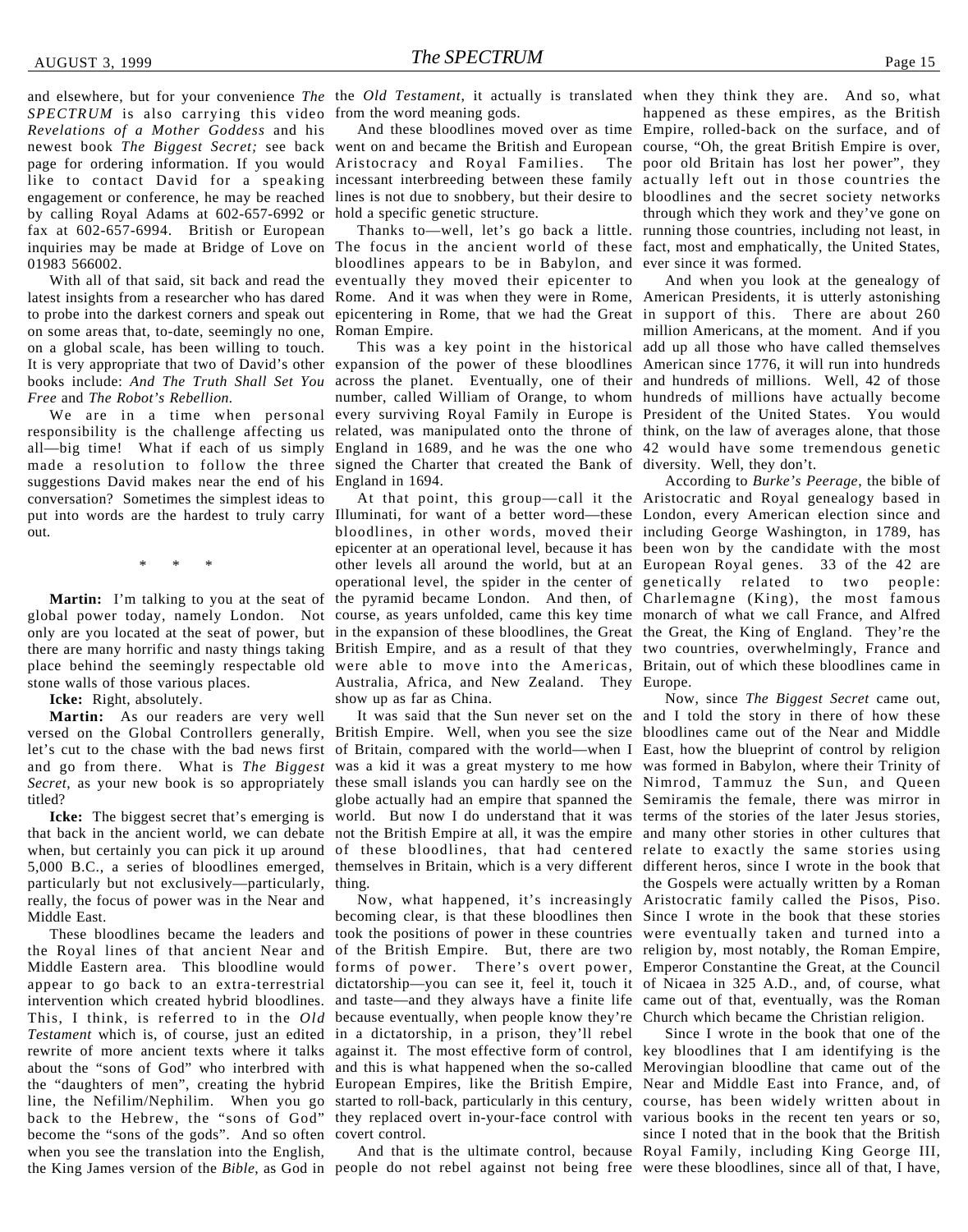SPECTRUM is also carrying this video from the word meaning gods. *Revelations of a Mother Goddess* and his newest book *The Biggest Secret;* see back went on and became the British and European course, "Oh, the great British Empire is over, page for ordering information. If you would Aristocracy and Royal Families. The like to contact David for a speaking incessant interbreeding between these family actually left out in those countries the engagement or conference, he may be reached by calling Royal Adams at 602-657-6992 or fax at 602-657-6994. British or European inquiries may be made at Bridge of Love on The focus in the ancient world of these fact, most and emphatically, the United States, 01983 566002.

latest insights from a researcher who has dared Rome. And it was when they were in Rome, American Presidents, it is utterly astonishing to probe into the darkest corners and speak out epicentering in Rome, that we had the Great in support of this. There are about 260 on some areas that, to-date, seemingly no one, Roman Empire. on a global scale, has been willing to touch. *Free* and *The Robot's Rebellion.*

suggestions David makes near the end of his England in 1694. conversation? Sometimes the simplest ideas to out.

\* \* \*

**Martin:** I'm talking to you at the seat of global power today, namely London. Not only are you located at the seat of power, but stone walls of those various places.

**Icke:** Right, absolutely.

**Martin:** As our readers are very well titled?

when, but certainly you can pick it up around 5,000 B.C., a series of bloodlines emerged, particularly but not exclusively—particularly, thing. really, the focus of power was in the Near and Middle East.

the Royal lines of that ancient Near and of the British Empire. But, there are two religion by, most notably, the Roman Empire, Middle Eastern area. This bloodline would forms of power. There's overt power, Emperor Constantine the Great, at the Council appear to go back to an extra-terrestrial dictatorship—you can see it, feel it, touch it of Nicaea in 325 A.D., and, of course, what intervention which created hybrid bloodlines. and taste—and they always have a finite life came out of that, eventually, was the Roman This, I think, is referred to in the *Old* because eventually, when people know they're Church which became the Christian religion. *Testament* which is, of course, just an edited in a dictatorship, in a prison, they'll rebel rewrite of more ancient texts where it talks against it. The most effective form of control, key bloodlines that I am identifying is the about the "sons of God" who interbred with and this is what happened when the so-called Merovingian bloodline that came out of the the "daughters of men", creating the hybrid European Empires, like the British Empire, Near and Middle East into France, and, of line, the Nefilim/Nephilim. When you go started to roll-back, particularly in this century, course, has been widely written about in back to the Hebrew, the "sons of God" they replaced overt in-your-face control with various books in the recent ten years or so, become the "sons of the gods". And so often covert control. when you see the translation into the English,

lines is not due to snobbery, but their desire to bloodlines and the secret society networks hold a specific genetic structure.

With all of that said, sit back and read the eventually they moved their epicenter to bloodlines appears to be in Babylon, and ever since it was formed.

It is very appropriate that two of David's other expansion of the power of these bloodlines American since 1776, it will run into hundreds books include: *And The Truth Shall Set You* across the planet. Eventually, one of their and hundreds of millions. Well, 42 of those We are in a time when personal every surviving Royal Family in Europe is President of the United States. You would responsibility is the challenge affecting us related, was manipulated onto the throne of think, on the law of averages alone, that those all—big time! What if each of us simply England in 1689, and he was the one who 42 would have some tremendous genetic made a resolution to follow the three signed the Charter that created the Bank of diversity. Well, they don't. number, called William of Orange, to whom hundreds of millions have actually become

put into words are the hardest to truly carry Illuminati, for want of a better word—these London, every American election since and there are many horrific and nasty things taking British Empire, and as a result of that they two countries, overwhelmingly, France and place behind the seemingly respectable old were able to move into the Americas, Britain, out of which these bloodlines came in bloodlines, in other words, moved their including George Washington, in 1789, has epicenter at an operational level, because it has been won by the candidate with the most other levels all around the world, but at an European Royal genes. 33 of the 42 are operational level, the spider in the center of genetically related to two people: the pyramid became London. And then, of Charlemagne (King), the most famous course, as years unfolded, came this key time monarch of what we call France, and Alfred in the expansion of these bloodlines, the Great the Great, the King of England. They're the Australia, Africa, and New Zealand. They Europe. show up as far as China.

versed on the Global Controllers generally, British Empire. Well, when you see the size bloodlines came out of the Near and Middle let's cut to the chase with the bad news first of Britain, compared with the world—when I East, how the blueprint of control by religion and go from there. What is *The Biggest* was a kid it was a great mystery to me how was formed in Babylon, where their Trinity of Secret, as your new book is so appropriately these small islands you can hardly see on the Nimrod, Tammuz the Sun, and Queen Icke: The biggest secret that's emerging is world. But now I do understand that it was terms of the stories of the later Jesus stories, that back in the ancient world, we can debate not the British Empire at all, it was the empire and many other stories in other cultures that globe actually had an empire that spanned the Semiramis the female, there was mirror in of these bloodlines, that had centered relate to exactly the same stories using themselves in Britain, which is a very different different heros, since I wrote in the book that

These bloodlines became the leaders and took the positions of power in these countries were eventually taken and turned into a becoming clear, is that these bloodlines then Since I wrote in the book that these stories

the King James version of the *Bible*, as God in people do not rebel against not being free were these bloodlines, since all of that, I have,

and elsewhere, but for your convenience The the Old Testament, it actually is translated when they think they are. And so, what And these bloodlines moved over as time Empire, rolled-back on the surface, and of Thanks to—well, let's go back a little. running those countries, including not least, in happened as these empires, as the British The poor old Britain has lost her power", they through which they work and they've gone on

> This was a key point in the historical add up all those who have called themselves And when you look at the genealogy of million Americans, at the moment. And if you

> At that point, this group—call it the Aristocratic and Royal genealogy based in According to *Burke's Peerage*, the bible of

> It was said that the Sun never set on the and I told the story in there of how these Now, what happened, it's increasingly Aristocratic family called the Pisos, Piso. Now, since *The Biggest Secret* came out, the Gospels were actually written by a Roman

> And that is the ultimate control, because Royal Family, including King George III, Since I wrote in the book that one of the since I noted that in the book that the British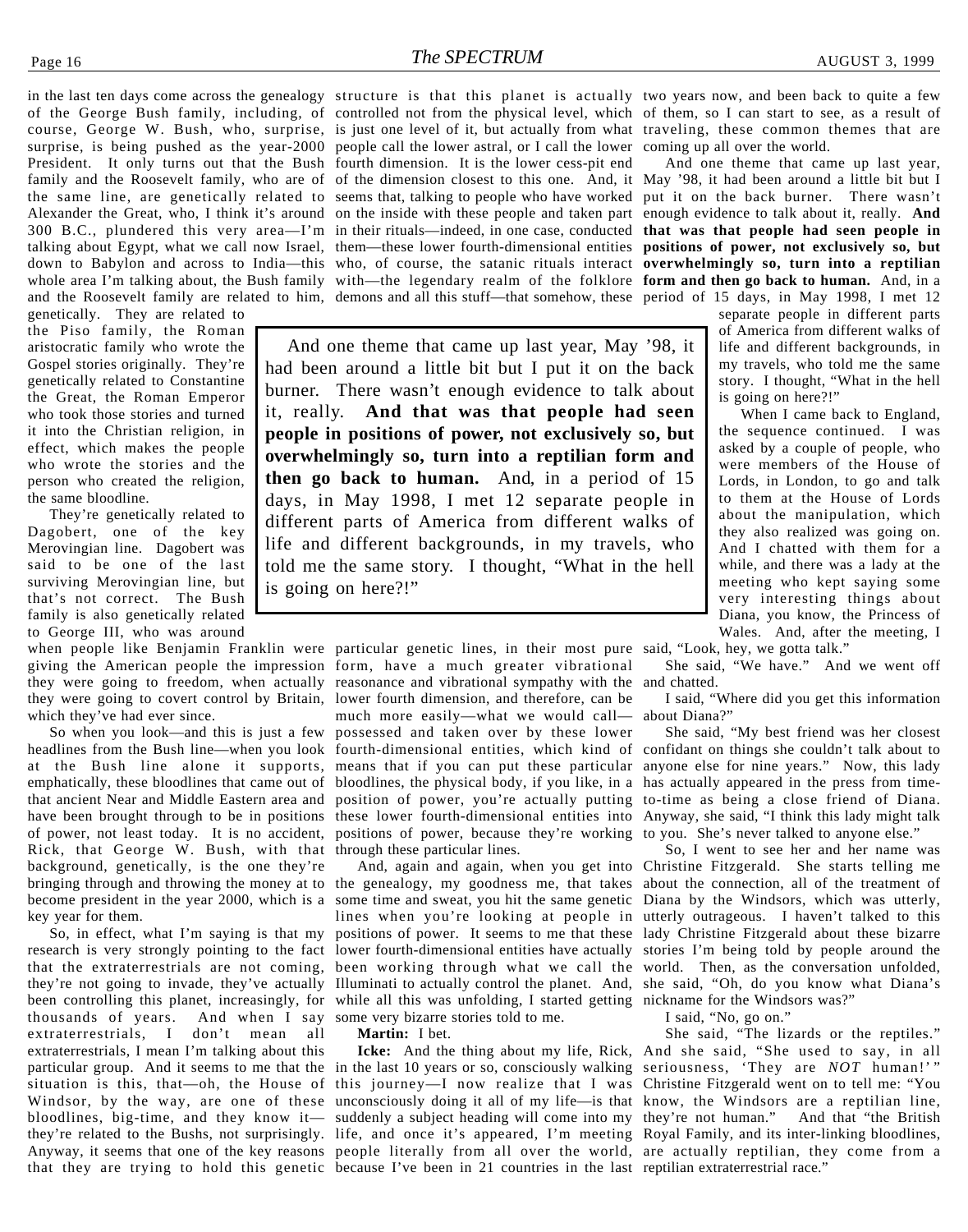of the George Bush family, including, of controlled not from the physical level, which of them, so I can start to see, as a result of course, George W. Bush, who, surprise, is just one level of it, but actually from what traveling, these common themes that are surprise, is being pushed as the year-2000 people call the lower astral, or I call the lower coming up all over the world. President. It only turns out that the Bush fourth dimension. It is the lower cess-pit end family and the Roosevelt family, who are of of the dimension closest to this one. And, it May '98, it had been around a little bit but I the same line, are genetically related to seems that, talking to people who have worked put it on the back burner. There wasn't Alexander the Great, who, I think it's around on the inside with these people and taken part enough evidence to talk about it, really. And 300 B.C., plundered this very area—I'm in their rituals—indeed, in one case, conducted **that was that people had seen people in** talking about Egypt, what we call now Israel, them—these lower fourth-dimensional entities **positions of power, not exclusively so, but** down to Babylon and across to India—this who, of course, the satanic rituals interact **overwhelmingly so, turn into a reptilian** whole area I'm talking about, the Bush family with—the legendary realm of the folklore **form and then go back to human.** And, in a

genetically. They are related to the Piso family, the Roman aristocratic family who wrote the Gospel stories originally. They're genetically related to Constantine the Great, the Roman Emperor who took those stories and turned it into the Christian religion, in effect, which makes the people who wrote the stories and the person who created the religion, the same bloodline.

They're genetically related to Dagobert, one of the key Merovingian line. Dagobert was said to be one of the last surviving Merovingian line, but that's not correct. The Bush family is also genetically related to George III, who was around

which they've had ever since.

So when you look—and this is just a few at the Bush line alone it supports, emphatically, these bloodlines that came out of that ancient Near and Middle Eastern area and of power, not least today. It is no accident, Rick, that George W. Bush, with that background, genetically, is the one they're bringing through and throwing the money at to the genealogy, my goodness me, that takes about the connection, all of the treatment of become president in the year 2000, which is a key year for them.

So, in effect, what I'm saying is that my research is very strongly pointing to the fact lower fourth-dimensional entities have actually stories I'm being told by people around the that the extraterrestrials are not coming, they're not going to invade, they've actually Illuminati to actually control the planet. And, she said, "Oh, do you know what Diana's been controlling this planet, increasingly, for while all this was unfolding, I started getting nickname for the Windsors was?" thousands of years. And when I say extraterrestrials, I don't mean all extraterrestrials, I mean I'm talking about this particular group. And it seems to me that the in the last 10 years or so, consciously walking seriousness, 'They are *NOT* human!'" situation is this, that—oh, the House of this journey—I now realize that I was Christine Fitzgerald went on to tell me: "You Windsor, by the way, are one of these unconsciously doing it all of my life—is that know, the Windsors are a reptilian line, bloodlines, big-time, and they know it— suddenly a subject heading will come into my they're not human." And that "the British they're related to the Bushs, not surprisingly. life, and once it's appeared, I'm meeting Royal Family, and its inter-linking bloodlines, Anyway, it seems that one of the key reasons people literally from all over the world, are actually reptilian, they come from a

in the last ten days come across the genealogy structure is that this planet is actually two years now, and been back to quite a few and the Roosevelt family are related to him, demons and all this stuff—that somehow, these period of 15 days, in May 1998, I met 12

> And one theme that came up last year, May '98, it had been around a little bit but I put it on the back burner. There wasn't enough evidence to talk about it, really. **And that was that people had seen people in positions of power, not exclusively so, but overwhelmingly so, turn into a reptilian form and then go back to human.** And, in a period of 15 days, in May 1998, I met 12 separate people in different parts of America from different walks of life and different backgrounds, in my travels, who told me the same story. I thought, "What in the hell is going on here?!"

when people like Benjamin Franklin were particular genetic lines, in their most pure said, "Look, hey, we gotta talk." giving the American people the impression form, have a much greater vibrational they were going to freedom, when actually reasonance and vibrational sympathy with the and chatted. they were going to covert control by Britain, lower fourth dimension, and therefore, can be headlines from the Bush line—when you look fourth-dimensional entities, which kind of confidant on things she couldn't talk about to have been brought through to be in positions these lower fourth-dimensional entities into Anyway, she said, "I think this lady might talk much more easily—what we would call possessed and taken over by these lower means that if you can put these particular anyone else for nine years." Now, this lady bloodlines, the physical body, if you like, in a has actually appeared in the press from timeposition of power, you're actually putting to-time as being a close friend of Diana. positions of power, because they're working to you. She's never talked to anyone else." through these particular lines.

> some time and sweat, you hit the same genetic Diana by the Windsors, which was utterly, lines when you're looking at people in utterly outrageous. I haven't talked to this positions of power. It seems to me that these lady Christine Fitzgerald about these bizarre been working through what we call the world. Then, as the conversation unfolded, some very bizarre stories told to me.

**Martin:** I bet.

that they are trying to hold this genetic because I've been in 21 countries in the last reptilian extraterrestrial race."

And one theme that came up last year,

separate people in different parts of America from different walks of life and different backgrounds, in my travels, who told me the same story. I thought, "What in the hell is going on here?!"

When I came back to England, the sequence continued. I was asked by a couple of people, who were members of the House of Lords, in London, to go and talk to them at the House of Lords about the manipulation, which they also realized was going on. And I chatted with them for a while, and there was a lady at the meeting who kept saying some very interesting things about Diana, you know, the Princess of Wales. And, after the meeting, I

She said, "We have." And we went off

I said, "Where did you get this information about Diana?"

She said, "My best friend was her closest

And, again and again, when you get into Christine Fitzgerald. She starts telling me So, I went to see her and her name was

I said, "No, go on."

**Icke:** And the thing about my life, Rick, And she said, "She used to say, in all She said, "The lizards or the reptiles."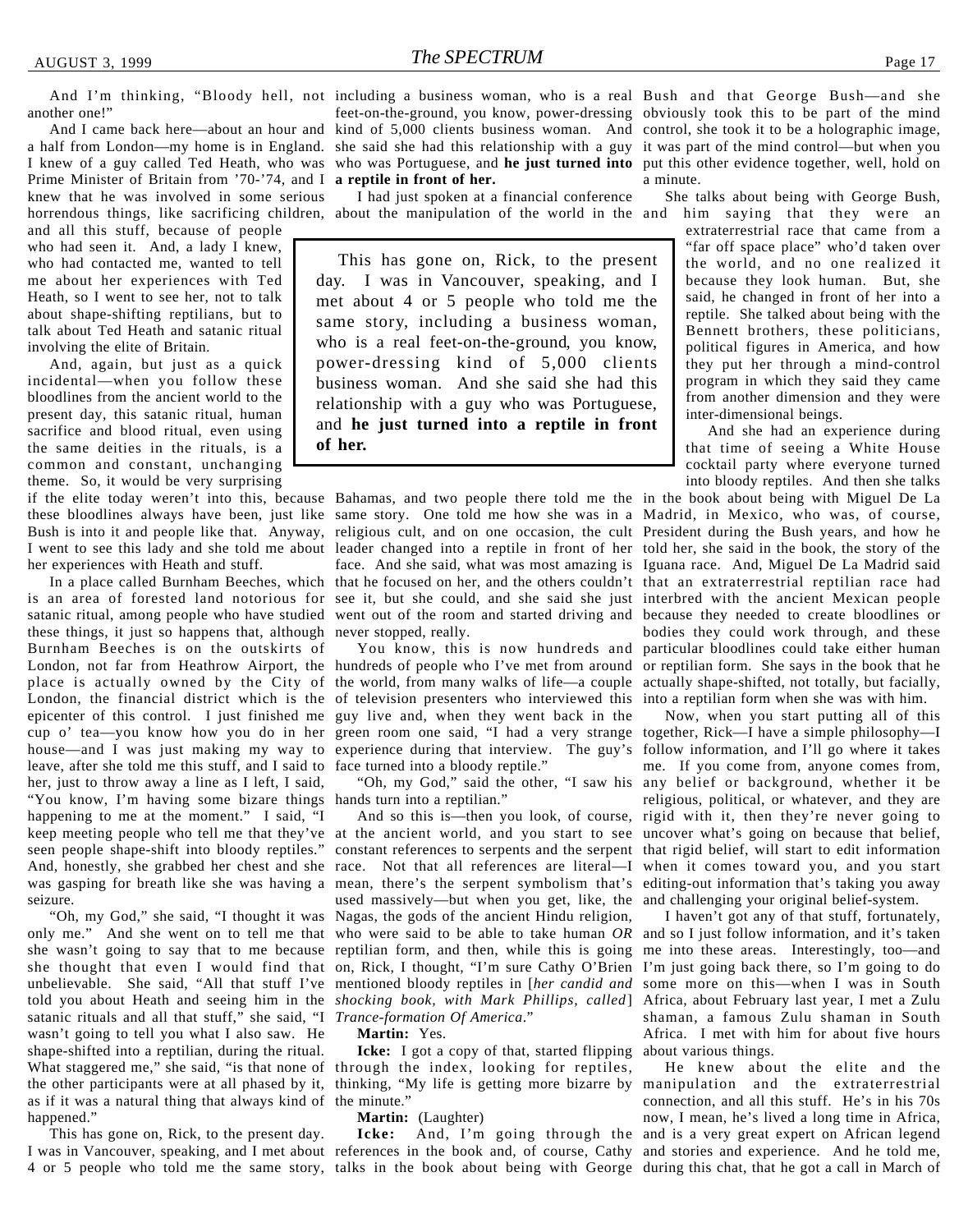another one!"

And I came back here—about an hour and a half from London—my home is in England. I knew of a guy called Ted Heath, who was Prime Minister of Britain from '70-'74, and I knew that he was involved in some serious horrendous things, like sacrificing children, about the manipulation of the world in the

and all this stuff, because of people who had seen it. And, a lady I knew, who had contacted me, wanted to tell me about her experiences with Ted Heath, so I went to see her, not to talk about shape-shifting reptilians, but to talk about Ted Heath and satanic ritual involving the elite of Britain.

And, again, but just as a quick incidental—when you follow these bloodlines from the ancient world to the present day, this satanic ritual, human sacrifice and blood ritual, even using the same deities in the rituals, is a common and constant, unchanging theme. So, it would be very surprising

her experiences with Heath and stuff.

these things, it just so happens that, although never stopped, really. Burnham Beeches is on the outskirts of London, not far from Heathrow Airport, the hundreds of people who I've met from around or reptilian form. She says in the book that he place is actually owned by the City of London, the financial district which is the epicenter of this control. I just finished me cup o' tea—you know how you do in her house—and I was just making my way to experience during that interview. The guy's follow information, and I'll go where it takes leave, after she told me this stuff, and I said to face turned into a bloody reptile." her, just to throw away a line as I left, I said, "You know, I'm having some bizare things hands turn into a reptilian." happening to me at the moment." I said, "I keep meeting people who tell me that they've at the ancient world, and you start to see seen people shape-shift into bloody reptiles." And, honestly, she grabbed her chest and she race. Not that all references are literal—I was gasping for breath like she was having a mean, there's the serpent symbolism that's editing-out information that's taking you away seizure.

only me." And she went on to tell me that who were said to be able to take human *OR* and so I just follow information, and it's taken she wasn't going to say that to me because reptilian form, and then, while this is going me into these areas. Interestingly, too—and she thought that even I would find that on, Rick, I thought, "I'm sure Cathy O'Brien I'm just going back there, so I'm going to do unbelievable. She said, "All that stuff I've mentioned bloody reptiles in [her candid and some more on this—when I was in South told you about Heath and seeing him in the *shocking book, with Mark Phillips, called*] Africa, about February last year, I met a Zulu satanic rituals and all that stuff," she said, "I *Trance-formation Of America*." wasn't going to tell you what I also saw. He shape-shifted into a reptilian, during the ritual. What staggered me," she said, "is that none of through the index, looking for reptiles, the other participants were at all phased by it, thinking, "My life is getting more bizarre by as if it was a natural thing that always kind of the minute." happened."

This has gone on, Rick, to the present day. I was in Vancouver, speaking, and I met about references in the book and, of course, Cathy and stories and experience. And he told me, 4 or 5 people who told me the same story, talks in the book about being with George during this chat, that he got a call in March of

And I'm thinking, "Bloody hell, not including a business woman, who is a real Bush and that George Bush—and she feet-on-the-ground, you know, power-dressing obviously took this to be part of the mind kind of 5,000 clients business woman. And control, she took it to be a holographic image, she said she had this relationship with a guy it was part of the mind control—but when you who was Portuguese, and **he just turned into** put this other evidence together, well, hold on **a reptile in front of her.**

I had just spoken at a financial conference

This has gone on, Rick, to the present day. I was in Vancouver, speaking, and I met about 4 or 5 people who told me the same story, including a business woman, who is a real feet-on-the-ground, you know, power-dressing kind of 5,000 clients business woman. And she said she had this relationship with a guy who was Portuguese, and **he just turned into a reptile in front of her.**

if the elite today weren't into this, because Bahamas, and two people there told me the in the book about being with Miguel De La these bloodlines always have been, just like same story. One told me how she was in a Madrid, in Mexico, who was, of course, Bush is into it and people like that. Anyway, religious cult, and on one occasion, the cult President during the Bush years, and how he I went to see this lady and she told me about leader changed into a reptile in front of her told her, she said in the book, the story of the In a place called Burnham Beeches, which that he focused on her, and the others couldn't that an extraterrestrial reptilian race had is an area of forested land notorious for see it, but she could, and she said she just interbred with the ancient Mexican people satanic ritual, among people who have studied went out of the room and started driving and because they needed to create bloodlines or face. And she said, what was most amazing is Iguana race. And, Miguel De La Madrid said

> the world, from many walks of life—a couple actually shape-shifted, not totally, but facially, of television presenters who interviewed this into a reptilian form when she was with him. guy live and, when they went back in the green room one said, "I had a very strange together, Rick—I have a simple philosophy—I

"Oh, my God," she said, "I thought it was Nagas, the gods of the ancient Hindu religion, And so this is—then you look, of course, used massively—but when you get, like, the

#### **Martin:** Yes.

**Icke:** I got a copy of that, started flipping

#### **Martin:** (Laughter)

a minute.

She talks about being with George Bush, him saying that they were an

extraterrestrial race that came from a "far off space place" who'd taken over the world, and no one realized it because they look human. But, she said, he changed in front of her into a reptile. She talked about being with the Bennett brothers, these politicians, political figures in America, and how they put her through a mind-control program in which they said they came from another dimension and they were inter-dimensional beings.

And she had an experience during that time of seeing a White House cocktail party where everyone turned into bloody reptiles. And then she talks

You know, this is now hundreds and particular bloodlines could take either human bodies they could work through, and these

"Oh, my God," said the other, "I saw his any belief or background, whether it be constant references to serpents and the serpent that rigid belief, will start to edit information Now, when you start putting all of this me. If you come from, anyone comes from, religious, political, or whatever, and they are rigid with it, then they're never going to uncover what's going on because that belief, when it comes toward you, and you start and challenging your original belief-system.

> I haven't got any of that stuff, fortunately, shaman, a famous Zulu shaman in South Africa. I met with him for about five hours about various things.

**Icke:** And, I'm going through the and is a very great expert on African legend He knew about the elite and the manipulation and the extraterrestrial connection, and all this stuff. He's in his 70s now, I mean, he's lived a long time in Africa,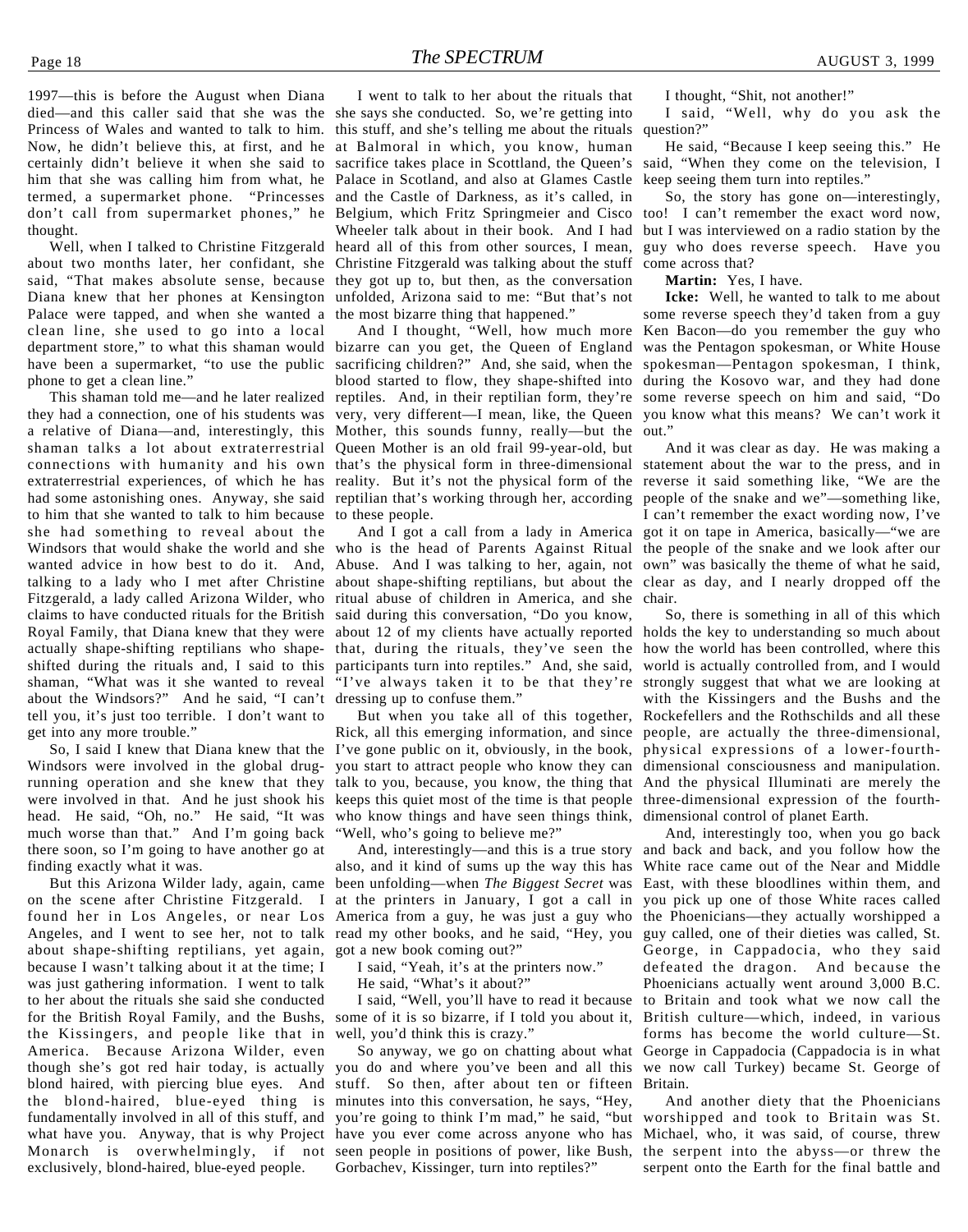1997—this is before the August when Diana died—and this caller said that she was the she says she conducted. So, we're getting into Princess of Wales and wanted to talk to him. Now, he didn't believe this, at first, and he certainly didn't believe it when she said to him that she was calling him from what, he termed, a supermarket phone. "Princesses don't call from supermarket phones," he thought.

Well, when I talked to Christine Fitzgerald about two months later, her confidant, she said, "That makes absolute sense, because Diana knew that her phones at Kensington unfolded, Arizona said to me: "But that's not Palace were tapped, and when she wanted a the most bizarre thing that happened." clean line, she used to go into a local department store," to what this shaman would bizarre can you get, the Queen of England was the Pentagon spokesman, or White House have been a supermarket, "to use the public sacrificing children?" And, she said, when the spokesman—Pentagon spokesman, I think, phone to get a clean line."

This shaman told me—and he later realized they had a connection, one of his students was very, very different—I mean, like, the Queen you know what this means? We can't work it a relative of Diana—and, interestingly, this Mother, this sounds funny, really—but the out." shaman talks a lot about extraterrestrial connections with humanity and his own that's the physical form in three-dimensional statement about the war to the press, and in extraterrestrial experiences, of which he has reality. But it's not the physical form of the reverse it said something like, "We are the had some astonishing ones. Anyway, she said reptilian that's working through her, according people of the snake and we"—something like, to him that she wanted to talk to him because she had something to reveal about the Windsors that would shake the world and she who is the head of Parents Against Ritual the people of the snake and we look after our wanted advice in how best to do it. And, talking to a lady who I met after Christine Fitzgerald, a lady called Arizona Wilder, who claims to have conducted rituals for the British Royal Family, that Diana knew that they were actually shape-shifting reptilians who shapeshifted during the rituals and, I said to this shaman, "What was it she wanted to reveal about the Windsors?" And he said, "I can't dressing up to confuse them." tell you, it's just too terrible. I don't want to get into any more trouble."

Windsors were involved in the global drugrunning operation and she knew that they talk to you, because, you know, the thing that And the physical Illuminati are merely the were involved in that. And he just shook his keeps this quiet most of the time is that people three-dimensional expression of the fourthhead. He said, "Oh, no." He said, "It was much worse than that." And I'm going back there soon, so I'm going to have another go at finding exactly what it was.

But this Arizona Wilder lady, again, came on the scene after Christine Fitzgerald. I Angeles, and I went to see her, not to talk read my other books, and he said, "Hey, you about shape-shifting reptilians, yet again, got a new book coming out?" because I wasn't talking about it at the time; I was just gathering information. I went to talk to her about the rituals she said she conducted for the British Royal Family, and the Bushs, the Kissingers, and people like that in America. Because Arizona Wilder, even though she's got red hair today, is actually blond haired, with piercing blue eyes. And the blond-haired, blue-eyed thing is fundamentally involved in all of this stuff, and exclusively, blond-haired, blue-eyed people.

I went to talk to her about the rituals that this stuff, and she's telling me about the rituals question?" at Balmoral in which, you know, human sacrifice takes place in Scottland, the Queen's Palace in Scotland, and also at Glames Castle and the Castle of Darkness, as it's called, in Belgium, which Fritz Springmeier and Cisco Wheeler talk about in their book. And I had heard all of this from other sources, I mean, Christine Fitzgerald was talking about the stuff they got up to, but then, as the conversation

Queen Mother is an old frail 99-year-old, but to these people.

Abuse. And I was talking to her, again, not own" was basically the theme of what he said, ritual abuse of children in America, and she chair. said during this conversation, "Do you know, about 12 of my clients have actually reported holds the key to understanding so much about that, during the rituals, they've seen the participants turn into reptiles." And, she said, "I've always taken it to be that they're strongly suggest that what we are looking at

So, I said I knew that Diana knew that the I've gone public on it, obviously, in the book, physical expressions of a lower-fourth-Rick, all this emerging information, and since you start to attract people who know they can dimensional consciousness and manipulation. who know things and have seen things think, "Well, who's going to believe me?"

found her in Los Angeles, or near Los America from a guy, he was just a guy who the Phoenicians—they actually worshipped a And, interestingly—and this is a true story also, and it kind of sums up the way this has been unfolding—when *The Biggest Secret* was East, with these bloodlines within them, and at the printers in January, I got a call in you pick up one of those White races called

I said, "Yeah, it's at the printers now."

He said, "What's it about?"

I said, "Well, you'll have to read it because some of it is so bizarre, if I told you about it, well, you'd think this is crazy."

what have you. Anyway, that is why Project have you ever come across anyone who has Michael, who, it was said, of course, threw Monarch is overwhelmingly, if not seen people in positions of power, like Bush, the serpent into the abyss—or threw the So anyway, we go on chatting about what you do and where you've been and all this stuff. So then, after about ten or fifteen minutes into this conversation, he says, "Hey, you're going to think I'm mad," he said, "but worshipped and took to Britain was St. Gorbachev, Kissinger, turn into reptiles?"

I thought, "Shit, not another!"

I said, "Well, why do you ask the

He said, "Because I keep seeing this." He said, "When they come on the television, I keep seeing them turn into reptiles."

So, the story has gone on—interestingly, too! I can't remember the exact word now, but I was interviewed on a radio station by the guy who does reverse speech. Have you come across that?

**Martin:** Yes, I have.

And I thought, "Well, how much more Ken Bacon—do you remember the guy who blood started to flow, they shape-shifted into during the Kosovo war, and they had done reptiles. And, in their reptilian form, they're some reverse speech on him and said, "Do **Icke:** Well, he wanted to talk to me about some reverse speech they'd taken from a guy

And I got a call from a lady in America got it on tape in America, basically—"we are about shape-shifting reptilians, but about the clear as day, and I nearly dropped off the And it was clear as day. He was making a I can't remember the exact wording now, I've

But when you take all of this together, Rockefellers and the Rothschilds and all these So, there is something in all of this which how the world has been controlled, where this world is actually controlled from, and I would with the Kissingers and the Bushs and the people, are actually the three-dimensional, dimensional control of planet Earth.

> And, interestingly too, when you go back and back and back, and you follow how the White race came out of the Near and Middle guy called, one of their dieties was called, St. George, in Cappadocia, who they said defeated the dragon. And because the Phoenicians actually went around 3,000 B.C. to Britain and took what we now call the British culture—which, indeed, in various forms has become the world culture—St. George in Cappadocia (Cappadocia is in what we now call Turkey) became St. George of Britain.

> And another diety that the Phoenicians serpent onto the Earth for the final battle and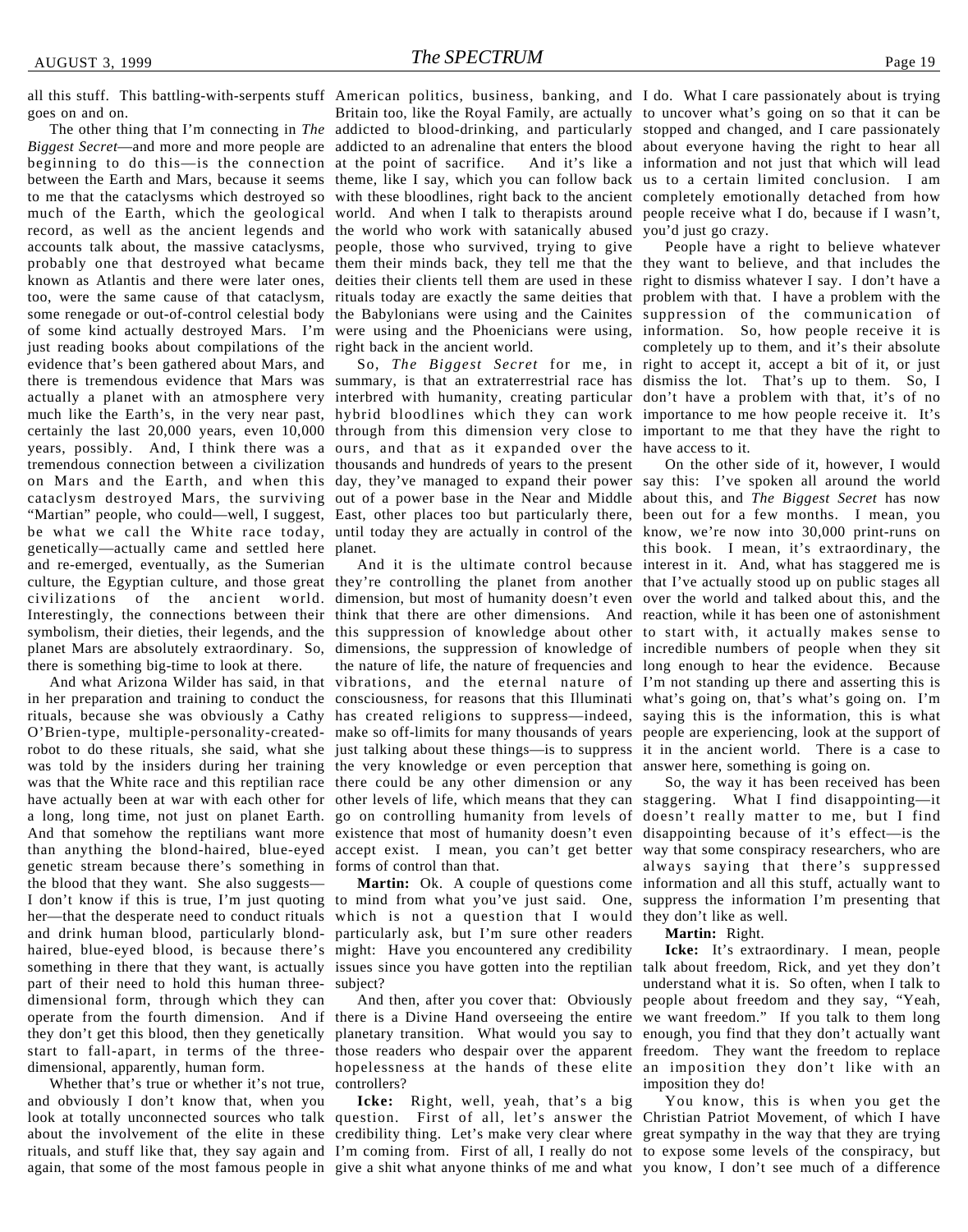The other thing that I'm connecting in *The Biggest Secret*—and more and more people are beginning to do this—is the connection at the point of sacrifice. And it's like a information and not just that which will lead between the Earth and Mars, because it seems theme, like I say, which you can follow back us to a certain limited conclusion. I am to me that the cataclysms which destroyed so with these bloodlines, right back to the ancient completely emotionally detached from how much of the Earth, which the geological world. And when I talk to therapists around people receive what I do, because if I wasn't, record, as well as the ancient legends and the world who work with satanically abused you'd just go crazy. accounts talk about, the massive cataclysms, people, those who survived, trying to give probably one that destroyed what became them their minds back, they tell me that the they want to believe, and that includes the known as Atlantis and there were later ones, deities their clients tell them are used in these right to dismiss whatever I say. I don't have a too, were the same cause of that cataclysm, rituals today are exactly the same deities that problem with that. I have a problem with the some renegade or out-of-control celestial body the Babylonians were using and the Cainites suppression of the communication of of some kind actually destroyed Mars. I'm were using and the Phoenicians were using, information. So, how people receive it is just reading books about compilations of the right back in the ancient world. evidence that's been gathered about Mars, and there is tremendous evidence that Mars was summary, is that an extraterrestrial race has dismiss the lot. That's up to them. So, I actually a planet with an atmosphere very interbred with humanity, creating particular don't have a problem with that, it's of no much like the Earth's, in the very near past, hybrid bloodlines which they can work importance to me how people receive it. It's certainly the last 20,000 years, even 10,000 through from this dimension very close to important to me that they have the right to years, possibly. And, I think there was a ours, and that as it expanded over the have access to it. tremendous connection between a civilization thousands and hundreds of years to the present on Mars and the Earth, and when this day, they've managed to expand their power say this: I've spoken all around the world cataclysm destroyed Mars, the surviving out of a power base in the Near and Middle about this, and *The Biggest Secret* has now "Martian" people, who could—well, I suggest, East, other places too but particularly there, been out for a few months. I mean, you be what we call the White race today, until today they are actually in control of the know, we're now into 30,000 print-runs on genetically—actually came and settled here planet. and re-emerged, eventually, as the Sumerian culture, the Egyptian culture, and those great they're controlling the planet from another that I've actually stood up on public stages all civilizations of the ancient world. dimension, but most of humanity doesn't even over the world and talked about this, and the Interestingly, the connections between their think that there are other dimensions. And reaction, while it has been one of astonishment symbolism, their dieties, their legends, and the this suppression of knowledge about other to start with, it actually makes sense to planet Mars are absolutely extraordinary. So, dimensions, the suppression of knowledge of incredible numbers of people when they sit there is something big-time to look at there.

in her preparation and training to conduct the consciousness, for reasons that this Illuminati what's going on, that's what's going on. I'm rituals, because she was obviously a Cathy has created religions to suppress—indeed, saying this is the information, this is what O'Brien-type, multiple-personality-created-make so off-limits for many thousands of years people are experiencing, look at the support of robot to do these rituals, she said, what she just talking about these things—is to suppress it in the ancient world. There is a case to was told by the insiders during her training the very knowledge or even perception that answer here, something is going on. was that the White race and this reptilian race there could be any other dimension or any have actually been at war with each other for other levels of life, which means that they can staggering. What I find disappointing—it a long, long time, not just on planet Earth. go on controlling humanity from levels of doesn't really matter to me, but I find And that somehow the reptilians want more existence that most of humanity doesn't even disappointing because of it's effect—is the than anything the blond-haired, blue-eyed accept exist. I mean, you can't get better genetic stream because there's something in forms of control than that. the blood that they want. She also suggests— I don't know if this is true, I'm just quoting to mind from what you've just said. One, her—that the desperate need to conduct rituals which is not a question that I would they don't like as well. and drink human blood, particularly blond-particularly ask, but I'm sure other readers haired, blue-eyed blood, is because there's might: Have you encountered any credibility something in there that they want, is actually issues since you have gotten into the reptilian talk about freedom, Rick, and yet they don't part of their need to hold this human three-subject? dimensional form, through which they can operate from the fourth dimension. And if there is a Divine Hand overseeing the entire we want freedom." If you talk to them long they don't get this blood, then they genetically planetary transition. What would you say to enough, you find that they don't actually want start to fall-apart, in terms of the three- those readers who despair over the apparent freedom. They want the freedom to replace dimensional, apparently, human form.

Whether that's true or whether it's not true, and obviously I don't know that, when you look at totally unconnected sources who talk about the involvement of the elite in these credibility thing. Let's make very clear where great sympathy in the way that they are trying rituals, and stuff like that, they say again and I'm coming from. First of all, I really do not to expose some levels of the conspiracy, but

all this stuff. This battling-with-serpents stuff American politics, business, banking, and I do. What I care passionately about is trying Britain too, like the Royal Family, are actually to uncover what's going on so that it can be addicted to blood-drinking, and particularly stopped and changed, and I care passionately addicted to an adrenaline that enters the blood about everyone having the right to hear all

And what Arizona Wilder has said, in that vibrations, and the eternal nature of I'm not standing up there and asserting this is the nature of life, the nature of frequencies and long enough to hear the evidence. Because

hopelessness at the hands of these elite an imposition they don't like with an controllers?

again, that some of the most famous people in give a shit what anyone thinks of me and what you know, I don't see much of a difference**Icke:** Right, well, yeah, that's a big question. First of all, let's answer the

So, *The Biggest Secret* for me, in right to accept it, accept a bit of it, or just People have a right to believe whatever completely up to them, and it's their absolute

And it is the ultimate control because interest in it. And, what has staggered me is On the other side of it, however, I would this book. I mean, it's extraordinary, the

**Martin:** Ok. A couple of questions come information and all this stuff, actually want to So, the way it has been received has been way that some conspiracy researchers, who are always saying that there's suppressed suppress the information I'm presenting that

#### **Martin:** Right.

And then, after you cover that: Obviously people about freedom and they say, "Yeah, **Icke:** It's extraordinary. I mean, people understand what it is. So often, when I talk to imposition they do!

> You know, this is when you get the Christian Patriot Movement, of which I have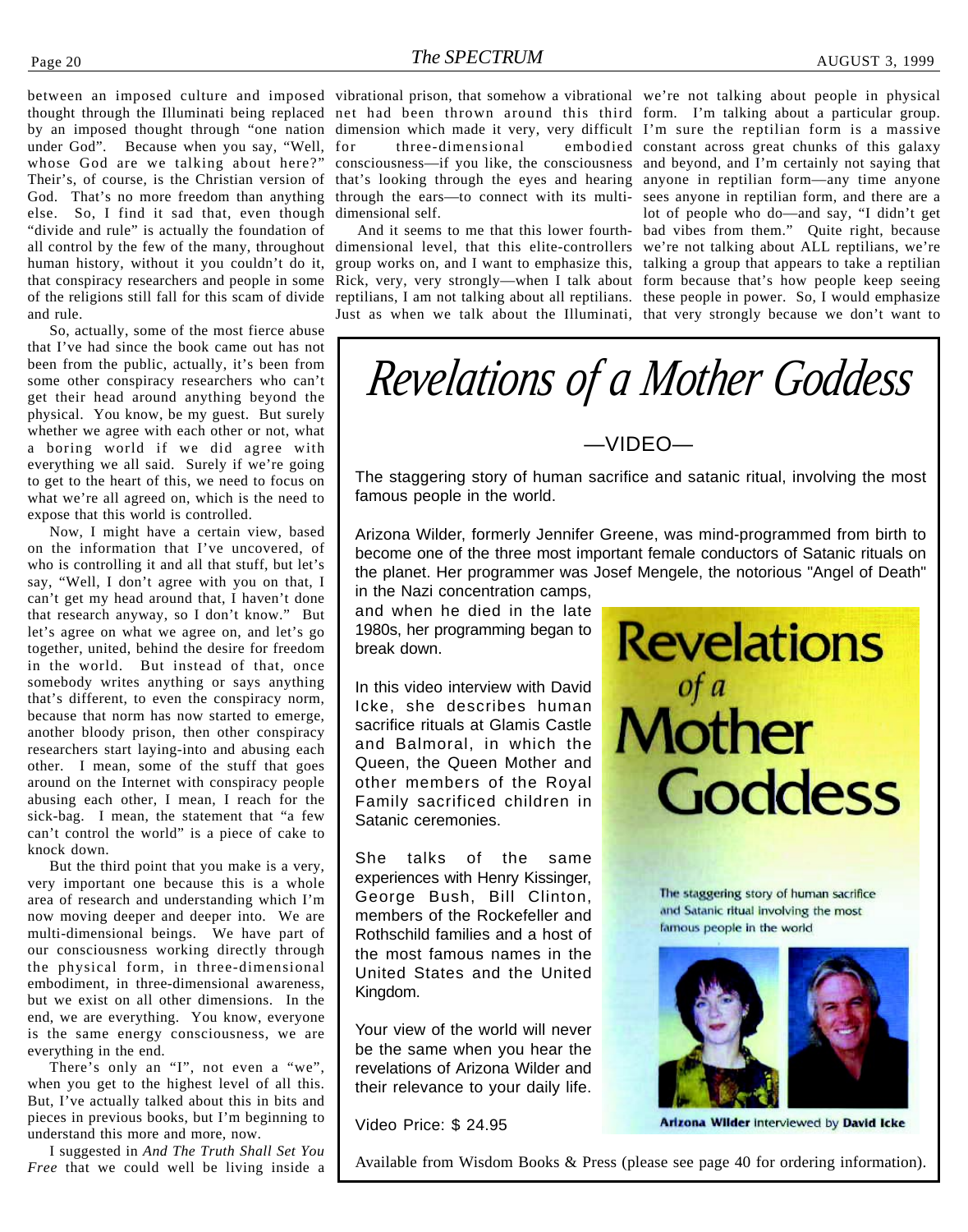thought through the Illuminati being replaced net had been thrown around this third form. I'm talking about a particular group. by an imposed thought through "one nation dimension which made it very, very difficult I'm sure the reptilian form is a massive under God". Because when you say, "Well, whose God are we talking about here?" Their's, of course, is the Christian version of that's looking through the eyes and hearing anyone in reptilian form—any time anyone God. That's no more freedom than anything through the ears—to connect with its multi-sees anyone in reptilian form, and there are a else. So, I find it sad that, even though "divide and rule" is actually the foundation of all control by the few of the many, throughout dimensional level, that this elite-controllers we're not talking about ALL reptilians, we're human history, without it you couldn't do it, that conspiracy researchers and people in some of the religions still fall for this scam of divide and rule.

So, actually, some of the most fierce abuse that I've had since the book came out has not been from the public, actually, it's been from some other conspiracy researchers who can't get their head around anything beyond the physical. You know, be my guest. But surely whether we agree with each other or not, what a boring world if we did agree with everything we all said. Surely if we're going to get to the heart of this, we need to focus on what we're all agreed on, which is the need to expose that this world is controlled.

Now, I might have a certain view, based on the information that I've uncovered, of who is controlling it and all that stuff, but let's say, "Well, I don't agree with you on that, I can't get my head around that, I haven't done that research anyway, so I don't know." But let's agree on what we agree on, and let's go together, united, behind the desire for freedom in the world. But instead of that, once somebody writes anything or says anything that's different, to even the conspiracy norm, because that norm has now started to emerge, another bloody prison, then other conspiracy researchers start laying-into and abusing each other. I mean, some of the stuff that goes around on the Internet with conspiracy people abusing each other, I mean, I reach for the sick-bag. I mean, the statement that "a few can't control the world" is a piece of cake to knock down.

But the third point that you make is a very, very important one because this is a whole area of research and understanding which I'm now moving deeper and deeper into. We are multi-dimensional beings. We have part of our consciousness working directly through the physical form, in three-dimensional embodiment, in three-dimensional awareness, but we exist on all other dimensions. In the end, we are everything. You know, everyone is the same energy consciousness, we are everything in the end.

There's only an "I", not even a "we", when you get to the highest level of all this. But, I've actually talked about this in bits and pieces in previous books, but I'm beginning to understand this more and more, now.

I suggested in *And The Truth Shall Set You Free* that we could well be living inside a

between an imposed culture and imposed vibrational prison, that somehow a vibrational we're not talking about people in physical three-dimensional dimensional self.

> Rick, very, very strongly—when I talk about form because that's how people keep seeing reptilians, I am not talking about all reptilians. these people in power. So, I would emphasize Just as when we talk about the Illuminati, that very strongly because we don't want to

> consciousness—if you like, the consciousness and beyond, and I'm certainly not saying that And it seems to me that this lower fourth-bad vibes from them." Quite right, because group works on, and I want to emphasize this, talking a group that appears to take a reptilian embodied constant across great chunks of this galaxy lot of people who do—and say, "I didn't get

*Revelations of a Mother Goddess*

The staggering story of human sacrifice and satanic ritual, involving the most famous people in the world.

—VIDEO—

Arizona Wilder, formerly Jennifer Greene, was mind-programmed from birth to become one of the three most important female conductors of Satanic rituals on the planet. Her programmer was Josef Mengele, the notorious "Angel of Death"

in the Nazi concentration camps, and when he died in the late 1980s, her programming began to break down.

In this video interview with David Icke, she describes human sacrifice rituals at Glamis Castle and Balmoral, in which the Queen, the Queen Mother and other members of the Royal Family sacrificed children in Satanic ceremonies.

She talks of the same experiences with Henry Kissinger, George Bush, Bill Clinton, members of the Rockefeller and Rothschild families and a host of the most famous names in the United States and the United Kingdom.

Your view of the world will never be the same when you hear the revelations of Arizona Wilder and their relevance to your daily life.

Video Price: \$ 24.95

**Revelations**  $M$ <sub>of a</sub><br>Mother Goddess

> The staggering story of human sacrifice and Satanic ritual involving the most famous people in the world



Arizona Wilder interviewed by David Icke

Available from Wisdom Books & Press (please see page 40 for ordering information).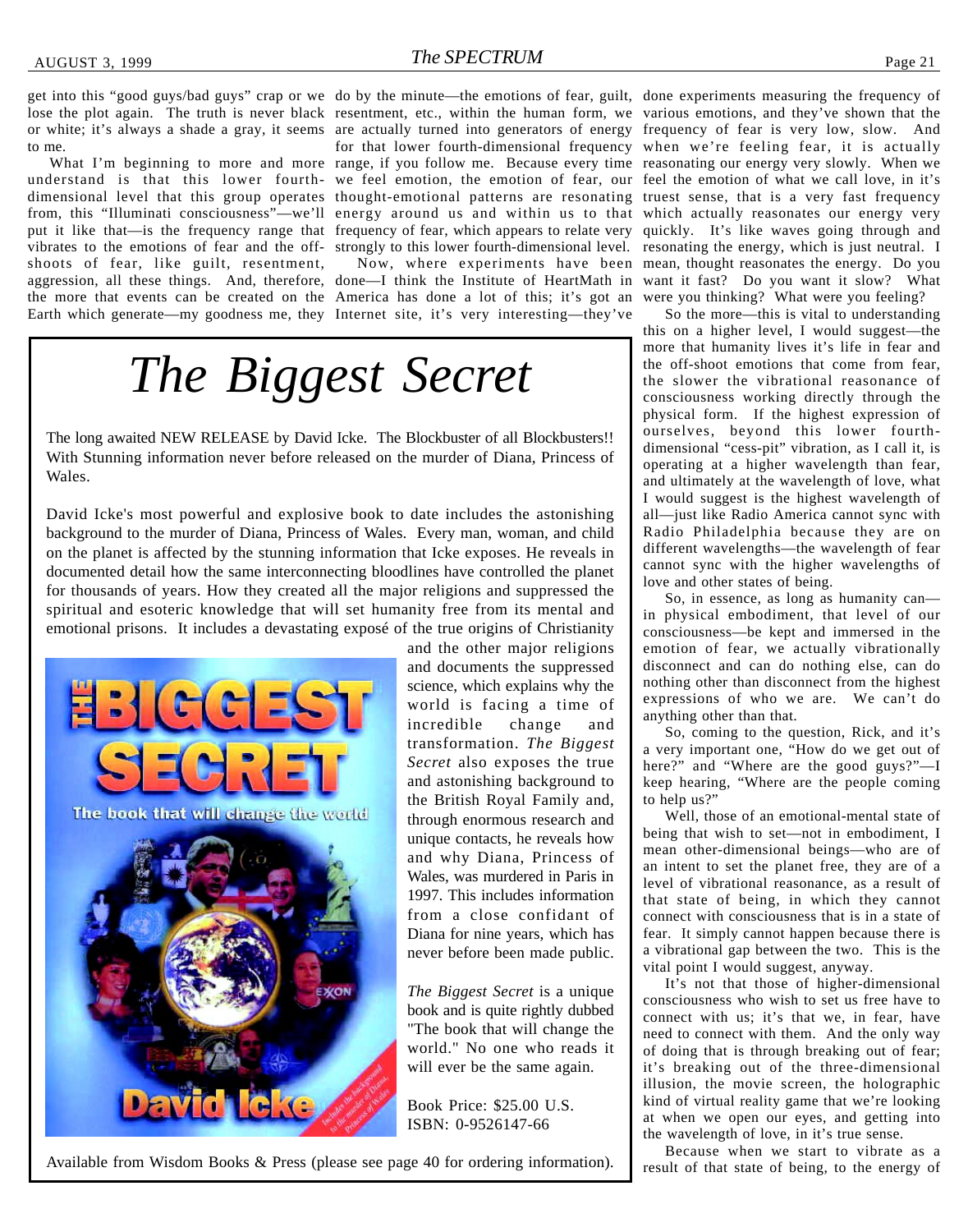get into this "good guys/bad guys" crap or we do by the minute—the emotions of fear, guilt, done experiments measuring the frequency of to me.

understand is that this lower fourth-we feel emotion, the emotion of fear, our feel the emotion of what we call love, in it's dimensional level that this group operates thought-emotional patterns are resonating truest sense, that is a very fast frequency from, this "Illuminati consciousness"—we'll energy around us and within us to that which actually reasonates our energy very put it like that—is the frequency range that frequency of fear, which appears to relate very quickly. It's like waves going through and vibrates to the emotions of fear and the off-strongly to this lower fourth-dimensional level. resonating the energy, which is just neutral. I shoots of fear, like guilt, resentment, aggression, all these things. And, therefore, done—I think the Institute of HeartMath in want it fast? Do you want it slow? What the more that events can be created on the America has done a lot of this; it's got an were you thinking? What were you feeling? Earth which generate—my goodness me, they Internet site, it's very interesting—they've

*The Biggest Secret*

The long awaited NEW RELEASE by David Icke. The Blockbuster of all Blockbusters!! With Stunning information never before released on the murder of Diana, Princess of Wales.

David Icke's most powerful and explosive book to date includes the astonishing background to the murder of Diana, Princess of Wales. Every man, woman, and child on the planet is affected by the stunning information that Icke exposes. He reveals in documented detail how the same interconnecting bloodlines have controlled the planet for thousands of years. How they created all the major religions and suppressed the spiritual and esoteric knowledge that will set humanity free from its mental and emotional prisons. It includes a devastating exposé of the true origins of Christianity



and the other major religions and documents the suppressed science, which explains why the world is facing a time of incredible change and transformation. *The Biggest Secret* also exposes the true and astonishing background to the British Royal Family and, through enormous research and unique contacts, he reveals how and why Diana, Princess of Wales, was murdered in Paris in 1997. This includes information from a close confidant of Diana for nine years, which has never before been made public.

*The Biggest Secret* is a unique book and is quite rightly dubbed "The book that will change the world." No one who reads it will ever be the same again.

Book Price: \$25.00 U.S. ISBN: 0-9526147-66

lose the plot again. The truth is never black resentment, etc., within the human form, we various emotions, and they've shown that the or white; it's always a shade a gray, it seems are actually turned into generators of energy frequency of fear is very low, slow. And What I'm beginning to more and more range, if you follow me. Because every time reasonating our energy very slowly. When we for that lower fourth-dimensional frequency when we're feeling fear, it is actually Now, where experiments have been mean, thought reasonates the energy. Do you

> So the more—this is vital to understanding this on a higher level, I would suggest—the more that humanity lives it's life in fear and the off-shoot emotions that come from fear, the slower the vibrational reasonance of consciousness working directly through the physical form. If the highest expression of ourselves, beyond this lower fourthdimensional "cess-pit" vibration, as I call it, is operating at a higher wavelength than fear, and ultimately at the wavelength of love, what I would suggest is the highest wavelength of all—just like Radio America cannot sync with Radio Philadelphia because they are on different wavelengths—the wavelength of fear cannot sync with the higher wavelengths of love and other states of being.

> So, in essence, as long as humanity can in physical embodiment, that level of our consciousness—be kept and immersed in the emotion of fear, we actually vibrationally disconnect and can do nothing else, can do nothing other than disconnect from the highest expressions of who we are. We can't do anything other than that.

> So, coming to the question, Rick, and it's a very important one, "How do we get out of here?" and "Where are the good guys?"—I keep hearing, "Where are the people coming to help us?"

> Well, those of an emotional-mental state of being that wish to set—not in embodiment, I mean other-dimensional beings—who are of an intent to set the planet free, they are of a level of vibrational reasonance, as a result of that state of being, in which they cannot connect with consciousness that is in a state of fear. It simply cannot happen because there is a vibrational gap between the two. This is the vital point I would suggest, anyway.

> It's not that those of higher-dimensional consciousness who wish to set us free have to connect with us; it's that we, in fear, have need to connect with them. And the only way of doing that is through breaking out of fear; it's breaking out of the three-dimensional illusion, the movie screen, the holographic kind of virtual reality game that we're looking at when we open our eyes, and getting into the wavelength of love, in it's true sense.

> Because when we start to vibrate as a result of that state of being, to the energy of

Available from Wisdom Books & Press (please see page 40 for ordering information).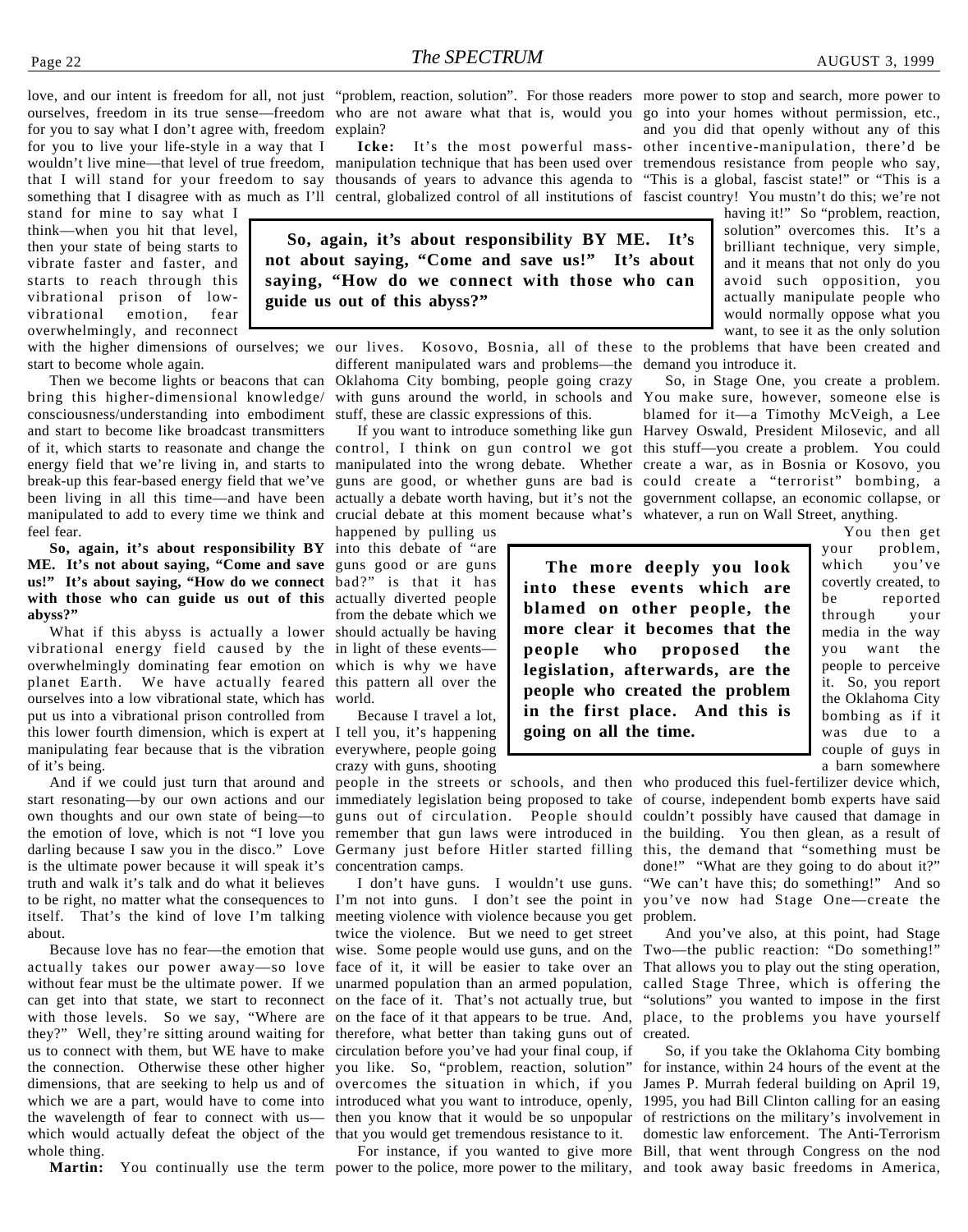for you to say what I don't agree with, freedom explain? for you to live your life-style in a way that I

stand for mine to say what I think—when you hit that level, then your state of being starts to vibrate faster and faster, and starts to reach through this vibrational prison of lowvibrational emotion, fear overwhelmingly, and reconnect

start to become whole again.

bring this higher-dimensional knowledge/ consciousness/understanding into embodiment stuff, these are classic expressions of this. and start to become like broadcast transmitters feel fear.

**So, again, it's about responsibility BY** into this debate of "are **ME. It's not about saying, "Come and save** guns good or are guns **us!" It's about saying, "How do we connect** bad?" is that it has **with those who can guide us out of this** actually diverted people **abyss?"**

What if this abyss is actually a lower vibrational energy field caused by the overwhelmingly dominating fear emotion on planet Earth. We have actually feared this pattern all over the ourselves into a low vibrational state, which has put us into a vibrational prison controlled from this lower fourth dimension, which is expert at I tell you, it's happening manipulating fear because that is the vibration everywhere, people going of it's being.

And if we could just turn that around and is the ultimate power because it will speak it's truth and walk it's talk and do what it believes itself. That's the kind of love I'm talking meeting violence with violence because you get about.

actually takes our power away—so love face of it, it will be easier to take over an without fear must be the ultimate power. If we unarmed population than an armed population, can get into that state, we start to reconnect on the face of it. That's not actually true, but with those levels. So we say, "Where are on the face of it that appears to be true. And, they?" Well, they're sitting around waiting for therefore, what better than taking guns out of us to connect with them, but WE have to make circulation before you've had your final coup, if the connection. Otherwise these other higher you like. So, "problem, reaction, solution" dimensions, that are seeking to help us and of overcomes the situation in which, if you James P. Murrah federal building on April 19, which we are a part, would have to come into introduced what you want to introduce, openly, 1995, you had Bill Clinton calling for an easing the wavelength of fear to connect with us— then you know that it would be so unpopular of restrictions on the military's involvement in which would actually defeat the object of the that you would get tremendous resistance to it. whole thing.

love, and our intent is freedom for all, not just "problem, reaction, solution". For those readers more power to stop and search, more power to ourselves, freedom in its true sense—freedom who are not aware what that is, would you go into your homes without permission, etc.,

wouldn't live mine—that level of true freedom, manipulation technique that has been used over tremendous resistance from people who say, that I will stand for your freedom to say thousands of years to advance this agenda to "This is a global, fascist state!" or "This is a something that I disagree with as much as I'll central, globalized control of all institutions of fascist country! You mustn't do this; we're not

> **So, again, it's about responsibility BY ME. It's not about saying, "Come and save us!" It's about saying, "How do we connect with those who can guide us out of this abyss?"**

Then we become lights or beacons that can Oklahoma City bombing, people going crazy different manipulated wars and problems—the demand you introduce it. with guns around the world, in schools and You make sure, however, someone else is

of it, which starts to reasonate and change the control, I think on gun control we got this stuff—you create a problem. You could energy field that we're living in, and starts to manipulated into the wrong debate. Whether create a war, as in Bosnia or Kosovo, you break-up this fear-based energy field that we've guns are good, or whether guns are bad is could create a "terrorist" bombing, a been living in all this time—and have been actually a debate worth having, but it's not the government collapse, an economic collapse, or manipulated to add to every time we think and crucial debate at this moment because what's whatever, a run on Wall Street, anything.

happened by pulling us from the debate which we should actually be having in light of these events which is why we have world.

Because I travel a lot, crazy with guns, shooting

people in the streets or schools, and then who produced this fuel-fertilizer device which, concentration camps.

to be right, no matter what the consequences to I'm not into guns. I don't see the point in you've now had Stage One—create the Because love has no fear—the emotion that wise. Some people would use guns, and on the I don't have guns. I wouldn't use guns. twice the violence. But we need to get street

Martin: You continually use the term power to the police, more power to the military, and took away basic freedoms in America,

**Icke:** It's the most powerful mass-other incentive-manipulation, there'd be and you did that openly without any of this

> having it!" So "problem, reaction, solution" overcomes this. It's a brilliant technique, very simple, and it means that not only do you avoid such opposition, you actually manipulate people who would normally oppose what you want, to see it as the only solution

with the higher dimensions of ourselves; we our lives. Kosovo, Bosnia, all of these to the problems that have been created and

If you want to introduce something like gun Harvey Oswald, President Milosevic, and all So, in Stage One, you create a problem. blamed for it—a Timothy McVeigh, a Lee

> **The more deeply you look into these events which are blamed on other people, the more clear it becomes that the people who proposed the legislation, afterwards, are the people who created the problem in the first place. And this is going on all the time.**

You then get your problem, which you've covertly created, to be reported through your media in the way you want the people to perceive it. So, you report the Oklahoma City bombing as if it was due to a couple of guys in a barn somewhere

start resonating—by our own actions and our immediately legislation being proposed to take of course, independent bomb experts have said own thoughts and our own state of being—to guns out of circulation. People should couldn't possibly have caused that damage in the emotion of love, which is not "I love you remember that gun laws were introduced in the building. You then glean, as a result of darling because I saw you in the disco." Love Germany just before Hitler started filling this, the demand that "something must be done!" "What are they going to do about it?" "We can't have this; do something!" And so problem.

> And you've also, at this point, had Stage Two—the public reaction: "Do something!" That allows you to play out the sting operation, called Stage Three, which is offering the "solutions" you wanted to impose in the first place, to the problems you have yourself created.

For instance, if you wanted to give more Bill, that went through Congress on the nod So, if you take the Oklahoma City bombing for instance, within 24 hours of the event at the domestic law enforcement. The Anti-Terrorism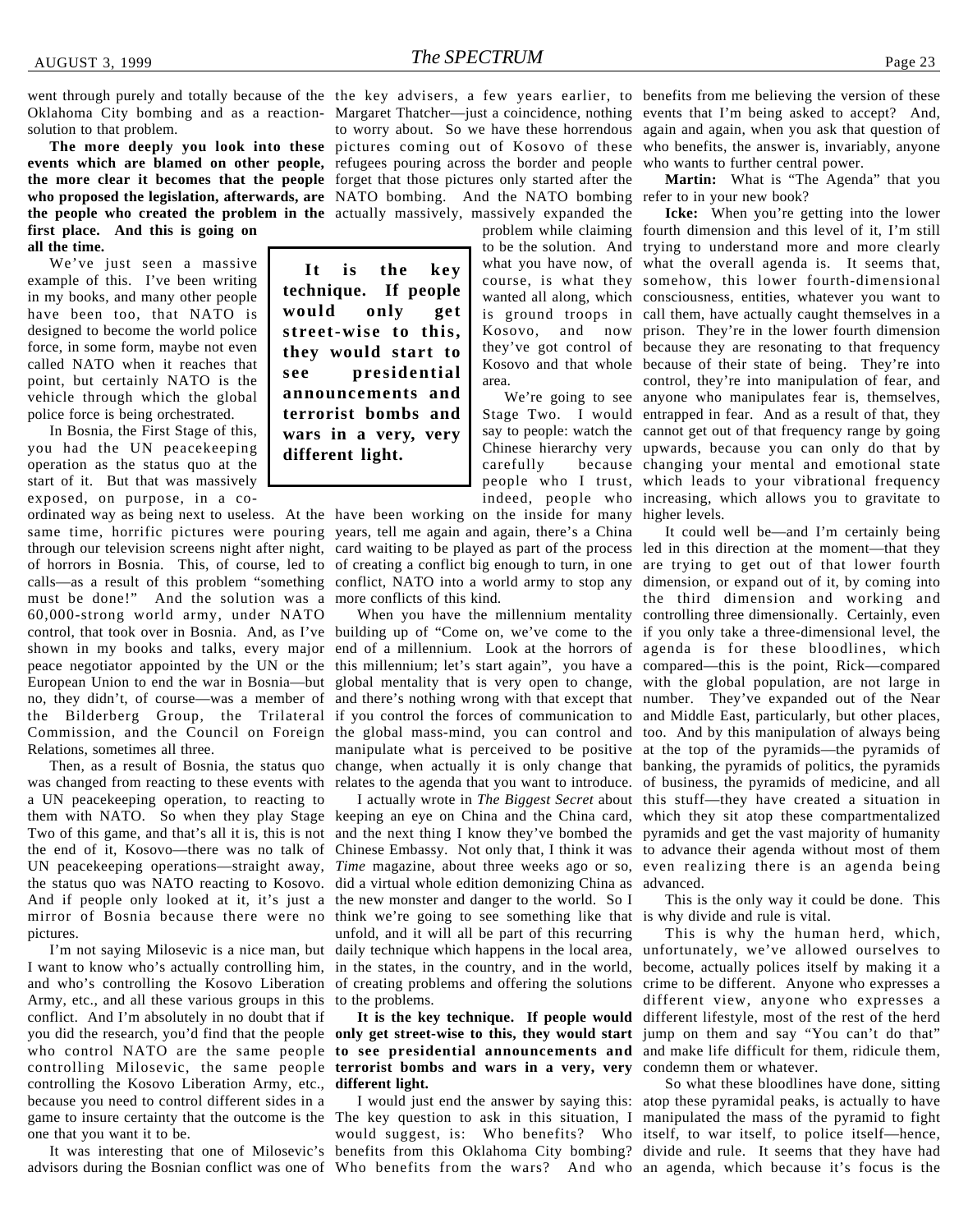Oklahoma City bombing and as a reaction-Margaret Thatcher—just a coincidence, nothing events that I'm being asked to accept? And, solution to that problem.

**events which are blamed on other people,** refugees pouring across the border and people **the more clear it becomes that the people** forget that those pictures only started after the **who proposed the legislation, afterwards, are** NATO bombing. And the NATO bombing **the people who created the problem in the** actually massively, massively expanded the **first place. And this is going on all the time.**

We've just seen a massive example of this. I've been writing in my books, and many other people have been too, that NATO is designed to become the world police force, in some form, maybe not even called NATO when it reaches that point, but certainly NATO is the vehicle through which the global police force is being orchestrated.

In Bosnia, the First Stage of this, you had the UN peacekeeping operation as the status quo at the start of it. But that was massively exposed, on purpose, in a co-

ordinated way as being next to useless. At the have been working on the inside for many higher levels. same time, horrific pictures were pouring years, tell me again and again, there's a China must be done!" And the solution was a more conflicts of this kind. 60,000-strong world army, under NATO control, that took over in Bosnia. And, as I've building up of "Come on, we've come to the if you only take a three-dimensional level, the shown in my books and talks, every major end of a millennium. Look at the horrors of agenda is for these bloodlines, which peace negotiator appointed by the UN or the European Union to end the war in Bosnia—but no, they didn't, of course—was a member of the Bilderberg Group, the Trilateral if you control the forces of communication to and Middle East, particularly, but other places, Commission, and the Council on Foreign the global mass-mind, you can control and too. And by this manipulation of always being Relations, sometimes all three.

was changed from reacting to these events with a UN peacekeeping operation, to reacting to them with NATO. So when they play Stage keeping an eye on China and the China card, which they sit atop these compartmentalized Two of this game, and that's all it is, this is not and the next thing I know they've bombed the pyramids and get the vast majority of humanity the end of it, Kosovo—there was no talk of Chinese Embassy. Not only that, I think it was to advance their agenda without most of them UN peacekeeping operations—straight away, *Time* magazine, about three weeks ago or so, even realizing there is an agenda being the status quo was NATO reacting to Kosovo. did a virtual whole edition demonizing China as advanced. And if people only looked at it, it's just a the new monster and danger to the world. So I mirror of Bosnia because there were no think we're going to see something like that is why divide and rule is vital. pictures.

I want to know who's actually controlling him, in the states, in the country, and in the world, and who's controlling the Kosovo Liberation of creating problems and offering the solutions Army, etc., and all these various groups in this to the problems. conflict. And I'm absolutely in no doubt that if you did the research, you'd find that the people **only get street-wise to this, they would start** jump on them and say "You can't do that" who control NATO are the same people **to see presidential announcements and** and make life difficult for them, ridicule them, controlling Milosevic, the same people **terrorist bombs and wars in a very, very** condemn them or whatever. controlling the Kosovo Liberation Army, etc., because you need to control different sides in a game to insure certainty that the outcome is the The key question to ask in this situation, I manipulated the mass of the pyramid to fight one that you want it to be.

advisors during the Bosnian conflict was one of Who benefits from the wars? And who an agenda, which because it's focus is the

**technique. If people**

**street-wise to this,**

**terrorist bombs and wars in a very, very**

**different light.**

area. **It is the key would only get they would start to see presidential announcements and**

through our television screens night after night, card waiting to be played as part of the process led in this direction at the moment—that they of horrors in Bosnia. This, of course, led to of creating a conflict big enough to turn, in one are trying to get out of that lower fourth calls—as a result of this problem "something conflict, NATO into a world army to stop any dimension, or expand out of it, by coming into

I'm not saying Milosevic is a nice man, but daily technique which happens in the local area, unfold, and it will all be part of this recurring

## **different light.**

went through purely and totally because of the the key advisers, a few years earlier, to benefits from me believing the version of these **The more deeply you look into these** pictures coming out of Kosovo of these who benefits, the answer is, invariably, anyone to worry about. So we have these horrendous again and again, when you ask that question of who wants to further central power.

> **Martin:** What is "The Agenda" that you refer to in your new book?

problem while claiming fourth dimension and this level of it, I'm still to be the solution. And trying to understand more and more clearly what you have now, of what the overall agenda is. It seems that, course, is what they somehow, this lower fourth-dimensional wanted all along, which consciousness, entities, whatever you want to is ground troops in call them, have actually caught themselves in a Kosovo, and now prison. They're in the lower fourth dimension they've got control of because they are resonating to that frequency Kosovo and that whole because of their state of being. They're into We're going to see anyone who manipulates fear is, themselves, Stage Two. I would entrapped in fear. And as a result of that, they say to people: watch the cannot get out of that frequency range by going Chinese hierarchy very upwards, because you can only do that by carefully because changing your mental and emotional state people who I trust, which leads to your vibrational frequency indeed, people who increasing, which allows you to gravitate to **Icke:** When you're getting into the lower control, they're into manipulation of fear, and

Then, as a result of Bosnia, the status quo change, when actually it is only change that banking, the pyramids of politics, the pyramids When you have the millennium mentality controlling three dimensionally. Certainly, even this millennium; let's start again", you have a compared—this is the point, Rick—compared global mentality that is very open to change, with the global population, are not large in and there's nothing wrong with that except that number. They've expanded out of the Near manipulate what is perceived to be positive at the top of the pyramids—the pyramids of relates to the agenda that you want to introduce. of business, the pyramids of medicine, and all I actually wrote in *The Biggest Secret* about this stuff—they have created a situation in It could well be—and I'm certainly being the third dimension and working and

This is the only way it could be done. This

**It is the key technique. If people would** different lifestyle, most of the rest of the herd This is why the human herd, which, unfortunately, we've allowed ourselves to become, actually polices itself by making it a crime to be different. Anyone who expresses a different view, anyone who expresses a

It was interesting that one of Milosevic's benefits from this Oklahoma City bombing? divide and rule. It seems that they have had I would just end the answer by saying this: atop these pyramidal peaks, is actually to have would suggest, is: Who benefits? Who itself, to war itself, to police itself—hence, So what these bloodlines have done, sitting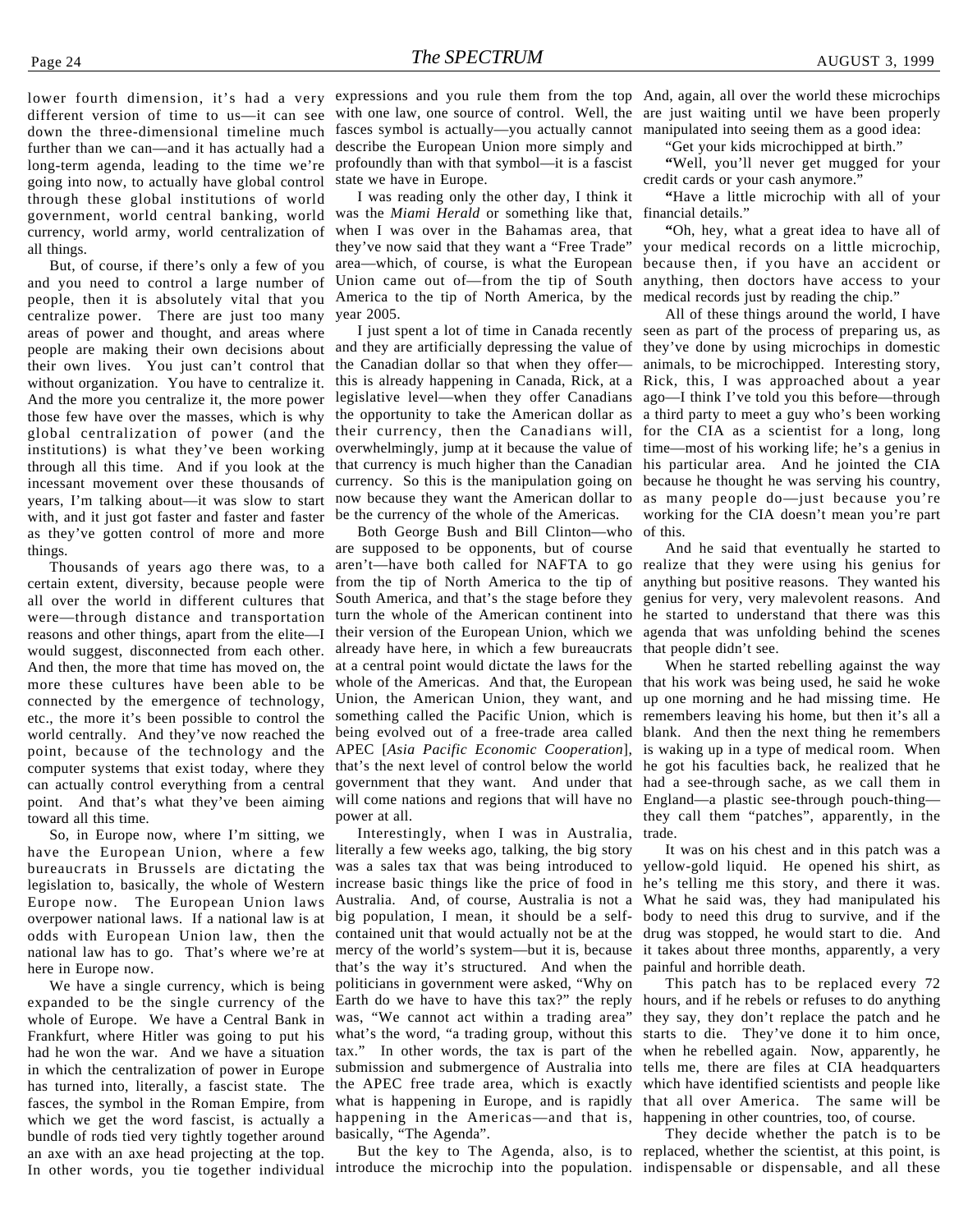lower fourth dimension, it's had a very different version of time to us—it can see down the three-dimensional timeline much further than we can—and it has actually had a long-term agenda, leading to the time we're going into now, to actually have global control through these global institutions of world government, world central banking, world was the *Miami Herald* or something like that, currency, world army, world centralization of all things.

But, of course, if there's only a few of you and you need to control a large number of people, then it is absolutely vital that you centralize power. There are just too many areas of power and thought, and areas where people are making their own decisions about and they are artificially depressing the value of they've done by using microchips in domestic their own lives. You just can't control that without organization. You have to centralize it. And the more you centralize it, the more power those few have over the masses, which is why global centralization of power (and the institutions) is what they've been working through all this time. And if you look at the incessant movement over these thousands of years, I'm talking about—it was slow to start with, and it just got faster and faster and faster as they've gotten control of more and more things.

Thousands of years ago there was, to a certain extent, diversity, because people were all over the world in different cultures that were—through distance and transportation reasons and other things, apart from the elite—I would suggest, disconnected from each other. And then, the more that time has moved on, the more these cultures have been able to be connected by the emergence of technology, etc., the more it's been possible to control the world centrally. And they've now reached the point, because of the technology and the computer systems that exist today, where they can actually control everything from a central point. And that's what they've been aiming toward all this time.

So, in Europe now, where I'm sitting, we have the European Union, where a few bureaucrats in Brussels are dictating the legislation to, basically, the whole of Western Europe now. The European Union laws overpower national laws. If a national law is at odds with European Union law, then the national law has to go. That's where we're at here in Europe now.

We have a single currency, which is being expanded to be the single currency of the whole of Europe. We have a Central Bank in Frankfurt, where Hitler was going to put his had he won the war. And we have a situation in which the centralization of power in Europe has turned into, literally, a fascist state. The the APEC free trade area, which is exactly fasces, the symbol in the Roman Empire, from which we get the word fascist, is actually a bundle of rods tied very tightly together around basically, "The Agenda". an axe with an axe head projecting at the top. In other words, you tie together individual introduce the microchip into the population. indispensable or dispensable, and all these

with one law, one source of control. Well, the are just waiting until we have been properly fasces symbol is actually—you actually cannot describe the European Union more simply and profoundly than with that symbol—it is a fascist state we have in Europe.

I was reading only the other day, I think it when I was over in the Bahamas area, that they've now said that they want a "Free Trade" area—which, of course, is what the European Union came out of—from the tip of South America to the tip of North America, by the medical records just by reading the chip." year 2005.

the Canadian dollar so that when they offer this is already happening in Canada, Rick, at a Rick, this, I was approached about a year legislative level—when they offer Canadians ago—I think I've told you this before—through the opportunity to take the American dollar as a third party to meet a guy who's been working their currency, then the Canadians will, for the CIA as a scientist for a long, long overwhelmingly, jump at it because the value of time—most of his working life; he's a genius in that currency is much higher than the Canadian his particular area. And he jointed the CIA currency. So this is the manipulation going on now because they want the American dollar to as many people do—just because you're be the currency of the whole of the Americas.

Both George Bush and Bill Clinton—who are supposed to be opponents, but of course aren't—have both called for NAFTA to go from the tip of North America to the tip of South America, and that's the stage before they turn the whole of the American continent into their version of the European Union, which we already have here, in which a few bureaucrats at a central point would dictate the laws for the whole of the Americas. And that, the European Union, the American Union, they want, and something called the Pacific Union, which is being evolved out of a free-trade area called blank. And then the next thing he remembers APEC [*Asia Pacific Economic Cooperation*], is waking up in a type of medical room. When that's the next level of control below the world he got his faculties back, he realized that he government that they want. And under that had a see-through sache, as we call them in will come nations and regions that will have no England—a plastic see-through pouch-thing power at all.

Interestingly, when I was in Australia, literally a few weeks ago, talking, the big story was a sales tax that was being introduced to increase basic things like the price of food in he's telling me this story, and there it was. Australia. And, of course, Australia is not a big population, I mean, it should be a selfcontained unit that would actually not be at the drug was stopped, he would start to die. And mercy of the world's system—but it is, because that's the way it's structured. And when the politicians in government were asked, "Why on Earth do we have to have this tax?" the reply was, "We cannot act within a trading area" what's the word, "a trading group, without this tax." In other words, the tax is part of the submission and submergence of Australia into what is happening in Europe, and is rapidly that all over America. The same will be happening in the Americas—and that is, happening in other countries, too, of course.

expressions and you rule them from the top And, again, all over the world these microchips manipulated into seeing them as a good idea:

"Get your kids microchipped at birth."

**"**Well, you'll never get mugged for your credit cards or your cash anymore."

**"**Have a little microchip with all of your financial details."

**"**Oh, hey, what a great idea to have all of your medical records on a little microchip, because then, if you have an accident or anything, then doctors have access to your

I just spent a lot of time in Canada recently seen as part of the process of preparing us, as All of these things around the world, I have animals, to be microchipped. Interesting story, because he thought he was serving his country, working for the CIA doesn't mean you're part of this.

> And he said that eventually he started to realize that they were using his genius for anything but positive reasons. They wanted his genius for very, very malevolent reasons. And he started to understand that there was this agenda that was unfolding behind the scenes that people didn't see.

> When he started rebelling against the way that his work was being used, he said he woke up one morning and he had missing time. He remembers leaving his home, but then it's all a they call them "patches", apparently, in the trade.

> It was on his chest and in this patch was a yellow-gold liquid. He opened his shirt, as What he said was, they had manipulated his body to need this drug to survive, and if the it takes about three months, apparently, a very painful and horrible death.

> This patch has to be replaced every 72 hours, and if he rebels or refuses to do anything they say, they don't replace the patch and he starts to die. They've done it to him once, when he rebelled again. Now, apparently, he tells me, there are files at CIA headquarters which have identified scientists and people like

But the key to The Agenda, also, is to replaced, whether the scientist, at this point, is They decide whether the patch is to be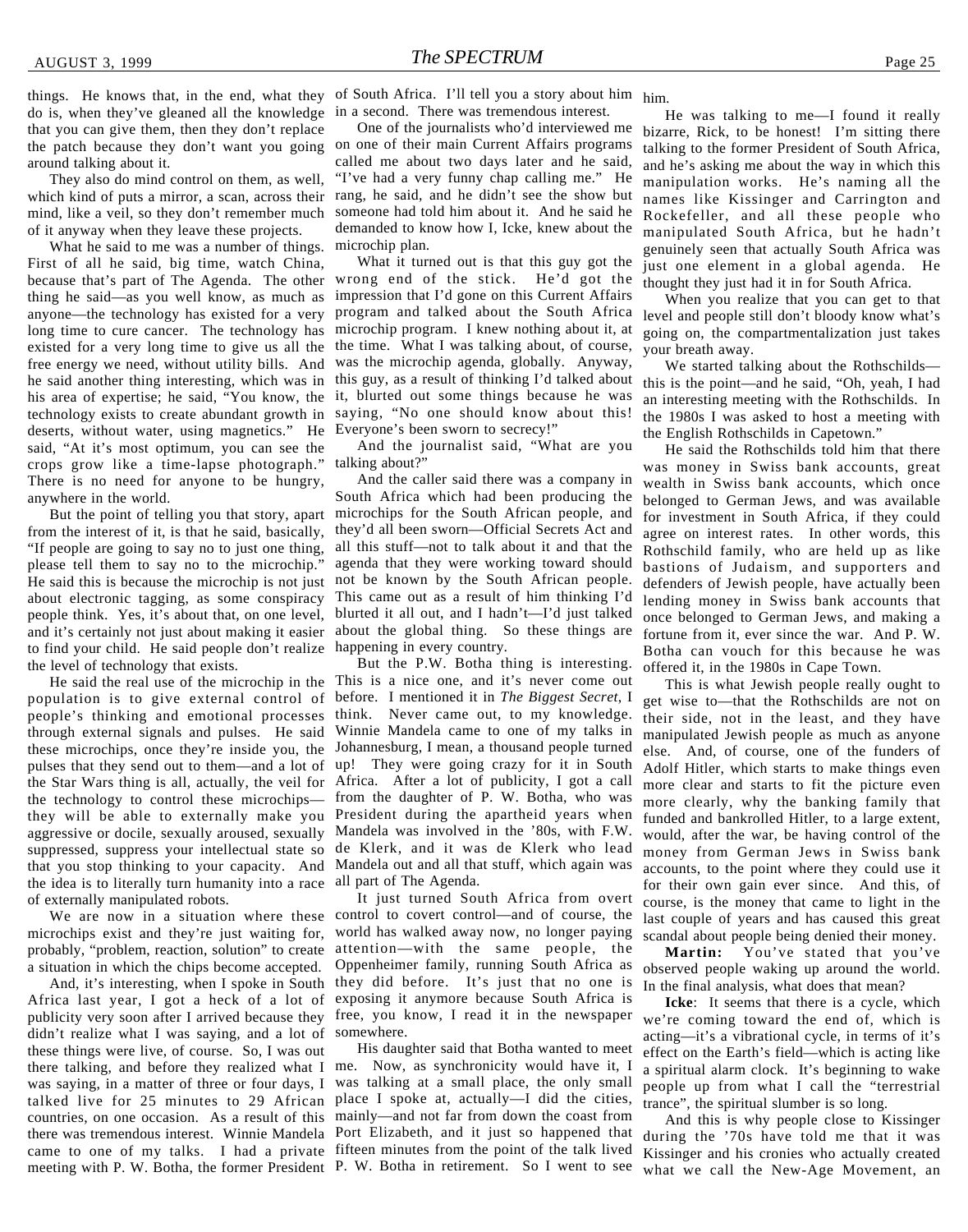things. He knows that, in the end, what they of South Africa. I'll tell you a story about him him. do is, when they've gleaned all the knowledge that you can give them, then they don't replace the patch because they don't want you going around talking about it.

They also do mind control on them, as well, which kind of puts a mirror, a scan, across their rang, he said, and he didn't see the show but mind, like a veil, so they don't remember much of it anyway when they leave these projects.

What he said to me was a number of things. First of all he said, big time, watch China, because that's part of The Agenda. The other thing he said—as you well know, as much as impression that I'd gone on this Current Affairs anyone—the technology has existed for a very program and talked about the South Africa long time to cure cancer. The technology has microchip program. I knew nothing about it, at existed for a very long time to give us all the the time. What I was talking about, of course, free energy we need, without utility bills. And was the microchip agenda, globally. Anyway, he said another thing interesting, which was in this guy, as a result of thinking I'd talked about his area of expertise; he said, "You know, the it, blurted out some things because he was technology exists to create abundant growth in saying, "No one should know about this! deserts, without water, using magnetics." He Everyone's been sworn to secrecy!" said, "At it's most optimum, you can see the crops grow like a time-lapse photograph." There is no need for anyone to be hungry, anywhere in the world.

from the interest of it, is that he said, basically, "If people are going to say no to just one thing, please tell them to say no to the microchip." He said this is because the microchip is not just about electronic tagging, as some conspiracy people think. Yes, it's about that, on one level, and it's certainly not just about making it easier to find your child. He said people don't realize the level of technology that exists.

population is to give external control of people's thinking and emotional processes through external signals and pulses. He said these microchips, once they're inside you, the Johannesburg, I mean, a thousand people turned pulses that they send out to them—and a lot of up! They were going crazy for it in South the Star Wars thing is all, actually, the veil for Africa. After a lot of publicity, I got a call the technology to control these microchips— from the daughter of P. W. Botha, who was they will be able to externally make you President during the apartheid years when aggressive or docile, sexually aroused, sexually Mandela was involved in the '80s, with F.W. suppressed, suppress your intellectual state so de Klerk, and it was de Klerk who lead that you stop thinking to your capacity. And the idea is to literally turn humanity into a race of externally manipulated robots.

We are now in a situation where these microchips exist and they're just waiting for, probably, "problem, reaction, solution" to create a situation in which the chips become accepted.

And, it's interesting, when I spoke in South Africa last year, I got a heck of a lot of exposing it anymore because South Africa is publicity very soon after I arrived because they didn't realize what I was saying, and a lot of these things were live, of course. So, I was out there talking, and before they realized what I me. Now, as synchronicity would have it, I was saying, in a matter of three or four days, I was talking at a small place, the only small talked live for 25 minutes to 29 African place I spoke at, actually—I did the cities, countries, on one occasion. As a result of this mainly—and not far from down the coast from there was tremendous interest. Winnie Mandela Port Elizabeth, and it just so happened that came to one of my talks. I had a private fifteen minutes from the point of the talk lived

in a second. There was tremendous interest.

One of the journalists who'd interviewed me on one of their main Current Affairs programs called me about two days later and he said, "I've had a very funny chap calling me." He someone had told him about it. And he said he demanded to know how I, Icke, knew about the microchip plan.

What it turned out is that this guy got the wrong end of the stick. He'd got the

And the journalist said, "What are you talking about?"

But the point of telling you that story, apart microchips for the South African people, and And the caller said there was a company in South Africa which had been producing the they'd all been sworn—Official Secrets Act and all this stuff—not to talk about it and that the agenda that they were working toward should not be known by the South African people. This came out as a result of him thinking I'd blurted it all out, and I hadn't—I'd just talked about the global thing. So these things are happening in every country.

He said the real use of the microchip in the This is a nice one, and it's never come out But the P.W. Botha thing is interesting. before. I mentioned it in *The Biggest Secret*, I think. Never came out, to my knowledge. Winnie Mandela came to one of my talks in Mandela out and all that stuff, which again was all part of The Agenda.

> It just turned South Africa from overt control to covert control—and of course, the world has walked away now, no longer paying attention—with the same people, the Oppenheimer family, running South Africa as they did before. It's just that no one is free, you know, I read it in the newspaper somewhere.

meeting with P. W. Botha, the former President P. W. Botha in retirement. So I went to see His daughter said that Botha wanted to meet

He was talking to me—I found it really bizarre, Rick, to be honest! I'm sitting there talking to the former President of South Africa, and he's asking me about the way in which this manipulation works. He's naming all the names like Kissinger and Carrington and Rockefeller, and all these people who manipulated South Africa, but he hadn't genuinely seen that actually South Africa was just one element in a global agenda. He thought they just had it in for South Africa.

When you realize that you can get to that level and people still don't bloody know what's going on, the compartmentalization just takes your breath away.

We started talking about the Rothschilds this is the point—and he said, "Oh, yeah, I had an interesting meeting with the Rothschilds. In the 1980s I was asked to host a meeting with the English Rothschilds in Capetown."

He said the Rothschilds told him that there was money in Swiss bank accounts, great wealth in Swiss bank accounts, which once belonged to German Jews, and was available for investment in South Africa, if they could agree on interest rates. In other words, this Rothschild family, who are held up as like bastions of Judaism, and supporters and defenders of Jewish people, have actually been lending money in Swiss bank accounts that once belonged to German Jews, and making a fortune from it, ever since the war. And P. W. Botha can vouch for this because he was offered it, in the 1980s in Cape Town.

This is what Jewish people really ought to get wise to—that the Rothschilds are not on their side, not in the least, and they have manipulated Jewish people as much as anyone else. And, of course, one of the funders of Adolf Hitler, which starts to make things even more clear and starts to fit the picture even more clearly, why the banking family that funded and bankrolled Hitler, to a large extent, would, after the war, be having control of the money from German Jews in Swiss bank accounts, to the point where they could use it for their own gain ever since. And this, of course, is the money that came to light in the last couple of years and has caused this great scandal about people being denied their money.

**Martin:** You've stated that you've observed people waking up around the world. In the final analysis, what does that mean?

**Icke**: It seems that there is a cycle, which we're coming toward the end of, which is acting—it's a vibrational cycle, in terms of it's effect on the Earth's field—which is acting like a spiritual alarm clock. It's beginning to wake people up from what I call the "terrestrial trance", the spiritual slumber is so long.

And this is why people close to Kissinger during the '70s have told me that it was Kissinger and his cronies who actually created what we call the New-Age Movement, an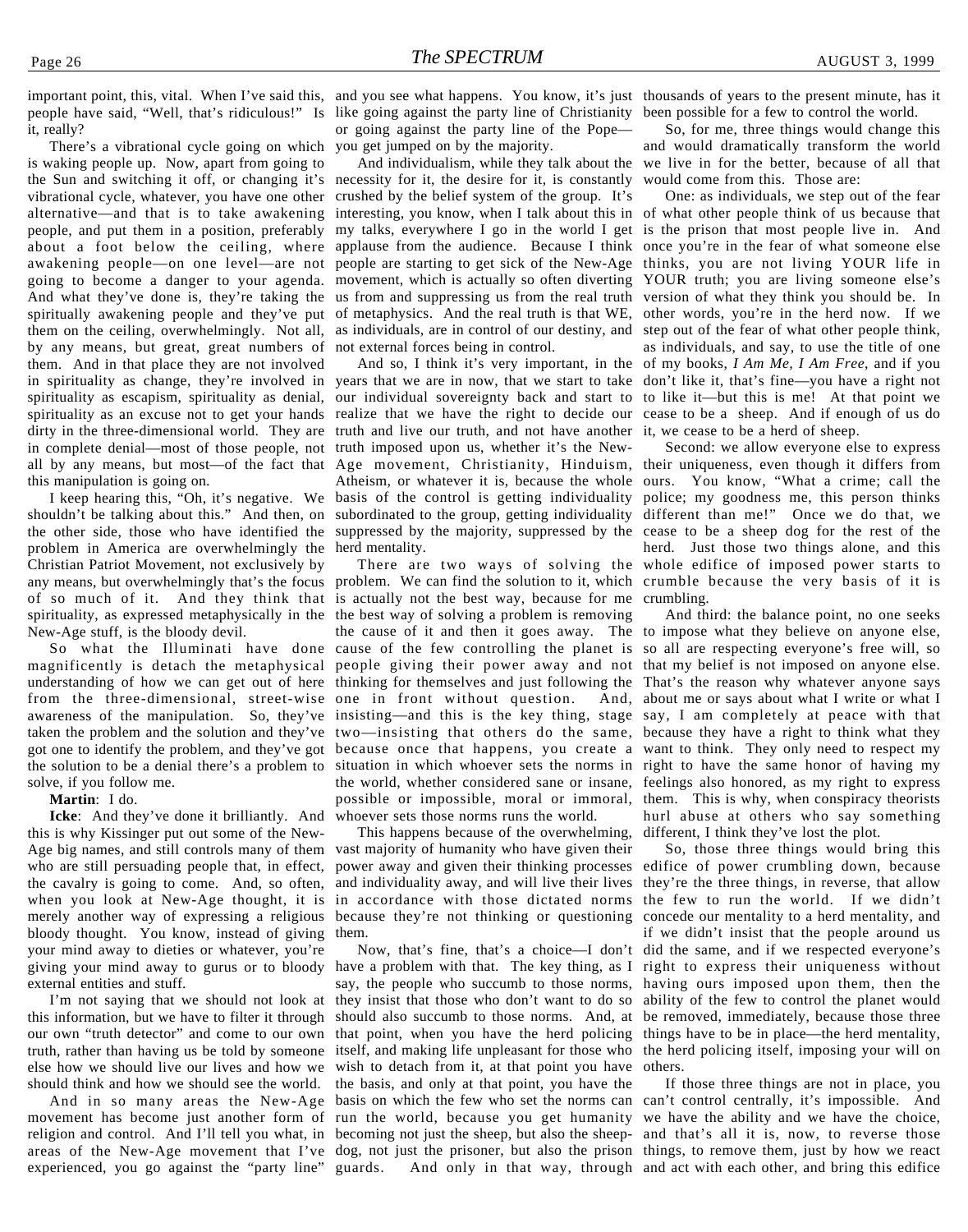it, really?

There's a vibrational cycle going on which is waking people up. Now, apart from going to the Sun and switching it off, or changing it's necessity for it, the desire for it, is constantly vibrational cycle, whatever, you have one other alternative—and that is to take awakening people, and put them in a position, preferably about a foot below the ceiling, where applause from the audience. Because I think once you're in the fear of what someone else awakening people—on one level—are not people are starting to get sick of the New-Age thinks, you are not living YOUR life in going to become a danger to your agenda. movement, which is actually so often diverting YOUR truth; you are living someone else's And what they've done is, they're taking the us from and suppressing us from the real truth version of what they think you should be. In spiritually awakening people and they've put of metaphysics. And the real truth is that WE, other words, you're in the herd now. If we them on the ceiling, overwhelmingly. Not all, as individuals, are in control of our destiny, and step out of the fear of what other people think, by any means, but great, great numbers of not external forces being in control. them. And in that place they are not involved in spirituality as change, they're involved in years that we are in now, that we start to take don't like it, that's fine—you have a right not spirituality as escapism, spirituality as denial, our individual sovereignty back and start to to like it—but this is me! At that point we spirituality as an excuse not to get your hands realize that we have the right to decide our cease to be a sheep. And if enough of us do dirty in the three-dimensional world. They are truth and live our truth, and not have another it, we cease to be a herd of sheep. in complete denial—most of those people, not truth imposed upon us, whether it's the Newall by any means, but most—of the fact that Age movement, Christianity, Hinduism, their uniqueness, even though it differs from this manipulation is going on.

shouldn't be talking about this." And then, on the other side, those who have identified the problem in America are overwhelmingly the Christian Patriot Movement, not exclusively by of so much of it. And they think that spirituality, as expressed metaphysically in the New-Age stuff, is the bloody devil.

So what the Illuminati have done magnificently is detach the metaphysical understanding of how we can get out of here from the three-dimensional, street-wise awareness of the manipulation. So, they've taken the problem and the solution and they've solve, if you follow me.

#### **Martin**: I do.

**Icke**: And they've done it brilliantly. And this is why Kissinger put out some of the New-Age big names, and still controls many of them who are still persuading people that, in effect, the cavalry is going to come. And, so often, when you look at New-Age thought, it is merely another way of expressing a religious bloody thought. You know, instead of giving your mind away to dieties or whatever, you're giving your mind away to gurus or to bloody external entities and stuff.

I'm not saying that we should not look at this information, but we have to filter it through our own "truth detector" and come to our own truth, rather than having us be told by someone else how we should live our lives and how we should think and how we should see the world.

movement has become just another form of run the world, because you get humanity we have the ability and we have the choice, religion and control. And I'll tell you what, in becoming not just the sheep, but also the sheep-and that's all it is, now, to reverse those areas of the New-Age movement that I've dog, not just the prisoner, but also the prison things, to remove them, just by how we react experienced, you go against the "party line" guards.

important point, this, vital. When I've said this, and you see what happens. You know, it's just thousands of years to the present minute, has it people have said, "Well, that's ridiculous!" Is like going against the party line of Christianity been possible for a few to control the world. or going against the party line of the Pope you get jumped on by the majority.

> crushed by the belief system of the group. It's interesting, you know, when I talk about this in of what other people think of us because that my talks, everywhere I go in the world I get is the prison that most people live in. And

I keep hearing this, "Oh, it's negative. We basis of the control is getting individuality police; my goodness me, this person thinks Atheism, or whatever it is, because the whole ours. You know, "What a crime; call the subordinated to the group, getting individuality different than me!" Once we do that, we suppressed by the majority, suppressed by the cease to be a sheep dog for the rest of the herd mentality.

any means, but overwhelmingly that's the focus problem. We can find the solution to it, which crumble because the very basis of it is got one to identify the problem, and they've got because once that happens, you create a want to think. They only need to respect my the solution to be a denial there's a problem to situation in which whoever sets the norms in right to have the same honor of having my is actually not the best way, because for me crumbling. the best way of solving a problem is removing the cause of it and then it goes away. The to impose what they believe on anyone else, cause of the few controlling the planet is so all are respecting everyone's free will, so people giving their power away and not that my belief is not imposed on anyone else. thinking for themselves and just following the That's the reason why whatever anyone says one in front without question. insisting—and this is the key thing, stage say, I am completely at peace with that two—insisting that others do the same, because they have a right to think what they the world, whether considered sane or insane, feelings also honored, as my right to express possible or impossible, moral or immoral, them. This is why, when conspiracy theorists whoever sets those norms runs the world.

> This happens because of the overwhelming, vast majority of humanity who have given their power away and given their thinking processes edifice of power crumbling down, because and individuality away, and will live their lives they're the three things, in reverse, that allow in accordance with those dictated norms the few to run the world. If we didn't because they're not thinking or questioning concede our mentality to a herd mentality, and them.

And in so many areas the New-Age basis on which the few who set the norms can can't control centrally, it's impossible. And have a problem with that. The key thing, as I right to express their uniqueness without say, the people who succumb to those norms, having ours imposed upon them, then the they insist that those who don't want to do so ability of the few to control the planet would should also succumb to those norms. And, at be removed, immediately, because those three that point, when you have the herd policing things have to be in place—the herd mentality, itself, and making life unpleasant for those who the herd policing itself, imposing your will on wish to detach from it, at that point you have others. the basis, and only at that point, you have the

And individualism, while they talk about the we live in for the better, because of all that So, for me, three things would change this and would dramatically transform the world would come from this. Those are:

And so, I think it's very important, in the of my books, *I Am Me, I Am Free*, and if you One: as individuals, we step out of the fear as individuals, and say, to use the title of one

There are two ways of solving the whole edifice of imposed power starts to Second: we allow everyone else to express herd. Just those two things alone, and this

> And third: the balance point, no one seeks And, about me or says about what I write or what I hurl abuse at others who say something different, I think they've lost the plot.

Now, that's fine, that's a choice—I don't did the same, and if we respected everyone's So, those three things would bring this if we didn't insist that the people around us

guards. And only in that way, through and act with each other, and bring this edificeIf those three things are not in place, you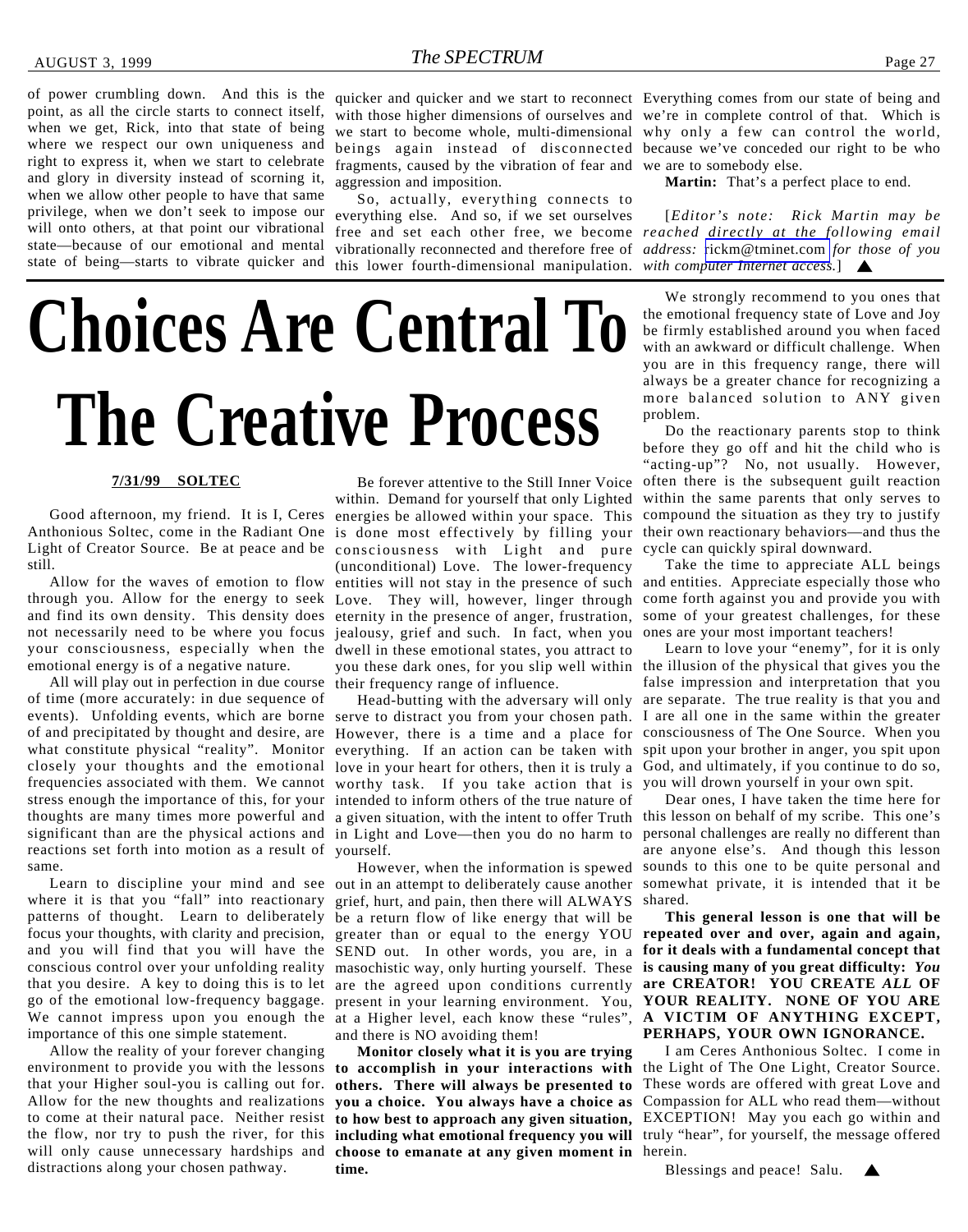<span id="page-26-0"></span>of power crumbling down. And this is the point, as all the circle starts to connect itself, when we get, Rick, into that state of being where we respect our own uniqueness and right to express it, when we start to celebrate and glory in diversity instead of scorning it, when we allow other people to have that same privilege, when we don't seek to impose our will onto others, at that point our vibrational state—because of our emotional and mental state of being—starts to vibrate quicker and

fragments, caused by the vibration of fear and we are to somebody else. aggression and imposition.

So, actually, everything connects to everything else. And so, if we set ourselves this lower fourth-dimensional manipulation. *with computer Internet access.*]

## **Choices Are Central To The Creative Process**

#### **7/31/99 SOLTEC**

still.

through you. Allow for the energy to seek and find its own density. This density does not necessarily need to be where you focus your consciousness, especially when the dwell in these emotional states, you attract to emotional energy is of a negative nature.

All will play out in perfection in due course of time (more accurately: in due sequence of events). Unfolding events, which are borne serve to distract you from your chosen path. I are all one in the same within the greater of and precipitated by thought and desire, are However, there is a time and a place for consciousness of The One Source. When you what constitute physical "reality". Monitor everything. If an action can be taken with spit upon your brother in anger, you spit upon closely your thoughts and the emotional love in your heart for others, then it is truly a God, and ultimately, if you continue to do so, frequencies associated with them. We cannot worthy task. If you take action that is you will drown yourself in your own spit. stress enough the importance of this, for your intended to inform others of the true nature of thoughts are many times more powerful and a given situation, with the intent to offer Truth this lesson on behalf of my scribe. This one's significant than are the physical actions and in Light and Love—then you do no harm to personal challenges are really no different than reactions set forth into motion as a result of yourself. same.

where it is that you "fall" into reactionary patterns of thought. Learn to deliberately be a return flow of like energy that will be focus your thoughts, with clarity and precision, greater than or equal to the energy YOU repeated over and over, again and again, and you will find that you will have the SEND out. In other words, you are, in a **for it deals with a fundamental concept that** conscious control over your unfolding reality masochistic way, only hurting yourself. These **is causing many of you great difficulty:** You that you desire. A key to doing this is to let go of the emotional low-frequency baggage. We cannot impress upon you enough the importance of this one simple statement.

Allow the reality of your forever changing environment to provide you with the lessons that your Higher soul-you is calling out for. Allow for the new thoughts and realizations to come at their natural pace. Neither resist the flow, nor try to push the river, for this will only cause unnecessary hardships and distractions along your chosen pathway.

Light of Creator Source. Be at peace and be consciousness with Light and pure cycle can quickly spiral downward. Allow for the waves of emotion to flow entities will not stay in the presence of such you these dark ones, for you slip well within the illusion of the physical that gives you the Be forever attentive to the Still Inner Voice within. Demand for yourself that only Lighted (unconditional) Love. The lower-frequency Love. They will, however, linger through eternity in the presence of anger, frustration, jealousy, grief and such. In fact, when you their frequency range of influence.

Learn to discipline your mind and see out in an attempt to deliberately cause another grief, hurt, and pain, then there will ALWAYS at a Higher level, each know these "rules", and there is NO avoiding them!

> choose to emanate at any given moment in herein. **Monitor closely what it is you are trying time.**

quicker and quicker and we start to reconnect Everything comes from our state of being and with those higher dimensions of ourselves and we're in complete control of that. Which is we start to become whole, multi-dimensional why only a few can control the world, beings again instead of disconnected because we've conceded our right to be who

**Martin:** That's a perfect place to end.

free and set each other free, we become *reached directly at the following email* vibrationally reconnected and therefore free of *address:* [rickm@tminet.com](mailto:rickm@tminet.com) *for those of you* [*Editor's note: Rick Martin may be*

> We strongly recommend to you ones that the emotional frequency state of Love and Joy be firmly established around you when faced with an awkward or difficult challenge. When you are in this frequency range, there will always be a greater chance for recognizing a more balanced solution to ANY given problem.

Good afternoon, my friend. It is I, Ceres energies be allowed within your space. This compound the situation as they try to justify Anthonious Soltec, come in the Radiant One is done most effectively by filling your their own reactionary behaviors—and thus the Do the reactionary parents stop to think before they go off and hit the child who is "acting-up"? No, not usually. However, often there is the subsequent guilt reaction within the same parents that only serves to

> Take the time to appreciate ALL beings and entities. Appreciate especially those who come forth against you and provide you with some of your greatest challenges, for these ones are your most important teachers!

Learn to love your "enemy", for it is only false impression and interpretation that you Head-butting with the adversary will only are separate. The true reality is that you and

Dear ones, I have taken the time here for are anyone else's. And though this lesson However, when the information is spewed sounds to this one to be quite personal and somewhat private, it is intended that it be shared.

**This general lesson is one that will be** are the agreed upon conditions currently are CREATOR! YOU CREATE ALL OF present in your learning environment. You, YOUR REALITY. NONE OF YOU ARE **A VICTIM OF ANYTHING EXCEPT, PERHAPS, YOUR OWN IGNORANCE.**

I am Ceres Anthonious Soltec. I come in to accomplish in your interactions with the Light of The One Light, Creator Source. others. There will always be presented to These words are offered with great Love and **you a choice. You always have a choice as** Compassion for ALL who read them—without to how best to approach any given situation, EXCEPTION! May you each go within and including what emotional frequency you will truly "hear", for yourself, the message offered

> Blessings and peace! Salu. ▲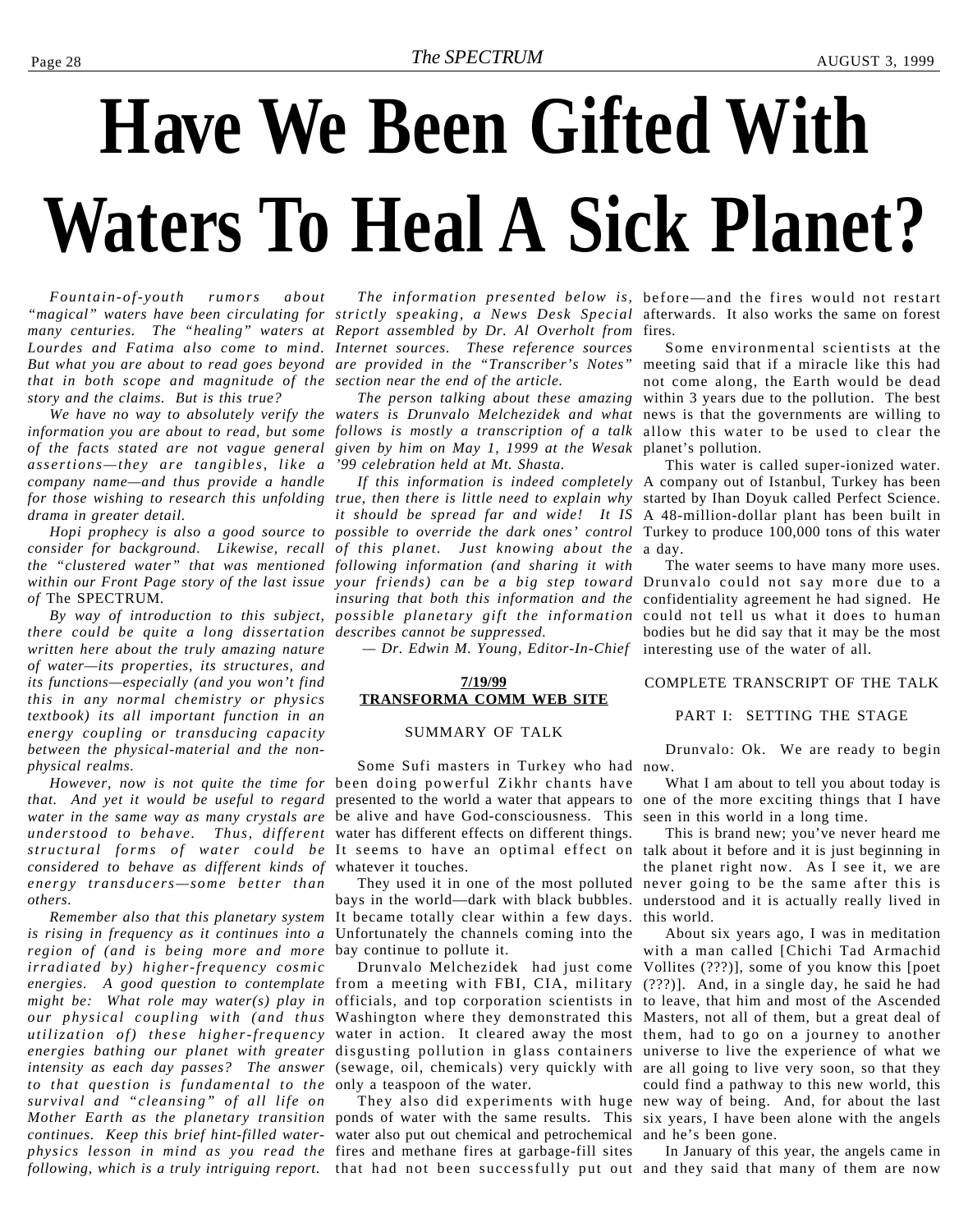## <span id="page-27-0"></span>**Have We Been Gifted With Waters To Heal A Sick Planet?**

*Fountain-of-youth rumors about that in both scope and magnitude of the section near the end of the article. story and the claims. But is this true?*

*information you are about to read, but some follows is mostly a transcription of a talk* allow this water to be used to clear the *of the facts stated are not vague general given by him on May 1, 1999 at the Wesak* planet's pollution. *assertions—they are tangibles, like a company name—and thus provide a handle for those wishing to research this unfolding true, then there is little need to explain why* started by Ihan Doyuk called Perfect Science. *drama in greater detail.*

*consider for background. Likewise, recall of this planet. Just knowing about the* a day. *the "clustered water" that was mentioned following information (and sharing it with within our Front Page story of the last issue your friends) can be a big step toward* Drunvalo could not say more due to a *of* The SPECTRUM*.*

*there could be quite a long dissertation describes cannot be suppressed. written here about the truly amazing nature of water—its properties, its structures, and its functions—especially (and you won't find this in any normal chemistry or physics textbook) its all important function in an energy coupling or transducing capacity between the physical-material and the nonphysical realms.*

*that. And yet it would be useful to regard understood to behave. Thus, different* water has different effects on different things. *considered to behave as different kinds of* whatever it touches. *energy transducers—some better than others.*

*is rising in frequency as it continues into a* Unfortunately the channels coming into the *region of (and is being more and more irradiated by) higher-frequency cosmic energies. A good question to contemplate* from a meeting with FBI, CIA, military (???)]. And, in a single day, he said he had *might be: What role may water(s) play in* officials, and top corporation scientists in to leave, that him and most of the Ascended *our physical coupling with (and thus* Washington where they demonstrated this Masters, not all of them, but a great deal of *utilization of) these higher-frequency* water in action. It cleared away the most them, had to go on a journey to another energies bathing our planet with greater disgusting pollution in glass containers universe to live the experience of what we *intensity as each day passes? The answer* (sewage, oil, chemicals) very quickly with are all going to live very soon, so that they *to that question is fundamental to the* only a teaspoon of the water. *survival and "cleansing" of all life on Mother Earth as the planetary transition* ponds of water with the same results. This six years, I have been alone with the angels *continues. Keep this brief hint-filled water-*water also put out chemical and petrochemical and he's been gone. *physics lesson in mind as you read the* fires and methane fires at garbage-fill sites

"magical" waters have been circulating for strictly speaking, a News Desk Special afterwards. It also works the same on forest *many centuries. The "healing" waters at Report assembled by Dr. Al Overholt from* fires. *Lourdes and Fatima also come to mind. Internet sources. These reference sources But what you are about to read goes beyond are provided in the "Transcriber's Notes"*

We have no way to absolutely verify the waters is Drunvalo Melchezidek and what news is that the governments are willing to *'99 celebration held at Mt. Shasta.*

Hopi prophecy is also a good source to possible to override the dark ones' control Turkey to produce 100,000 tons of this water *By way of introduction to this subject, possible planetary gift the information* could not tell us what it does to human *it should be spread far and wide! It IS* A 48-million-dollar plant has been built in *insuring that both this information and the*

 *— Dr. Edwin M. Young, Editor-In-Chief*

#### **7/19/99 TRANSFORMA COMM WEB SITE**

#### SUMMARY OF TALK

*However, now is not quite the time for* been doing powerful Zikhr chants have *water in the same way as many crystals are* be alive and have God-consciousness. This seen in this world in a long time. *structural forms of water could be* It seems to have an optimal effect on talk about it before and it is just beginning in Some Sufi masters in Turkey who had now. presented to the world a water that appears to one of the more exciting things that I have

*Remember also that this planetary system* It became totally clear within a few days. They used it in one of the most polluted bays in the world—dark with black bubbles. bay continue to pollute it.

*following, which is a truly intriguing report.* that had not been successfully put out and they said that many of them are now

*The information presented below is,* before—and the fires would not restart

*The person talking about these amazing* within 3 years due to the pollution. The best Some environmental scientists at the meeting said that if a miracle like this had not come along, the Earth would be dead

*If this information is indeed completely* A company out of Istanbul, Turkey has been This water is called super-ionized water.

> The water seems to have many more uses. confidentiality agreement he had signed. He bodies but he did say that it may be the most interesting use of the water of all.

COMPLETE TRANSCRIPT OF THE TALK

PART I: SETTING THE STAGE

Drunvalo: Ok. We are ready to begin

What I am about to tell you about today is

This is brand new; you've never heard me the planet right now. As I see it, we are never going to be the same after this is understood and it is actually really lived in this world.

Drunvalo Melchezidek had just come Vollites (???)], some of you know this [poet They also did experiments with huge new way of being. And, for about the last About six years ago, I was in meditation with a man called [Chichi Tad Armachid could find a pathway to this new world, this

In January of this year, the angels came in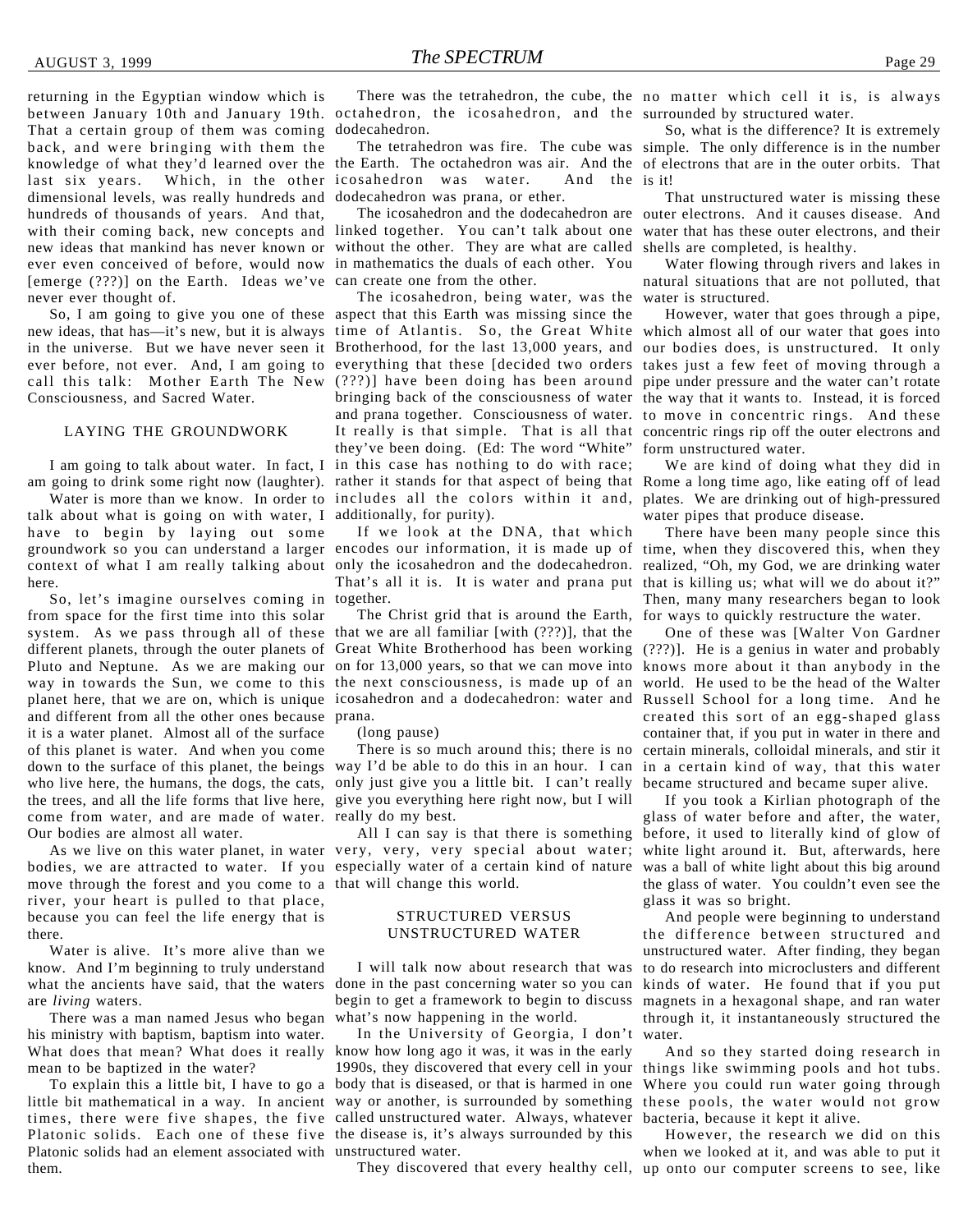returning in the Egyptian window which is between January 10th and January 19th. octahedron, the icosahedron, and the surrounded by structured water. That a certain group of them was coming dodecahedron. back, and were bringing with them the knowledge of what they'd learned over the the Earth. The octahedron was air. And the of electrons that are in the outer orbits. That last six years. Which, in the other icosahedron was water. And the dimensional levels, was really hundreds and dodecahedron was prana, or ether. hundreds of thousands of years. And that, with their coming back, new concepts and linked together. You can't talk about one water that has these outer electrons, and their new ideas that mankind has never known or without the other. They are what are called ever even conceived of before, would now in mathematics the duals of each other. You [emerge (???)] on the Earth. Ideas we've can create one from the other. never ever thought of.

Consciousness, and Sacred Water.

#### LAYING THE GROUNDWORK

talk about what is going on with water, I additionally, for purity). have to begin by laying out some here.

So, let's imagine ourselves coming in together. from space for the first time into this solar system. As we pass through all of these that we are all familiar [with (???)], that the different planets, through the outer planets of Pluto and Neptune. As we are making our way in towards the Sun, we come to this the next consciousness, is made up of an world. He used to be the head of the Walter planet here, that we are on, which is unique icosahedron and a dodecahedron: water and Russell School for a long time. And he and different from all the other ones because prana. it is a water planet. Almost all of the surface of this planet is water. And when you come the trees, and all the life forms that live here, give you everything here right now, but I will come from water, and are made of water. really do my best. Our bodies are almost all water.

move through the forest and you come to a that will change this world. river, your heart is pulled to that place, because you can feel the life energy that is there.

Water is alive. It's more alive than we know. And I'm beginning to truly understand what the ancients have said, that the waters are *living* waters.

There was a man named Jesus who began his ministry with baptism, baptism into water. What does that mean? What does it really mean to be baptized in the water?

times, there were five shapes, the five called unstructured water. Always, whatever Platonic solids. Each one of these five the disease is, it's always surrounded by this Platonic solids had an element associated with unstructured water. them.

And the is it!

So, I am going to give you one of these aspect that this Earth was missing since the new ideas, that has—it's new, but it is always time of Atlantis. So, the Great White which almost all of our water that goes into in the universe. But we have never seen it Brotherhood, for the last 13,000 years, and our bodies does, is unstructured. It only ever before, not ever. And, I am going to everything that these [decided two orders takes just a few feet of moving through a call this talk: Mother Earth The New (???)] have been doing has been around pipe under pressure and the water can't rotate I am going to talk about water. In fact, I in this case has nothing to do with race; am going to drink some right now (laughter). rather it stands for that aspect of being that Rome a long time ago, like eating off of lead Water is more than we know. In order to includes all the colors within it and, plates. We are drinking out of high-pressured The icosahedron, being water, was the bringing back of the consciousness of water the way that it wants to. Instead, it is forced and prana together. Consciousness of water. to move in concentric rings. And these It really is that simple. That is all that concentric rings rip off the outer electrons and they've been doing. (Ed: The word "White"

groundwork so you can understand a larger encodes our information, it is made up of time, when they discovered this, when they context of what I am really talking about only the icosahedron and the dodecahedron. realized, "Oh, my God, we are drinking water If we look at the DNA, that which That's all it is. It is water and prana put that is killing us; what will we do about it?"

> The Christ grid that is around the Earth, Great White Brotherhood has been working (???)]. He is a genius in water and probably on for 13,000 years, so that we can move into

(long pause)

down to the surface of this planet, the beings way I'd be able to do this in an hour. I can in a certain kind of way, that this water who live here, the humans, the dogs, the cats, only just give you a little bit. I can't really became structured and became super alive.

As we live on this water planet, in water very, very, very special about water; white light around it. But, afterwards, here bodies, we are attracted to water. If you especially water of a certain kind of nature was a ball of white light about this big around

#### STRUCTURED VERSUS UNSTRUCTURED WATER

I will talk now about research that was done in the past concerning water so you can begin to get a framework to begin to discuss what's now happening in the world.

To explain this a little bit, I have to go a body that is diseased, or that is harmed in one little bit mathematical in a way. In ancient way or another, is surrounded by something these pools, the water would not grow In the University of Georgia, I don't know how long ago it was, it was in the early 1990s, they discovered that every cell in your things like swimming pools and hot tubs.

There was the tetrahedron, the cube, the no matter which cell it is, is always

The tetrahedron was fire. The cube was simple. The only difference is in the number So, what is the difference? It is extremely

The icosahedron and the dodecahedron are outer electrons. And it causes disease. And That unstructured water is missing these shells are completed, is healthy.

Water flowing through rivers and lakes in natural situations that are not polluted, that water is structured.

However, water that goes through a pipe, form unstructured water.

We are kind of doing what they did in water pipes that produce disease.

There have been many people since this Then, many many researchers began to look for ways to quickly restructure the water.

There is so much around this; there is no certain minerals, colloidal minerals, and stir it One of these was [Walter Von Gardner knows more about it than anybody in the created this sort of an egg-shaped glass container that, if you put in water in there and

All I can say is that there is something before, it used to literally kind of glow of If you took a Kirlian photograph of the glass of water before and after, the water, the glass of water. You couldn't even see the glass it was so bright.

> And people were beginning to understand the difference between structured and unstructured water. After finding, they began to do research into microclusters and different kinds of water. He found that if you put magnets in a hexagonal shape, and ran water through it, it instantaneously structured the water.

> And so they started doing research in Where you could run water going through bacteria, because it kept it alive.

They discovered that every healthy cell, up onto our computer screens to see, likeHowever, the research we did on this when we looked at it, and was able to put it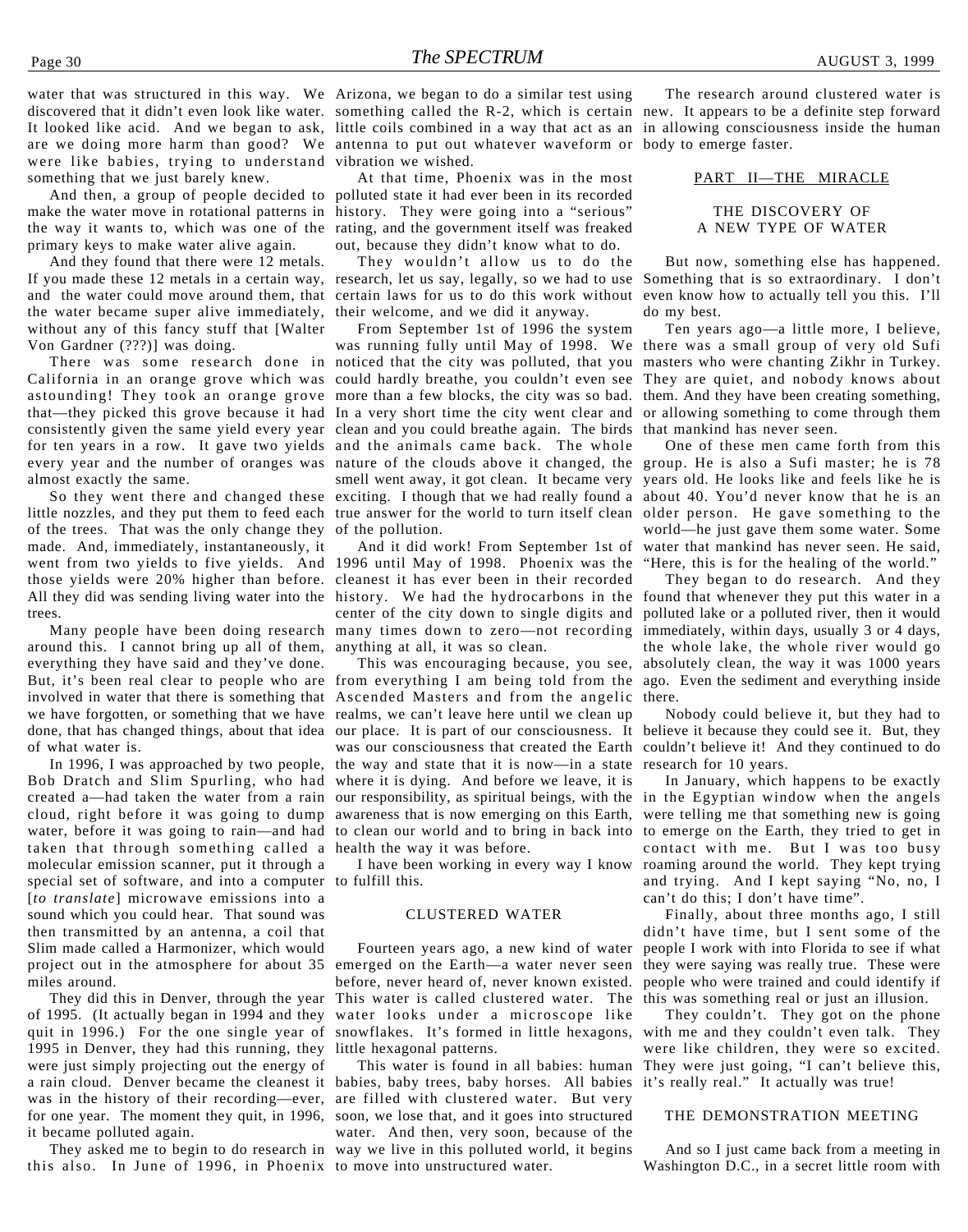were like babies, trying to understand vibration we wished. something that we just barely knew.

make the water move in rotational patterns in history. They were going into a "serious" the way it wants to, which was one of the rating, and the government itself was freaked primary keys to make water alive again.

And they found that there were 12 metals. and the water could move around them, that certain laws for us to do this work without the water became super alive immediately, their welcome, and we did it anyway. without any of this fancy stuff that [Walter Von Gardner (???)] was doing.

California in an orange grove which was could hardly breathe, you couldn't even see They are quiet, and nobody knows about astounding! They took an orange grove more than a few blocks, the city was so bad. that—they picked this grove because it had In a very short time the city went clear and or allowing something to come through them consistently given the same yield every year clean and you could breathe again. The birds that mankind has never seen. for ten years in a row. It gave two yields and the animals came back. The whole every year and the number of oranges was nature of the clouds above it changed, the group. He is also a Sufi master; he is 78 almost exactly the same.

little nozzles, and they put them to feed each true answer for the world to turn itself clean older person. He gave something to the of the trees. That was the only change they made. And, immediately, instantaneously, it went from two yields to five yields. And 1996 until May of 1998. Phoenix was the those yields were 20% higher than before. cleanest it has ever been in their recorded All they did was sending living water into the history. We had the hydrocarbons in the found that whenever they put this water in a trees.

around this. I cannot bring up all of them, anything at all, it was so clean. everything they have said and they've done. involved in water that there is something that we have forgotten, or something that we have of what water is.

In 1996, I was approached by two people, Bob Dratch and Slim Spurling, who had created a—had taken the water from a rain cloud, right before it was going to dump water, before it was going to rain—and had taken that through something called a health the way it was before. molecular emission scanner, put it through a special set of software, and into a computer to fulfill this. [*to translate*] microwave emissions into a sound which you could hear. That sound was then transmitted by an antenna, a coil that Slim made called a Harmonizer, which would project out in the atmosphere for about 35 emerged on the Earth—a water never seen miles around.

of 1995. (It actually began in 1994 and they quit in 1996.) For the one single year of snowflakes. It's formed in little hexagons, 1995 in Denver, they had this running, they little hexagonal patterns. were just simply projecting out the energy of a rain cloud. Denver became the cleanest it babies, baby trees, baby horses. All babies was in the history of their recording—ever, are filled with clustered water. But very for one year. The moment they quit, in 1996, soon, we lose that, and it goes into structured it became polluted again.

this also. In June of 1996, in Phoenix to move into unstructured water.

water that was structured in this way. We Arizona, we began to do a similar test using discovered that it didn't even look like water. something called the R-2, which is certain new. It appears to be a definite step forward It looked like acid. And we began to ask, little coils combined in a way that act as an in allowing consciousness inside the human are we doing more harm than good? We antenna to put out whatever waveform or body to emerge faster.

And then, a group of people decided to polluted state it had ever been in its recorded At that time, Phoenix was in the most out, because they didn't know what to do.

If you made these 12 metals in a certain way, research, let us say, legally, so we had to use Something that is so extraordinary. I don't They wouldn't allow us to do the

There was some research done in noticed that the city was polluted, that you masters who were chanting Zikhr in Turkey. So they went there and changed these exciting. I though that we had really found a about 40. You'd never know that he is an From September 1st of 1996 the system was running fully until May of 1998. We there was a small group of very old Sufi smell went away, it got clean. It became very years old. He looks like and feels like he is of the pollution.

Many people have been doing research many times down to zero—not recording immediately, within days, usually 3 or 4 days, center of the city down to single digits and

But, it's been real clear to people who are from everything I am being told from the ago. Even the sediment and everything inside done, that has changed things, about that idea our place. It is part of our consciousness. It believe it because they could see it. But, they Ascended Masters and from the angelic realms, we can't leave here until we clean up was our consciousness that created the Earth couldn't believe it! And they continued to do the way and state that it is now—in a state research for 10 years. where it is dying. And before we leave, it is our responsibility, as spiritual beings, with the in the Egyptian window when the angels awareness that is now emerging on this Earth, were telling me that something new is going to clean our world and to bring in back into to emerge on the Earth, they tried to get in

#### CLUSTERED WATER

They did this in Denver, through the year This water is called clustered water. The this was something real or just an illusion. Fourteen years ago, a new kind of water before, never heard of, never known existed. water looks under a microscope like

They asked me to begin to do research in way we live in this polluted world, it begins water. And then, very soon, because of the

The research around clustered water is

#### PART II—THE MIRACLE

#### THE DISCOVERY OF A NEW TYPE OF WATER

But now, something else has happened. even know how to actually tell you this. I'll do my best.

Ten years ago—a little more, I believe, them. And they have been creating something,

And it did work! From September 1st of water that mankind has never seen. He said, One of these men came forth from this world—he just gave them some water. Some "Here, this is for the healing of the world."

This was encouraging because, you see, absolutely clean, the way it was 1000 years They began to do research. And they polluted lake or a polluted river, then it would the whole lake, the whole river would go there.

Nobody could believe it, but they had to

I have been working in every way I know roaming around the world. They kept trying In January, which happens to be exactly contact with me. But I was too busy and trying. And I kept saying "No, no, I can't do this; I don't have time".

> Finally, about three months ago, I still didn't have time, but I sent some of the people I work with into Florida to see if what they were saying was really true. These were people who were trained and could identify if

This water is found in all babies: human They were just going, "I can't believe this, They couldn't. They got on the phone with me and they couldn't even talk. They were like children, they were so excited. it's really real." It actually was true!

#### THE DEMONSTRATION MEETING

And so I just came back from a meeting in Washington D.C., in a secret little room with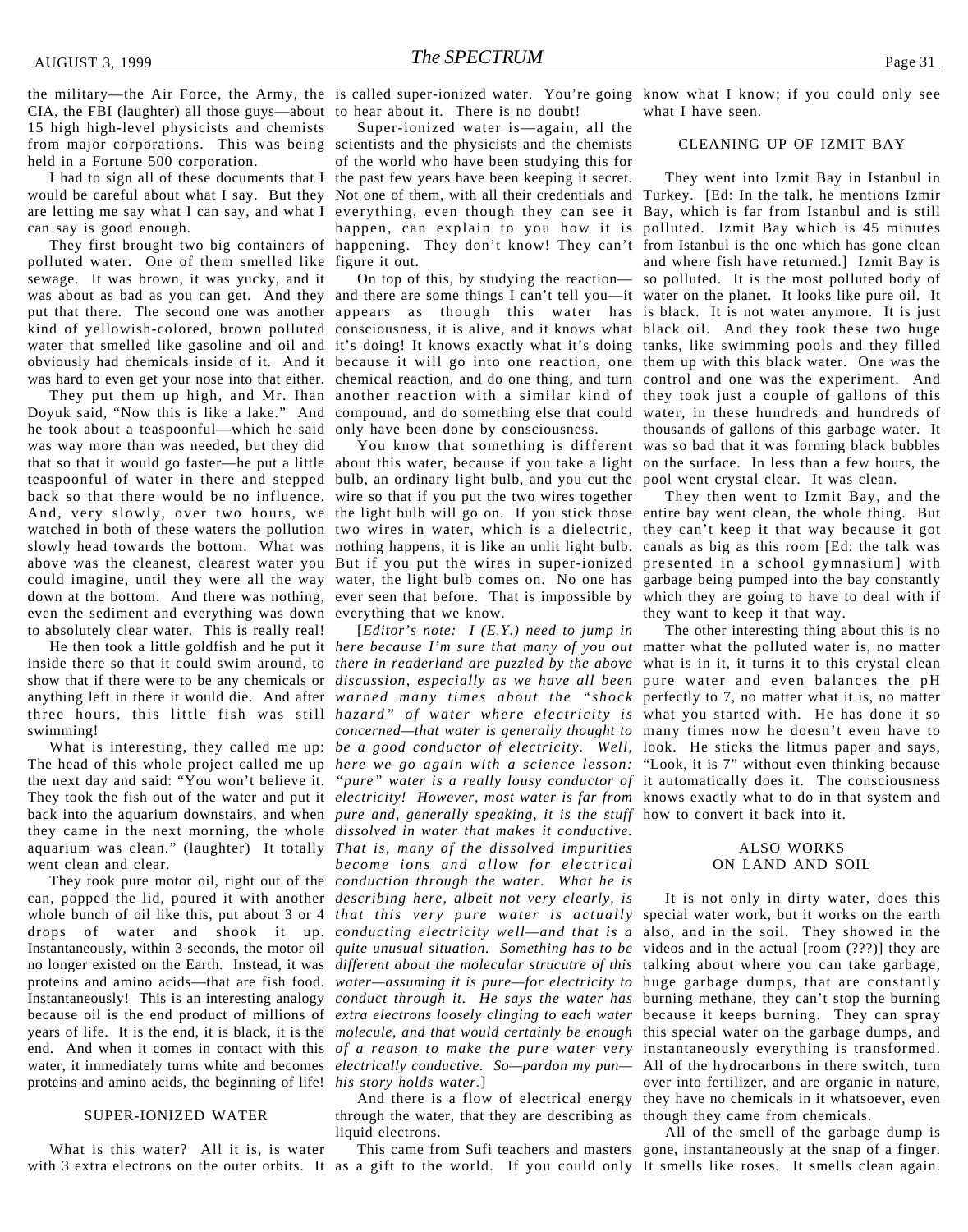CIA, the FBI (laughter) all those guys—about to hear about it. There is no doubt! 15 high high-level physicists and chemists from major corporations. This was being scientists and the physicists and the chemists held in a Fortune 500 corporation.

can say is good enough.

polluted water. One of them smelled like figure it out. sewage. It was brown, it was yucky, and it was about as bad as you can get. And they and there are some things I can't tell you—it water on the planet. It looks like pure oil. It put that there. The second one was another appears as though this water has is black. It is not water anymore. It is just kind of yellowish-colored, brown polluted consciousness, it is alive, and it knows what black oil. And they took these two huge water that smelled like gasoline and oil and it's doing! It knows exactly what it's doing tanks, like swimming pools and they filled obviously had chemicals inside of it. And it because it will go into one reaction, one them up with this black water. One was the

Doyuk said, "Now this is like a lake." And compound, and do something else that could water, in these hundreds and hundreds of he took about a teaspoonful—which he said only have been done by consciousness. was way more than was needed, but they did that so that it would go faster—he put a little about this water, because if you take a light on the surface. In less than a few hours, the teaspoonful of water in there and stepped bulb, an ordinary light bulb, and you cut the pool went crystal clear. It was clean. back so that there would be no influence. wire so that if you put the two wires together And, very slowly, over two hours, we the light bulb will go on. If you stick those entire bay went clean, the whole thing. But watched in both of these waters the pollution two wires in water, which is a dielectric, they can't keep it that way because it got slowly head towards the bottom. What was nothing happens, it is like an unlit light bulb. canals as big as this room [Ed: the talk was above was the cleanest, clearest water you But if you put the wires in super-ionized presented in a school gymnasium] with could imagine, until they were all the way water, the light bulb comes on. No one has garbage being pumped into the bay constantly down at the bottom. And there was nothing, ever seen that before. That is impossible by which they are going to have to deal with if even the sediment and everything was down everything that we know. to absolutely clear water. This is really real!

inside there so that it could swim around, to *there in readerland are puzzled by the above* what is in it, it turns it to this crystal clean show that if there were to be any chemicals or *discussion, especially as we have all been* pure water and even balances the pH anything left in there it would die. And after *warned many times about the "shock* perfectly to 7, no matter what it is, no matter three hours, this little fish was still *hazard" of water where electricity is* what you started with. He has done it so swimming!

The head of this whole project called me up *here we go again with a science lesson:* "Look, it is 7" without even thinking because the next day and said: "You won't believe it. *"pure" water is a really lousy conductor of* it automatically does it. The consciousness They took the fish out of the water and put it *electricity! However, most water is far from* knows exactly what to do in that system and back into the aquarium downstairs, and when *pure and, generally speaking, it is the stuff* how to convert it back into it. they came in the next morning, the whole *dissolved in water that makes it conductive.* aquarium was clean." (laughter) It totally *That is, many of the dissolved impurities* went clean and clear.

can, popped the lid, poured it with another *describing here, albeit not very clearly, is* drops of water and shook it up. *conducting electricity well—and that is a* also, and in the soil. They showed in the Instantaneously, within 3 seconds, the motor oil *quite unusual situation. Something has to be* videos and in the actual [room (???)] they are no longer existed on the Earth. Instead, it was *different about the molecular strucutre of this* talking about where you can take garbage, Instantaneously! This is an interesting analogy *conduct through it. He says the water has* burning methane, they can't stop the burning because oil is the end product of millions of *extra electrons loosely clinging to each water* because it keeps burning. They can spray years of life. It is the end, it is black, it is the *molecule, and that would certainly be enough* this special water on the garbage dumps, and water, it immediately turns white and becomes *electrically conductive. So—pardon my pun—* All of the hydrocarbons in there switch, turn proteins and amino acids, the beginning of life! *his story holds water.*]

#### SUPER-IONIZED WATER

What is this water? All it is, is water with 3 extra electrons on the outer orbits. It as a gift to the world. If you could only It smells like roses. It smells clean again.

I had to sign all of these documents that I the past few years have been keeping it secret. would be careful about what I say. But they Not one of them, with all their credentials and Turkey. [Ed: In the talk, he mentions Izmir are letting me say what I can say, and what I everything, even though they can see it Bay, which is far from Istanbul and is still They first brought two big containers of happening. They don't know! They can't from Istanbul is the one which has gone clean Super-ionized water is—again, all the of the world who have been studying this for happen, can explain to you how it is polluted. Izmit Bay which is 45 minutes

was hard to even get your nose into that either. chemical reaction, and do one thing, and turn control and one was the experiment. And They put them up high, and Mr. Ihan another reaction with a similar kind of they took just a couple of gallons of this

They took pure motor oil, right out of the *conduction through the water. What he is* [*Editor's note: I (E.Y.) need to jump in become ions and allow for electrical*

> through the water, that they are describing as though they came from chemicals. liquid electrons.

the military—the Air Force, the Army, the is called super-ionized water. You're going know what I know; if you could only see what I have seen.

#### CLEANING UP OF IZMIT BAY

On top of this, by studying the reaction— so polluted. It is the most polluted body of You know that something is different was so bad that it was forming black bubbles They went into Izmit Bay in Istanbul in and where fish have returned.] Izmit Bay is thousands of gallons of this garbage water. It

> They then went to Izmit Bay, and the they want to keep it that way.

He then took a little goldfish and he put it *here because I'm sure that many of you out* matter what the polluted water is, no matter What is interesting, they called me up: *be a good conductor of electricity. Well,* look. He sticks the litmus paper and says, *concerned—that water is generally thought to* many times now he doesn't even have to The other interesting thing about this is no

#### ALSO WORKS ON LAND AND SOIL

whole bunch of oil like this, put about 3 or 4 *that this very pure water is actually* special water work, but it works on the earth proteins and amino acids—that are fish food. *water—assuming it is pure—for electricity to* huge garbage dumps, that are constantly end. And when it comes in contact with this *of a reason to make the pure water very* instantaneously everything is transformed. And there is a flow of electrical energy they have no chemicals in it whatsoever, even It is not only in dirty water, does this over into fertilizer, and are organic in nature,

> This came from Sufi teachers and masters gone, instantaneously at the snap of a finger. All of the smell of the garbage dump is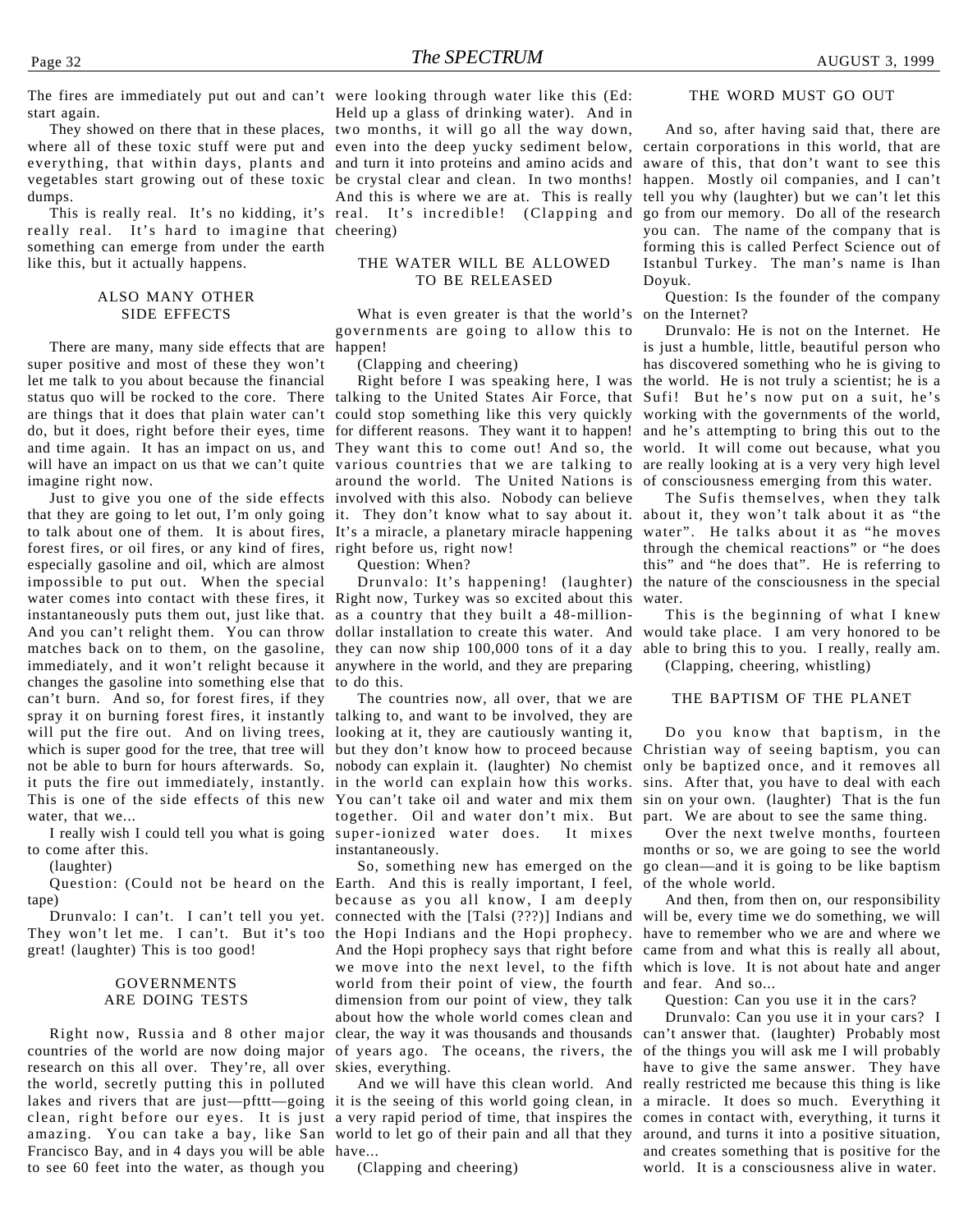The fires are immediately put out and can't were looking through water like this (Ed: start again.

They showed on there that in these places, where all of these toxic stuff were put and even into the deep yucky sediment below, everything, that within days, plants and and turn it into proteins and amino acids and vegetables start growing out of these toxic be crystal clear and clean. In two months! dumps.

really real. It's hard to imagine that cheering) something can emerge from under the earth like this, but it actually happens.

#### ALSO MANY OTHER SIDE EFFECTS

There are many, many side effects that are happen! super positive and most of these they won't let me talk to you about because the financial imagine right now.

that they are going to let out, I'm only going it. They don't know what to say about it. about it, they won't talk about it as "the to talk about one of them. It is about fires, It's a miracle, a planetary miracle happening water". He talks about it as "he moves forest fires, or oil fires, or any kind of fires, right before us, right now! especially gasoline and oil, which are almost impossible to put out. When the special water comes into contact with these fires, it Right now, Turkey was so excited about this instantaneously puts them out, just like that. And you can't relight them. You can throw matches back on to them, on the gasoline, they can now ship 100,000 tons of it a day immediately, and it won't relight because it anywhere in the world, and they are preparing changes the gasoline into something else that to do this. can't burn. And so, for forest fires, if they spray it on burning forest fires, it instantly talking to, and want to be involved, they are will put the fire out. And on living trees, looking at it, they are cautiously wanting it, which is super good for the tree, that tree will but they don't know how to proceed because Christian way of seeing baptism, you can not be able to burn for hours afterwards. So, nobody can explain it. (laughter) No chemist only be baptized once, and it removes all it puts the fire out immediately, instantly. in the world can explain how this works. sins. After that, you have to deal with each This is one of the side effects of this new You can't take oil and water and mix them sin on your own. (laughter) That is the fun water, that we...

I really wish I could tell you what is going to come after this.

(laughter)

tape)

great! (laughter) This is too good!

#### GOVERNMENTS ARE DOING TESTS

countries of the world are now doing major of years ago. The oceans, the rivers, the research on this all over. They're, all over skies, everything. the world, secretly putting this in polluted lakes and rivers that are just—pfttt—going it is the seeing of this world going clean, in a miracle. It does so much. Everything it clean, right before our eyes. It is just a very rapid period of time, that inspires the comes in contact with, everything, it turns it amazing. You can take a bay, like San world to let go of their pain and all that they around, and turns it into a positive situation, Francisco Bay, and in 4 days you will be able have... to see 60 feet into the water, as though you

This is really real. It's no kidding, it's real. It's incredible! (Clapping and Held up a glass of drinking water). And in two months, it will go all the way down, And this is where we are at. This is really

#### THE WATER WILL BE ALLOWED TO BE RELEASED

What is even greater is that the world's on the Internet? governments are going to allow this to

(Clapping and cheering)

status quo will be rocked to the core. There talking to the United States Air Force, that Sufi! But he's now put on a suit, he's are things that it does that plain water can't could stop something like this very quickly working with the governments of the world, do, but it does, right before their eyes, time for different reasons. They want it to happen! and he's attempting to bring this out to the and time again. It has an impact on us, and They want this to come out! And so, the world. It will come out because, what you will have an impact on us that we can't quite various countries that we are talking to are really looking at is a very very high level Just to give you one of the side effects involved with this also. Nobody can believe around the world. The United Nations is of consciousness emerging from this water.

Question: When?

as a country that they built a 48-milliondollar installation to create this water. And

The countries now, all over, that we are together. Oil and water don't mix. But part. We are about to see the same thing. super-ionized water does. It mixes instantaneously.

Question: (Could not be heard on the Earth. And this is really important, I feel, of the whole world. Drunvalo: I can't. I can't tell you yet. connected with the [Talsi (???)] Indians and will be, every time we do something, we will They won't let me. I can't. But it's too the Hopi Indians and the Hopi prophecy. have to remember who we are and where we Right now, Russia and 8 other major clear, the way it was thousands and thousands can't answer that. (laughter) Probably most because as you all know, I am deeply And the Hopi prophecy says that right before came from and what this is really all about, we move into the next level, to the fifth which is love. It is not about hate and anger world from their point of view, the fourth dimension from our point of view, they talk about how the whole world comes clean and

And we will have this clean world. And

(Clapping and cheering)

#### THE WORD MUST GO OUT

And so, after having said that, there are certain corporations in this world, that are aware of this, that don't want to see this happen. Mostly oil companies, and I can't tell you why (laughter) but we can't let this go from our memory. Do all of the research you can. The name of the company that is forming this is called Perfect Science out of Istanbul Turkey. The man's name is Ihan Doyuk.

Question: Is the founder of the company

Right before I was speaking here, I was the world. He is not truly a scientist; he is a Drunvalo: He is not on the Internet. He is just a humble, little, beautiful person who has discovered something who he is giving to

Drunvalo: It's happening! (laughter) the nature of the consciousness in the special The Sufis themselves, when they talk through the chemical reactions" or "he does this" and "he does that". He is referring to water.

> This is the beginning of what I knew would take place. I am very honored to be able to bring this to you. I really, really am. (Clapping, cheering, whistling)

#### THE BAPTISM OF THE PLANET

Do you know that baptism, in the

So, something new has emerged on the go clean—and it is going to be like baptism Over the next twelve months, fourteen months or so, we are going to see the world

> And then, from then on, our responsibility and fear. And so...

Question: Can you use it in the cars?

Drunvalo: Can you use it in your cars? I of the things you will ask me I will probably have to give the same answer. They have really restricted me because this thing is like and creates something that is positive for the world. It is a consciousness alive in water.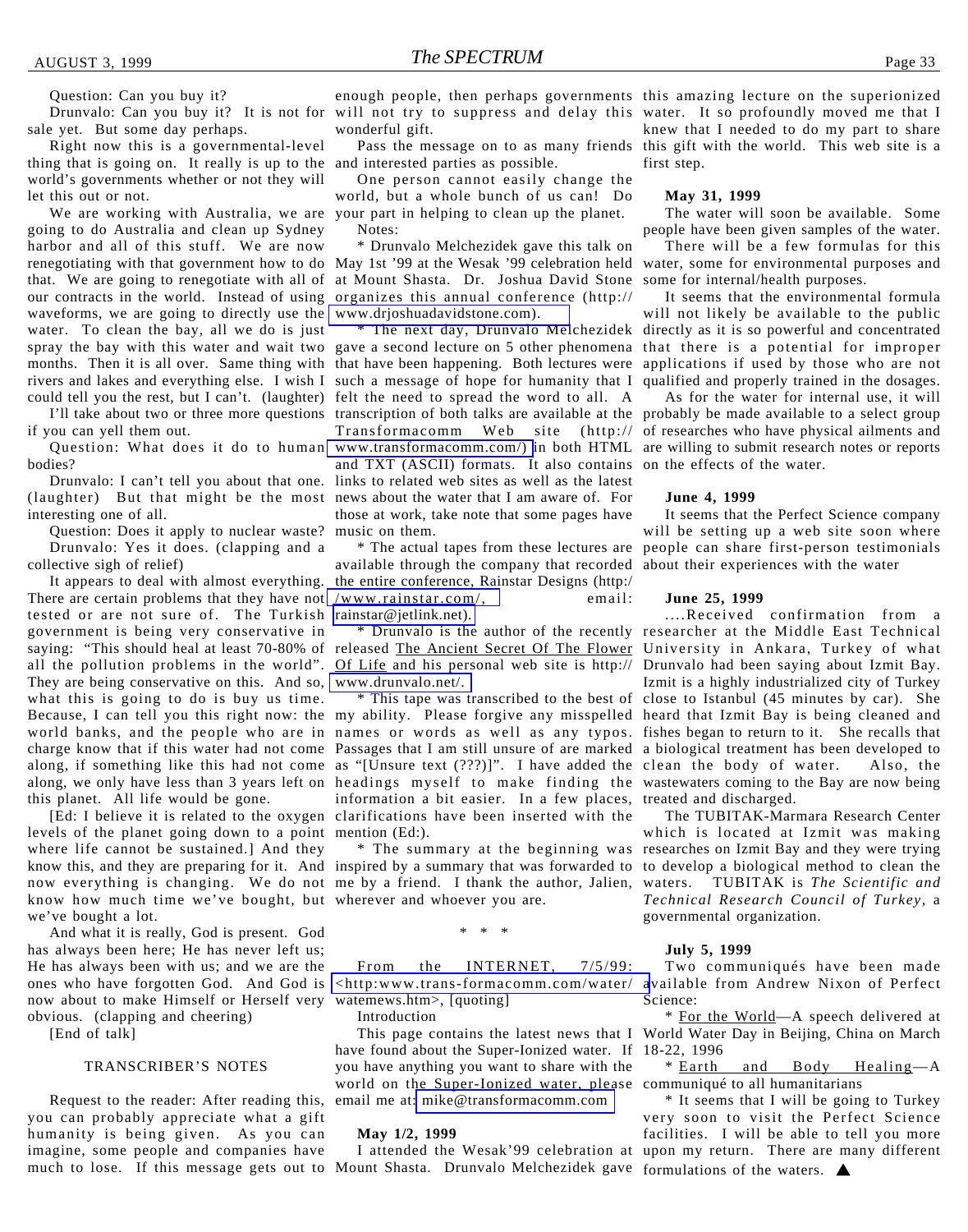Question: Can you buy it?

sale yet. But some day perhaps.

Right now this is a governmental-level thing that is going on. It really is up to the world's governments whether or not they will let this out or not.

We are working with Australia, we are going to do Australia and clean up Sydney harbor and all of this stuff. We are now renegotiating with that government how to do May 1st '99 at the Wesak '99 celebration held that. We are going to renegotiate with all of at Mount Shasta. Dr. Joshua David Stone our contracts in the world. Instead of using organizes this annual conference (http:// waveforms, we are going to directly use the [www.drjoshuadavidstone.com\).](http://www.drjoshuadavidstone.com) water. To clean the bay, all we do is just spray the bay with this water and wait two gave a second lecture on 5 other phenomena that there is a potential for improper months. Then it is all over. Same thing with that have been happening. Both lectures were applications if used by those who are not rivers and lakes and everything else. I wish I such a message of hope for humanity that I qualified and properly trained in the dosages. could tell you the rest, but I can't. (laughter) felt the need to spread the word to all. A

if you can yell them out.

bodies?

(laughter) But that might be the most news about the water that I am aware of. For interesting one of all.

Question: Does it apply to nuclear waste? music on them. Drunvalo: Yes it does. (clapping and a collective sigh of relief)

There are certain problems that they have not [/www.rainstar.com/,](http://www.rainstar.com/) email: tested or are not sure of. The Turkish [rainstar@jetlink.net\).](mailto:rainstar@jetlink.net) government is being very conservative in saying: "This should heal at least 70-80% of released <u>The Ancient Secret Of The Flower</u> University in Ankara, Turkey of what all the pollution problems in the world". <u>Of Life</u> and his personal web site is http:// Drunvalo had been saying about Izmit Bay. They are being conservative on this. And so, [www.drunvalo.net/.](http://www.drunvalo.net/) what this is going to do is buy us time. Because, I can tell you this right now: the my ability. Please forgive any misspelled heard that Izmit Bay is being cleaned and world banks, and the people who are in names or words as well as any typos. fishes began to return to it. She recalls that charge know that if this water had not come Passages that I am still unsure of are marked a biological treatment has been developed to along, if something like this had not come as "[Unsure text (???)]". I have added the clean the body of water. Also, the along, we only have less than 3 years left on headings myself to make finding the wastewaters coming to the Bay are now being this planet. All life would be gone.

levels of the planet going down to a point mention (Ed:). where life cannot be sustained.] And they know this, and they are preparing for it. And inspired by a summary that was forwarded to to develop a biological method to clean the now everything is changing. We do not me by a friend. I thank the author, Jalien, know how much time we've bought, but wherever and whoever you are. we've bought a lot.

And what it is really, God is present. God has always been here; He has never left us; He has always been with us; and we are the ones who have forgotten God. And God is [<http:www.trans-formacomm.com/water/](http://www.trans-foracomm.com/water/watmews.htm) available from Andrew Nixon of Perfect now about to make Himself or Herself very watemews.htm>, [quoting] obvious. (clapping and cheering)

[End of talk]

#### TRANSCRIBER'S NOTES

Request to the reader: After reading this, you can probably appreciate what a gift humanity is being given. As you can imagine, some people and companies have much to lose. If this message gets out to Mount Shasta. Drunvalo Melchezidek gave formulations of the waters.

Drunvalo: Can you buy it? It is not for will not try to suppress and delay this water. It so profoundly moved me that I enough people, then perhaps governments this amazing lecture on the superionized wonderful gift.

and interested parties as possible.

One person cannot easily change the world, but a whole bunch of us can! Do your part in helping to clean up the planet. Notes:

\* Drunvalo Melchezidek gave this talk on

Drunvalo: I can't tell you about that one. links to related web sites as well as the latest and TXT (ASCII) formats. It also contains on the effects of the water. those at work, take note that some pages have

It appears to deal with almost everything. the entire conference, Rainstar Designs (http:/ available through the company that recorded about their experiences with the water

[Ed: I believe it is related to the oxygen clarifications have been inserted with the information a bit easier. In a few places, treated and discharged.

\* \* \*

From the INTERNET,  $7/5/99$ :

Introduction

have found about the Super-Ionized water. If 18-22, 1996 you have anything you want to share with the world on the Super-Ionized water, please communiqué to all humanitarians email me at: [mike@transformacomm.com](mailto:mike@transformacomm.com)

#### **May 1/2, 1999**

Pass the message on to as many friends this gift with the world. This web site is a knew that I needed to do my part to share first step.

#### **May 31, 1999**

The water will soon be available. Some people have been given samples of the water.

There will be a few formulas for this water, some for environmental purposes and some for internal/health purposes.

\* The next day, Drunvalo Melchezidek directly as it is so powerful and concentrated It seems that the environmental formula will not likely be available to the public

I'll take about two or three more questions transcription of both talks are available at the probably be made available to a select group Question: What does it do to human [www.transformacomm.com/\)](http://www.transformacomm.com/) in both HTML are willing to submit research notes or reports Transformacomm Web site (http:// of researches who have physical ailments and As for the water for internal use, it will

#### **June 4, 1999**

\* The actual tapes from these lectures are people can share first-person testimonials It seems that the Perfect Science company will be setting up a web site soon where

#### **June 25, 1999**

\* Drunvalo is the author of the recently researcher at the Middle East Technical \* This tape was transcribed to the best of close to Istanbul (45 minutes by car). She ....Received confirmation from a Izmit is a highly industrialized city of Turkey

\* The summary at the beginning was researches on Izmit Bay and they were trying The TUBITAK-Marmara Research Center which is located at Izmit was making TUBITAK is *The Scientific and Technical Research Council of Turkey,* a governmental organization.

#### **July 5, 1999**

Two communiqués have been made Science:

This page contains the latest news that I World Water Day in Beijing, China on March \* For the World—A speech delivered at

\* Earth and Body Healing—A

I attended the Wesak'99 celebration at upon my return. There are many different \* It seems that I will be going to Turkey very soon to visit the Perfect Science facilities. I will be able to tell you more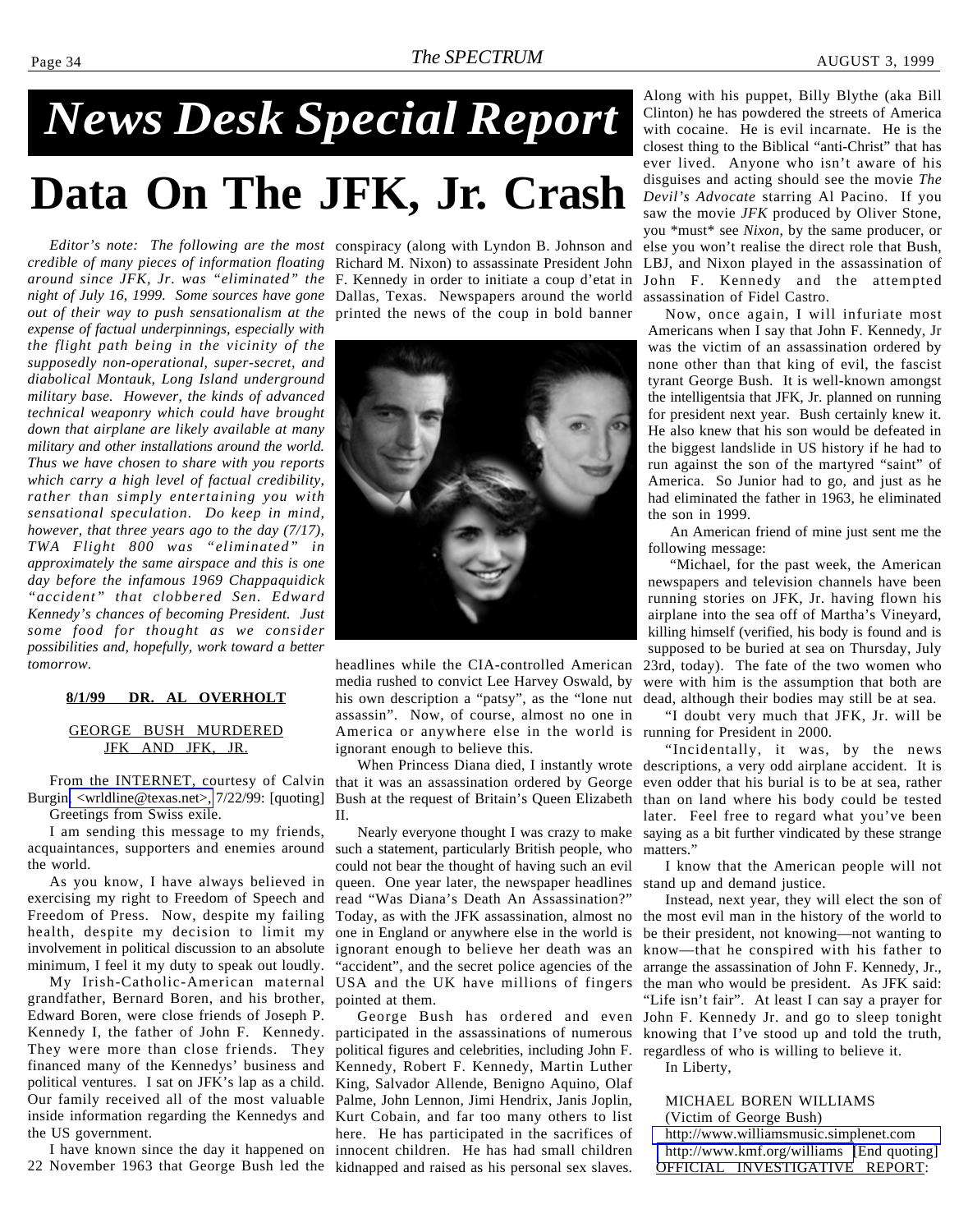## <span id="page-33-0"></span>*News Desk Special Report* **Data On The JFK, Jr. Crash**

*credible of many pieces of information floating* Richard M. Nixon) to assassinate President John *around since JFK, Jr. was "eliminated" the night of July 16, 1999. Some sources have gone* Dallas, Texas. Newspapers around the world *out of their way to push sensationalism at the expense of factual underpinnings, especially with the flight path being in the vicinity of the supposedly non-operational, super-secret, and diabolical Montauk, Long Island underground military base. However, the kinds of advanced technical weaponry which could have brought down that airplane are likely available at many military and other installations around the world. Thus we have chosen to share with you reports which carry a high level of factual credibility, rather than simply entertaining you with sensational speculation. Do keep in mind, however, that three years ago to the day (7/17), TWA Flight 800 was "eliminated" in approximately the same airspace and this is one day before the infamous 1969 Chappaquidick "accident" that clobbered Sen. Edward Kennedy's chances of becoming President. Just some food for thought as we consider possibilities and, hopefully, work toward a better tomorrow.*

#### **8/1/99 DR. AL OVERHOLT**

#### GEORGE BUSH MURDERED JFK AND JFK, JR.

From the INTERNET, courtesy of Calvin Burgin[, <wrldline@texas.net>,](mailto:wrldline@texas.net) 7/22/99: [quoting] Greetings from Swiss exile.

I am sending this message to my friends, acquaintances, supporters and enemies around the world.

As you know, I have always believed in exercising my right to Freedom of Speech and Freedom of Press. Now, despite my failing health, despite my decision to limit my involvement in political discussion to an absolute minimum, I feel it my duty to speak out loudly.

My Irish-Catholic-American maternal grandfather, Bernard Boren, and his brother, Edward Boren, were close friends of Joseph P. Kennedy I, the father of John F. Kennedy. They were more than close friends. They financed many of the Kennedys' business and political ventures. I sat on JFK's lap as a child. Our family received all of the most valuable inside information regarding the Kennedys and the US government.

I have known since the day it happened on 22 November 1963 that George Bush led the kidnapped and raised as his personal sex slaves.

*Editor's note: The following are the most* conspiracy (along with Lyndon B. Johnson and F. Kennedy in order to initiate a coup d'etat in printed the news of the coup in bold banner



headlines while the CIA-controlled American media rushed to convict Lee Harvey Oswald, by his own description a "patsy", as the "lone nut assassin". Now, of course, almost no one in America or anywhere else in the world is running for President in 2000. ignorant enough to believe this.

II.

Nearly everyone thought I was crazy to make such a statement, particularly British people, who could not bear the thought of having such an evil queen. One year later, the newspaper headlines read "Was Diana's Death An Assassination?" Today, as with the JFK assassination, almost no one in England or anywhere else in the world is ignorant enough to believe her death was an "accident", and the secret police agencies of the USA and the UK have millions of fingers pointed at them.

George Bush has ordered and even participated in the assassinations of numerous political figures and celebrities, including John F. Kennedy, Robert F. Kennedy, Martin Luther King, Salvador Allende, Benigno Aquino, Olaf Palme, John Lennon, Jimi Hendrix, Janis Joplin, Kurt Cobain, and far too many others to list here. He has participated in the sacrifices of innocent children. He has had small children

Along with his puppet, Billy Blythe (aka Bill Clinton) he has powdered the streets of America with cocaine. He is evil incarnate. He is the closest thing to the Biblical "anti-Christ" that has ever lived. Anyone who isn't aware of his disguises and acting should see the movie *The Devil's Advocate* starring Al Pacino. If you saw the movie *JFK* produced by Oliver Stone, you \*must\* see *Nixon*, by the same producer, or else you won't realise the direct role that Bush, LBJ, and Nixon played in the assassination of John F. Kennedy and the attempted assassination of Fidel Castro.

Now, once again, I will infuriate most Americans when I say that John F. Kennedy, Jr was the victim of an assassination ordered by none other than that king of evil, the fascist tyrant George Bush. It is well-known amongst the intelligentsia that JFK, Jr. planned on running for president next year. Bush certainly knew it. He also knew that his son would be defeated in the biggest landslide in US history if he had to run against the son of the martyred "saint" of America. So Junior had to go, and just as he had eliminated the father in 1963, he eliminated the son in 1999.

An American friend of mine just sent me the following message:

"Michael, for the past week, the American newspapers and television channels have been running stories on JFK, Jr. having flown his airplane into the sea off of Martha's Vineyard, killing himself (verified, his body is found and is supposed to be buried at sea on Thursday, July 23rd, today). The fate of the two women who were with him is the assumption that both are dead, although their bodies may still be at sea.

"I doubt very much that JFK, Jr. will be

When Princess Diana died, I instantly wrote descriptions, a very odd airplane accident. It is that it was an assassination ordered by George even odder that his burial is to be at sea, rather Bush at the request of Britain's Queen Elizabeth than on land where his body could be tested "Incidentally, it was, by the news later. Feel free to regard what you've been saying as a bit further vindicated by these strange matters."

> I know that the American people will not stand up and demand justice.

> Instead, next year, they will elect the son of the most evil man in the history of the world to be their president, not knowing—not wanting to know—that he conspired with his father to arrange the assassination of John F. Kennedy, Jr., the man who would be president. As JFK said: "Life isn't fair". At least I can say a prayer for John F. Kennedy Jr. and go to sleep tonight knowing that I've stood up and told the truth, regardless of who is willing to believe it.

In Liberty,

MICHAEL BOREN WILLIAMS (Victim of George Bush) <http://www.williamsmusic.simplenet.com> [http://www.kmf.org/williams \[](http://www.kmf.org/williams)End quoting] OFFICIAL INVESTIGATIVE REPORT: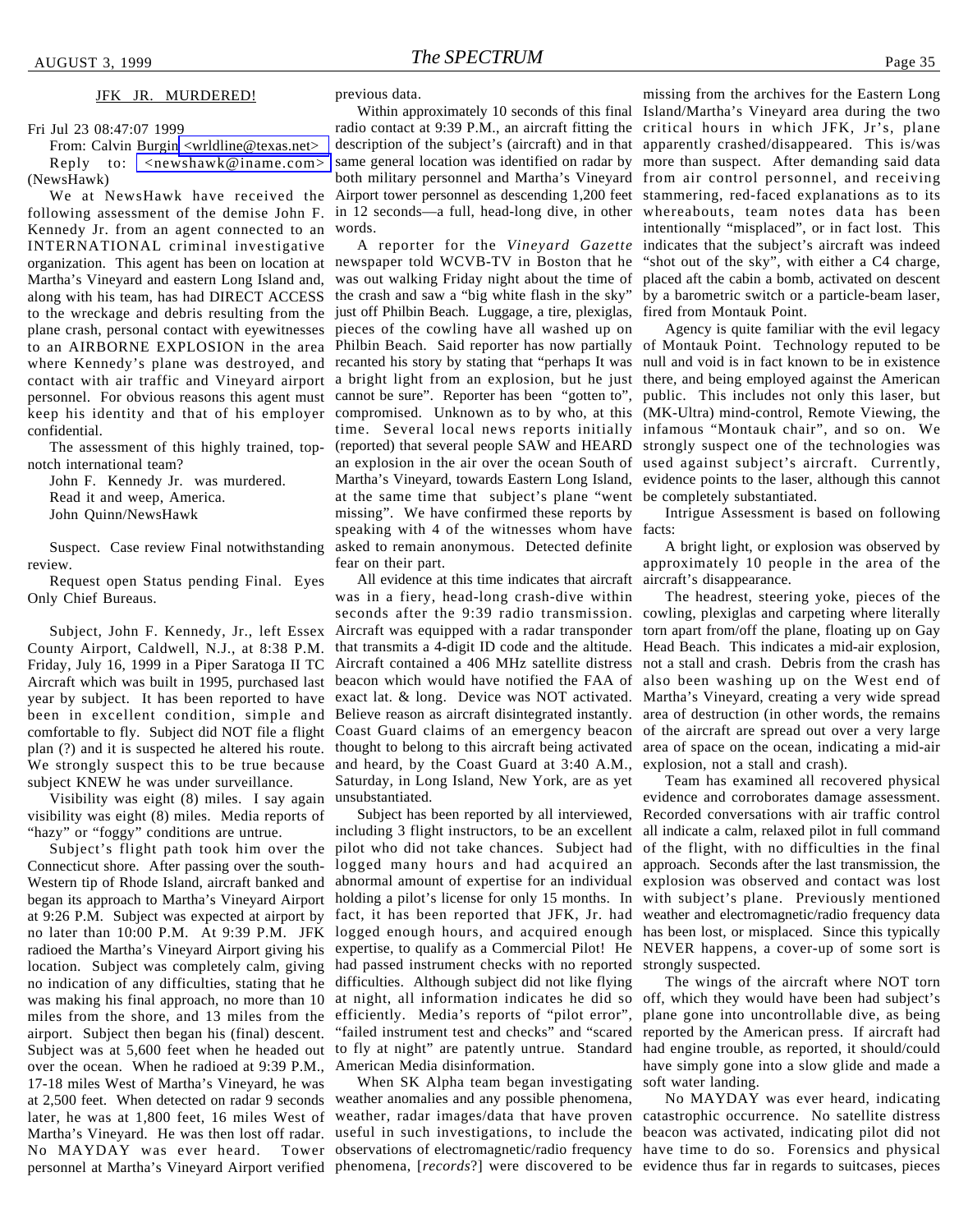Fri Jul 23 08:47:07 1999

From: Calvin Burgin [<wrldline@texas.net>](mailto:wrldline@texas.net) Reply to:  $\langle$ newshawk@iname.com> (NewsHawk)

We at NewsHawk have received the following assessment of the demise John F. Kennedy Jr. from an agent connected to an INTERNATIONAL criminal investigative organization. This agent has been on location at newspaper told WCVB-TV in Boston that he Martha's Vineyard and eastern Long Island and, along with his team, has had DIRECT ACCESS to the wreckage and debris resulting from the just off Philbin Beach. Luggage, a tire, plexiglas, plane crash, personal contact with eyewitnesses to an AIRBORNE EXPLOSION in the area Philbin Beach. Said reporter has now partially of Montauk Point. Technology reputed to be where Kennedy's plane was destroyed, and recanted his story by stating that "perhaps It was null and void is in fact known to be in existence contact with air traffic and Vineyard airport a bright light from an explosion, but he just there, and being employed against the American personnel. For obvious reasons this agent must cannot be sure". Reporter has been "gotten to", keep his identity and that of his employer compromised. Unknown as to by who, at this (MK-Ultra) mind-control, Remote Viewing, the confidential.

The assessment of this highly trained, topnotch international team?

John F. Kennedy Jr. was murdered. Read it and weep, America. John Quinn/NewsHawk

Suspect. Case review Final notwithstanding review.

Request open Status pending Final. Eyes Only Chief Bureaus.

Subject, John F. Kennedy, Jr., left Essex County Airport, Caldwell, N.J., at 8:38 P.M. Friday, July 16, 1999 in a Piper Saratoga II TC Aircraft which was built in 1995, purchased last year by subject. It has been reported to have been in excellent condition, simple and comfortable to fly. Subject did NOT file a flight plan (?) and it is suspected he altered his route. We strongly suspect this to be true because subject KNEW he was under surveillance.

Visibility was eight (8) miles. I say again visibility was eight (8) miles. Media reports of "hazy" or "foggy" conditions are untrue.

Subject's flight path took him over the Connecticut shore. After passing over the south-Western tip of Rhode Island, aircraft banked and began its approach to Martha's Vineyard Airport at 9:26 P.M. Subject was expected at airport by no later than 10:00 P.M. At 9:39 P.M. JFK radioed the Martha's Vineyard Airport giving his location. Subject was completely calm, giving no indication of any difficulties, stating that he was making his final approach, no more than 10 miles from the shore, and 13 miles from the airport. Subject then began his (final) descent. Subject was at 5,600 feet when he headed out to fly at night" are patently untrue. Standard over the ocean. When he radioed at 9:39 P.M., American Media disinformation. 17-18 miles West of Martha's Vineyard, he was at 2,500 feet. When detected on radar 9 seconds weather anomalies and any possible phenomena, later, he was at 1,800 feet, 16 miles West of weather, radar images/data that have proven Martha's Vineyard. He was then lost off radar. useful in such investigations, to include the beacon was activated, indicating pilot did not No MAYDAY was ever heard. Tower observations of electromagnetic/radio frequency have time to do so. Forensics and physical

previous data.

radio contact at 9:39 P.M., an aircraft fitting the critical hours in which JFK, Jr's, plane description of the subject's (aircraft) and in that same general location was identified on radar by both military personnel and Martha's Vineyard from air control personnel, and receiving Airport tower personnel as descending 1,200 feet stammering, red-faced explanations as to its in 12 seconds—a full, head-long dive, in other whereabouts, team notes data has been words.

A reporter for the *Vineyard Gazette* was out walking Friday night about the time of the crash and saw a "big white flash in the sky" pieces of the cowling have all washed up on at the same time that subject's plane "went be completely substantiated. missing". We have confirmed these reports by speaking with 4 of the witnesses whom have facts: asked to remain anonymous. Detected definite fear on their part.

All evidence at this time indicates that aircraft was in a fiery, head-long crash-dive within seconds after the 9:39 radio transmission. cowling, plexiglas and carpeting where literally Aircraft was equipped with a radar transponder torn apart from/off the plane, floating up on Gay that transmits a 4-digit ID code and the altitude. Head Beach. This indicates a mid-air explosion, Aircraft contained a 406 MHz satellite distress not a stall and crash. Debris from the crash has beacon which would have notified the FAA of also been washing up on the West end of exact lat. & long. Device was NOT activated. Martha's Vineyard, creating a very wide spread Believe reason as aircraft disintegrated instantly. area of destruction (in other words, the remains Coast Guard claims of an emergency beacon of the aircraft are spread out over a very large thought to belong to this aircraft being activated area of space on the ocean, indicating a mid-air and heard, by the Coast Guard at 3:40 A.M., Saturday, in Long Island, New York, are as yet unsubstantiated.

Subject has been reported by all interviewed, including 3 flight instructors, to be an excellent pilot who did not take chances. Subject had logged many hours and had acquired an abnormal amount of expertise for an individual holding a pilot's license for only 15 months. In fact, it has been reported that JFK, Jr. had logged enough hours, and acquired enough has been lost, or misplaced. Since this typically expertise, to qualify as a Commercial Pilot! He had passed instrument checks with no reported difficulties. Although subject did not like flying at night, all information indicates he did so off, which they would have been had subject's efficiently. Media's reports of "pilot error", "failed instrument test and checks" and "scared reported by the American press. If aircraft had

personnel at Martha's Vineyard Airport verified phenomena, [*records*?] were discovered to be evidence thus far in regards to suitcases, piecesWhen SK Alpha team began investigating

Within approximately 10 seconds of this final Island/Martha's Vineyard area during the two missing from the archives for the Eastern Long apparently crashed/disappeared. This is/was more than suspect. After demanding said data intentionally "misplaced", or in fact lost. This indicates that the subject's aircraft was indeed "shot out of the sky", with either a C4 charge, placed aft the cabin a bomb, activated on descent by a barometric switch or a particle-beam laser, fired from Montauk Point.

time. Several local news reports initially infamous "Montauk chair", and so on. We (reported) that several people SAW and HEARD strongly suspect one of the technologies was an explosion in the air over the ocean South of used against subject's aircraft. Currently, Martha's Vineyard, towards Eastern Long Island, evidence points to the laser, although this cannot Agency is quite familiar with the evil legacy public. This includes not only this laser, but

Intrigue Assessment is based on following

A bright light, or explosion was observed by approximately 10 people in the area of the aircraft's disappearance.

The headrest, steering yoke, pieces of the explosion, not a stall and crash).

Team has examined all recovered physical evidence and corroborates damage assessment. Recorded conversations with air traffic control all indicate a calm, relaxed pilot in full command of the flight, with no difficulties in the final approach. Seconds after the last transmission, the explosion was observed and contact was lost with subject's plane. Previously mentioned weather and electromagnetic/radio frequency data NEVER happens, a cover-up of some sort is strongly suspected.

The wings of the aircraft where NOT torn plane gone into uncontrollable dive, as being had engine trouble, as reported, it should/could have simply gone into a slow glide and made a soft water landing.

No MAYDAY was ever heard, indicating catastrophic occurrence. No satellite distress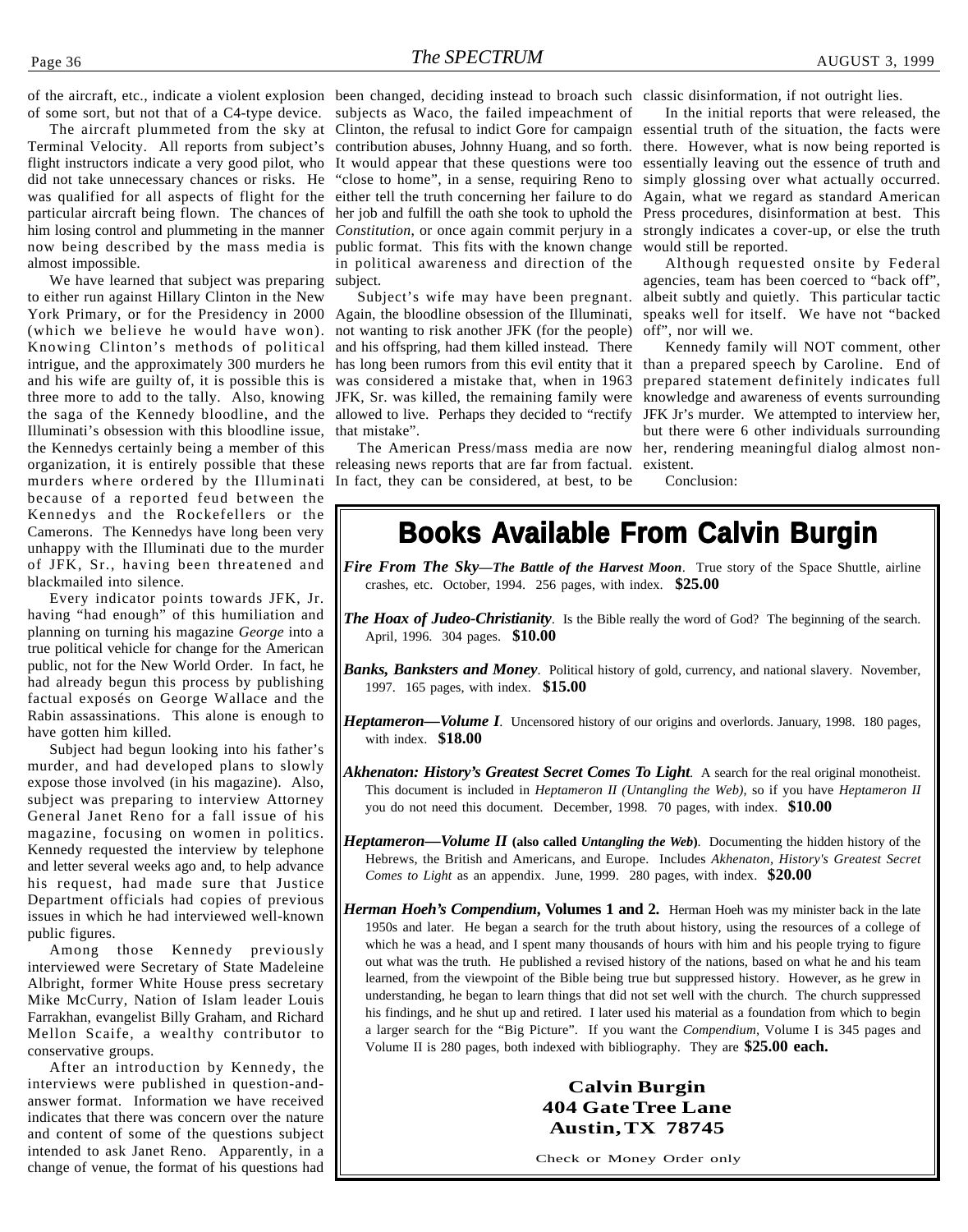of the aircraft, etc., indicate a violent explosion been changed, deciding instead to broach such classic disinformation, if not outright lies. of some sort, but not that of a C4-type device. subjects as Waco, the failed impeachment of

Terminal Velocity. All reports from subject's contribution abuses, Johnny Huang, and so forth. flight instructors indicate a very good pilot, who It would appear that these questions were too did not take unnecessary chances or risks. He "close to home", in a sense, requiring Reno to was qualified for all aspects of flight for the either tell the truth concerning her failure to do particular aircraft being flown. The chances of her job and fulfill the oath she took to uphold the him losing control and plummeting in the manner *Constitution*, or once again commit perjury in a now being described by the mass media is almost impossible.

We have learned that subject was preparing to either run against Hillary Clinton in the New York Primary, or for the Presidency in 2000 Again, the bloodline obsession of the Illuminati, (which we believe he would have won). not wanting to risk another JFK (for the people) Knowing Clinton's methods of political intrigue, and the approximately 300 murders he has long been rumors from this evil entity that it than a prepared speech by Caroline. End of and his wife are guilty of, it is possible this is was considered a mistake that, when in 1963 prepared statement definitely indicates full three more to add to the tally. Also, knowing JFK, Sr. was killed, the remaining family were knowledge and awareness of events surrounding the saga of the Kennedy bloodline, and the allowed to live. Perhaps they decided to "rectify JFK Jr's murder. We attempted to interview her, Illuminati's obsession with this bloodline issue, the Kennedys certainly being a member of this organization, it is entirely possible that these releasing news reports that are far from factual. murders where ordered by the Illuminati In fact, they can be considered, at best, to be because of a reported feud between the Kennedys and the Rockefellers or the Camerons. The Kennedys have long been very unhappy with the Illuminati due to the murder of JFK, Sr., having been threatened and blackmailed into silence.

Every indicator points towards JFK, Jr. having "had enough" of this humiliation and planning on turning his magazine *George* into a true political vehicle for change for the American public, not for the New World Order. In fact, he had already begun this process by publishing factual exposés on George Wallace and the Rabin assassinations. This alone is enough to have gotten him killed.

Subject had begun looking into his father's murder, and had developed plans to slowly expose those involved (in his magazine). Also, subject was preparing to interview Attorney General Janet Reno for a fall issue of his magazine, focusing on women in politics. Kennedy requested the interview by telephone and letter several weeks ago and, to help advance his request, had made sure that Justice Department officials had copies of previous issues in which he had interviewed well-known public figures.

Among those Kennedy previously interviewed were Secretary of State Madeleine Albright, former White House press secretary Mike McCurry, Nation of Islam leader Louis Farrakhan, evangelist Billy Graham, and Richard Mellon Scaife, a wealthy contributor to conservative groups.

After an introduction by Kennedy, the interviews were published in question-andanswer format. Information we have received indicates that there was concern over the nature and content of some of the questions subject intended to ask Janet Reno. Apparently, in a change of venue, the format of his questions had

public format. This fits with the known change in political awareness and direction of the subject.

Subject's wife may have been pregnant. and his offspring, had them killed instead. There that mistake".

The American Press/mass media are now

The aircraft plummeted from the sky at Clinton, the refusal to indict Gore for campaign essential truth of the situation, the facts were In the initial reports that were released, the there. However, what is now being reported is essentially leaving out the essence of truth and simply glossing over what actually occurred. Again, what we regard as standard American Press procedures, disinformation at best. This strongly indicates a cover-up, or else the truth would still be reported.

Although requested onsite by Federal agencies, team has been coerced to "back off", albeit subtly and quietly. This particular tactic speaks well for itself. We have not "backed off", nor will we.

Kennedy family will NOT comment, other but there were 6 other individuals surrounding her, rendering meaningful dialog almost nonexistent.

Conclusion:

### **Books Available From Calvin Burgin**

*Fire From The Sky—The Battle of the Harvest Moon.* True story of the Space Shuttle, airline crashes, etc. October, 1994. 256 pages, with index. **\$25.00**

- *The Hoax of Judeo-Christianity*. Is the Bible really the word of God? The beginning of the search. April, 1996. 304 pages. **\$10.00**
- *Banks, Banksters and Money*. Political history of gold, currency, and national slavery. November, 1997. 165 pages, with index. **\$15.00**
- *Heptameron—Volume I.* Uncensored history of our origins and overlords. January, 1998. 180 pages, with index. **\$18.00**
- *Akhenaton: History's Greatest Secret Comes To Light*. A search for the real original monotheist. This document is included in *Heptameron II (Untangling the Web)*, so if you have *Heptameron II* you do not need this document. December, 1998. 70 pages, with index. **\$10.00**
- *Heptameron—Volume II* **(also called** *Untangling the Web***)**. Documenting the hidden history of the Hebrews, the British and Americans, and Europe. Includes *Akhenaton, History's Greatest Secret Comes to Light* as an appendix. June, 1999. 280 pages, with index. **\$20.00**
- *Herman Hoeh's Compendium*, Volumes 1 and 2. Herman Hoeh was my minister back in the late 1950s and later. He began a search for the truth about history, using the resources of a college of which he was a head, and I spent many thousands of hours with him and his people trying to figure out what was the truth. He published a revised history of the nations, based on what he and his team learned, from the viewpoint of the Bible being true but suppressed history. However, as he grew in understanding, he began to learn things that did not set well with the church. The church suppressed his findings, and he shut up and retired. I later used his material as a foundation from which to begin a larger search for the "Big Picture". If you want the *Compendium*, Volume I is 345 pages and Volume II is 280 pages, both indexed with bibliography. They are **\$25.00 each.**

#### **Calvin Burgin 404 Gate Tree Lane Austin, TX 78745**

Check or Money Order only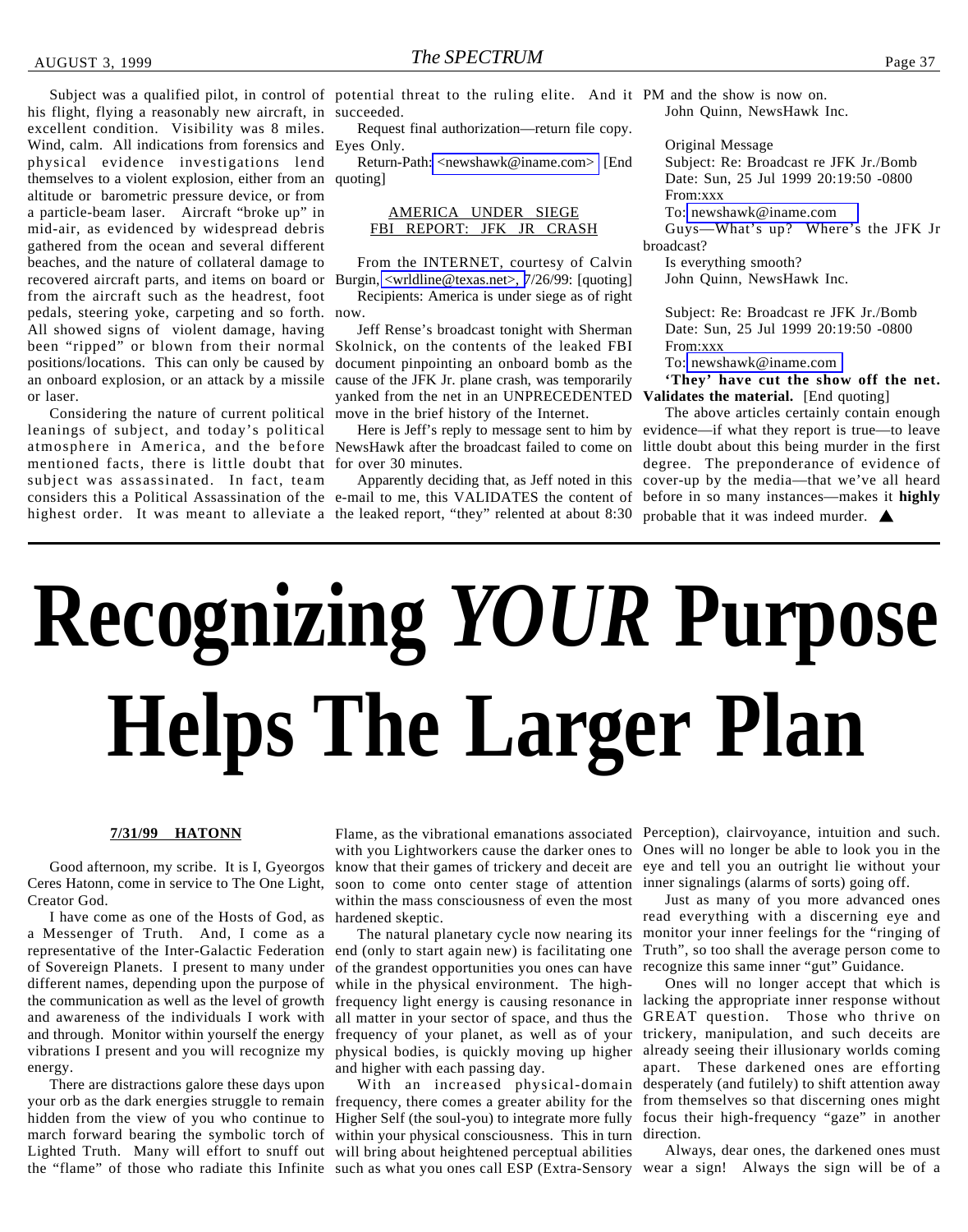<span id="page-36-0"></span>Subject was a qualified pilot, in control of potential threat to the ruling elite. And it PM and the show is now on. his flight, flying a reasonably new aircraft, in succeeded. excellent condition. Visibility was 8 miles. Wind, calm. All indications from forensics and Eyes Only. physical evidence investigations lend themselves to a violent explosion, either from an altitude or barometric pressure device, or from a particle-beam laser. Aircraft "broke up" in mid-air, as evidenced by widespread debris gathered from the ocean and several different beaches, and the nature of collateral damage to recovered aircraft parts, and items on board or from the aircraft such as the headrest, foot pedals, steering yoke, carpeting and so forth. now. All showed signs of violent damage, having been "ripped" or blown from their normal Skolnick, on the contents of the leaked FBI positions/locations. This can only be caused by document pinpointing an onboard bomb as the an onboard explosion, or an attack by a missile or laser.

Considering the nature of current political leanings of subject, and today's political atmosphere in America, and the before NewsHawk after the broadcast failed to come on little doubt about this being murder in the first mentioned facts, there is little doubt that for over 30 minutes. subject was assassinated. In fact, team considers this a Political Assassination of the e-mail to me, this VALIDATES the content of

Request final authorization—return file copy.

Return-Path[: <newshawk@iname.com>](mailto:newshawk@iname.com) [End] quoting]

#### AMERICA UNDER SIEGE FBI REPORT: JFK JR CRASH

From the INTERNET, courtesy of Calvin Burgin, [<wrldline@texas.net>, 7](mailto:wrldline@texas.net)/26/99: [quoting]

Recipients: America is under siege as of right

Jeff Rense's broadcast tonight with Sherman cause of the JFK Jr. plane crash, was temporarily yanked from the net in an UNPRECEDENTED move in the brief history of the Internet.

highest order. It was meant to alleviate a the leaked report, "they" relented at about 8:30 probable that it was indeed murder.

John Quinn, NewsHawk Inc.

Original Message

Subject: Re: Broadcast re JFK Jr./Bomb Date: Sun, 25 Jul 1999 20:19:50 -0800

From:xxx

To: [newshawk@iname.com](mailto:newshawk@iname.com)

Guys—What's up? Where's the JFK Jr broadcast?

Is everything smooth? John Quinn, NewsHawk Inc.

Subject: Re: Broadcast re JFK Jr./Bomb Date: Sun, 25 Jul 1999 20:19:50 -0800 From:xxx

To: [newshawk@iname.com](mailto:newshawk@iname.com)

**'They' have cut the show off the net. Validates the material.** [End quoting]

Here is Jeff's reply to message sent to him by evidence—if what they report is true—to leave Apparently deciding that, as Jeff noted in this cover-up by the media—that we've all heard The above articles certainly contain enough degree. The preponderance of evidence of before in so many instances—makes it **highly**

# **Recognizing** *YOUR* **Purpose Helps The Larger Plan**

#### **7/31/99 HATONN**

Good afternoon, my scribe. It is I, Gyeorgos Ceres Hatonn, come in service to The One Light, Creator God.

I have come as one of the Hosts of God, as a Messenger of Truth. And, I come as a representative of the Inter-Galactic Federation of Sovereign Planets. I present to many under different names, depending upon the purpose of the communication as well as the level of growth and awareness of the individuals I work with and through. Monitor within yourself the energy vibrations I present and you will recognize my energy.

There are distractions galore these days upon your orb as the dark energies struggle to remain frequency, there comes a greater ability for the from themselves so that discerning ones might hidden from the view of you who continue to Higher Self (the soul-you) to integrate more fully focus their high-frequency "gaze" in another march forward bearing the symbolic torch of within your physical consciousness. This in turn direction. Lighted Truth. Many will effort to snuff out will bring about heightened perceptual abilities the "flame" of those who radiate this Infinite such as what you ones call ESP (Extra-Sensory wear a sign! Always the sign will be of a

soon to come onto center stage of attention within the mass consciousness of even the most hardened skeptic.

The natural planetary cycle now nearing its end (only to start again new) is facilitating one of the grandest opportunities you ones can have while in the physical environment. The highfrequency light energy is causing resonance in all matter in your sector of space, and thus the frequency of your planet, as well as of your physical bodies, is quickly moving up higher and higher with each passing day.

With an increased physical-domain

Flame, as the vibrational emanations associated Perception), clairvoyance, intuition and such. with you Lightworkers cause the darker ones to Ones will no longer be able to look you in the know that their games of trickery and deceit are eye and tell you an outright lie without your inner signalings (alarms of sorts) going off.

> Just as many of you more advanced ones read everything with a discerning eye and monitor your inner feelings for the "ringing of Truth", so too shall the average person come to recognize this same inner "gut" Guidance.

> Ones will no longer accept that which is lacking the appropriate inner response without GREAT question. Those who thrive on trickery, manipulation, and such deceits are already seeing their illusionary worlds coming apart. These darkened ones are efforting desperately (and futilely) to shift attention away

> Always, dear ones, the darkened ones must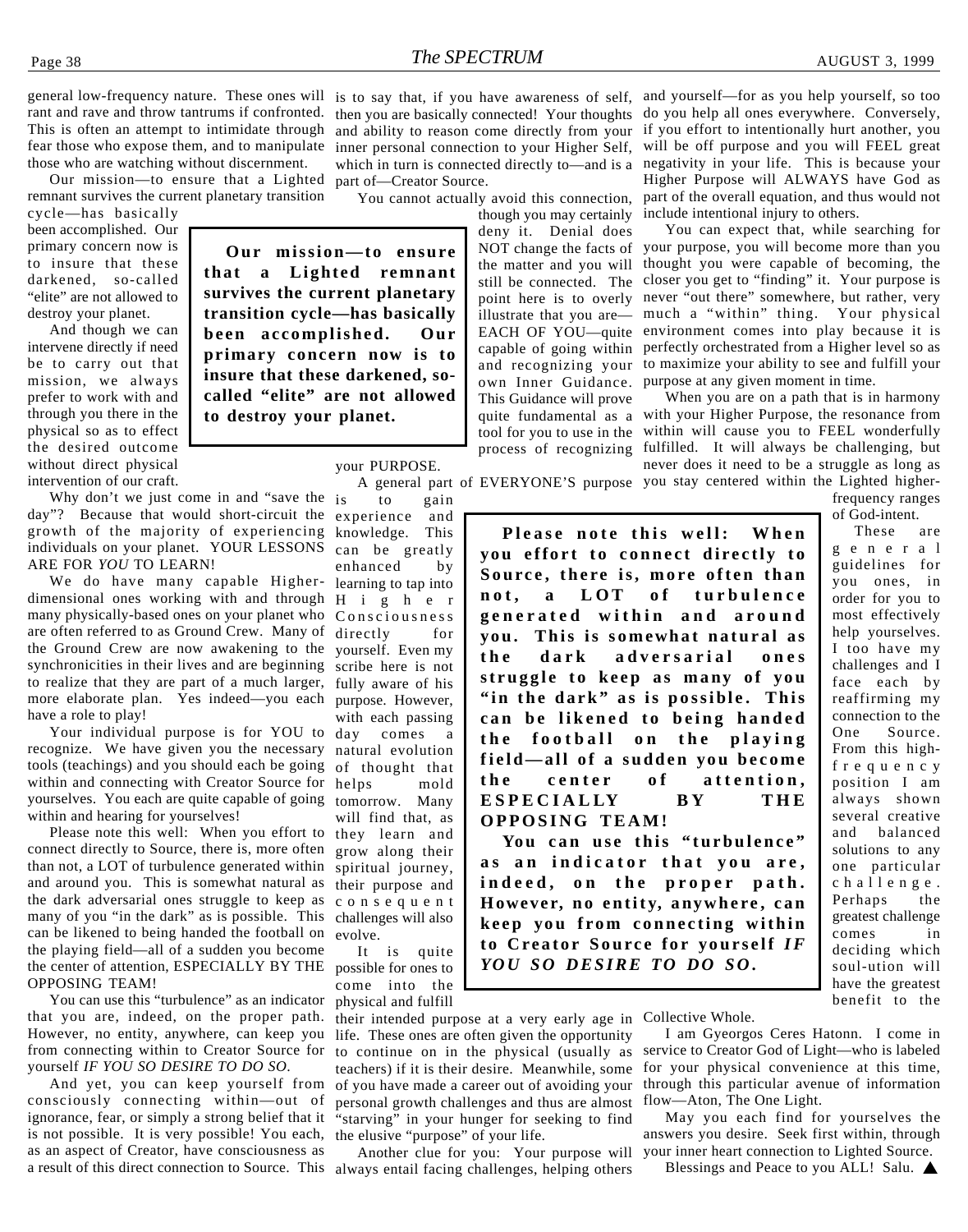rant and rave and throw tantrums if confronted. then you are basically connected! Your thoughts do you help all ones everywhere. Conversely, This is often an attempt to intimidate through and ability to reason come directly from your if you effort to intentionally hurt another, you fear those who expose them, and to manipulate those who are watching without discernment.

Our mission—to ensure that a Lighted remnant survives the current planetary transition

cycle—has basically been accomplished. Our primary concern now is to insure that these darkened, so-called "elite" are not allowed to destroy your planet.

And though we can intervene directly if need be to carry out that mission, we always prefer to work with and through you there in the physical so as to effect the desired outcome without direct physical intervention of our craft.

Why don't we just come in and "save the is day"? Because that would short-circuit the experience and growth of the majority of experiencing knowledge. This individuals on your planet. YOUR LESSONS ARE FOR *YOU* TO LEARN!

We do have many capable Higher-learning to tap into dimensional ones working with and through H i g h e r many physically-based ones on your planet who Consciousness are often referred to as Ground Crew. Many of the Ground Crew are now awakening to the synchronicities in their lives and are beginning to realize that they are part of a much larger, fully aware of his more elaborate plan. Yes indeed—you each have a role to play!

Your individual purpose is for YOU to day comes a recognize. We have given you the necessary natural evolution tools (teachings) and you should each be going of thought that within and connecting with Creator Source for helps mold yourselves. You each are quite capable of going tomorrow. Many within and hearing for yourselves!

Please note this well: When you effort to they learn and connect directly to Source, there is, more often grow along their than not, a LOT of turbulence generated within spiritual journey, and around you. This is somewhat natural as their purpose and the dark adversarial ones struggle to keep as consequent many of you "in the dark" as is possible. This challenges will also can be likened to being handed the football on evolve. the playing field—all of a sudden you become the center of attention, ESPECIALLY BY THE OPPOSING TEAM!

You can use this "turbulence" as an indicator that you are, indeed, on the proper path. However, no entity, anywhere, can keep you from connecting within to Creator Source for yourself *IF YOU SO DESIRE TO DO SO*.

And yet, you can keep yourself from consciously connecting within—out of ignorance, fear, or simply a strong belief that it is not possible. It is very possible! You each, as an aspect of Creator, have consciousness as

which in turn is connected directly to—and is a part of—Creator Source.

You cannot actually avoid this connection, though you may certainly

deny it. Denial does This Guidance will prove **Our mission—to ensure that a Lighted remnant survives the current planetary transition cycle—has basically been accomplished. Our primary concern now is to insure that these darkened, socalled "elite" are not allowed to destroy your planet.**

your PURPOSE.

to gain can be greatly enhanced by directly for yourself. Even my scribe here is not purpose. However, with each passing will find that, as

It is quite possible for ones to come into the physical and fulfill

their intended purpose at a very early age in Collective Whole. life. These ones are often given the opportunity to continue on in the physical (usually as personal growth challenges and thus are almost "starving" in your hunger for seeking to find the elusive "purpose" of your life.

a result of this direct connection to Source. This always entail facing challenges, helping others Another clue for you: Your purpose will

general low-frequency nature. These ones will is to say that, if you have awareness of self, and yourself—for as you help yourself, so too inner personal connection to your Higher Self, will be off purpose and you will FEEL great negativity in your life. This is because your Higher Purpose will ALWAYS have God as part of the overall equation, and thus would not include intentional injury to others.

> NOT change the facts of your purpose, you will become more than you the matter and you will thought you were capable of becoming, the still be connected. The closer you get to "finding" it. Your purpose is point here is to overly never "out there" somewhere, but rather, very illustrate that you are— much a "within" thing. Your physical EACH OF YOU—quite environment comes into play because it is capable of going within perfectly orchestrated from a Higher level so as and recognizing your to maximize your ability to see and fulfill your own Inner Guidance. purpose at any given moment in time. You can expect that, while searching for

> quite fundamental as a with your Higher Purpose, the resonance from tool for you to use in the within will cause you to FEEL wonderfully process of recognizing fulfilled. It will always be challenging, but When you are on a path that is in harmony never does it need to be a struggle as long as

A general part of EVERYONE'S purpose you stay centered within the Lighted higher-

Please note this well: When **you effort to connect directly to Source, there is, more often than not, a LOT of turbulence generated within and around** you. This is somewhat natural as **the dark adversarial ones struggle to keep as many of you** "in the dark" as is possible. This **can be likened to being handed the football on the playing field—all of a sudden you become the center of attention,** E SPECIALLY BY THE **OPPOSING TEAM!**

You can use this "turbulence" **as an indicator that you are, indeed, on the proper path. However, no entity, anywhere, can keep you from connecting within** to Creator Source for yourself IF *YOU SO DESIRE TO DO SO* **.**

These are general guidelines for you ones, in order for you to most effectively help yourselves. I too have my challenges and I face each by reaffirming my connection to the One Source. From this highfrequency position I am always shown several creative and balanced solutions to any one particular challenge. Perhaps the greatest challenge comes in deciding which soul-ution will have the greatest benefit to the

frequency ranges of God-intent.

teachers) if it is their desire. Meanwhile, some for your physical convenience at this time, of you have made a career out of avoiding your through this particular avenue of information I am Gyeorgos Ceres Hatonn. I come in service to Creator God of Light—who is labeled flow—Aton, The One Light.

> May you each find for yourselves the answers you desire. Seek first within, through your inner heart connection to Lighted Source.

Blessings and Peace to you ALL! Salu.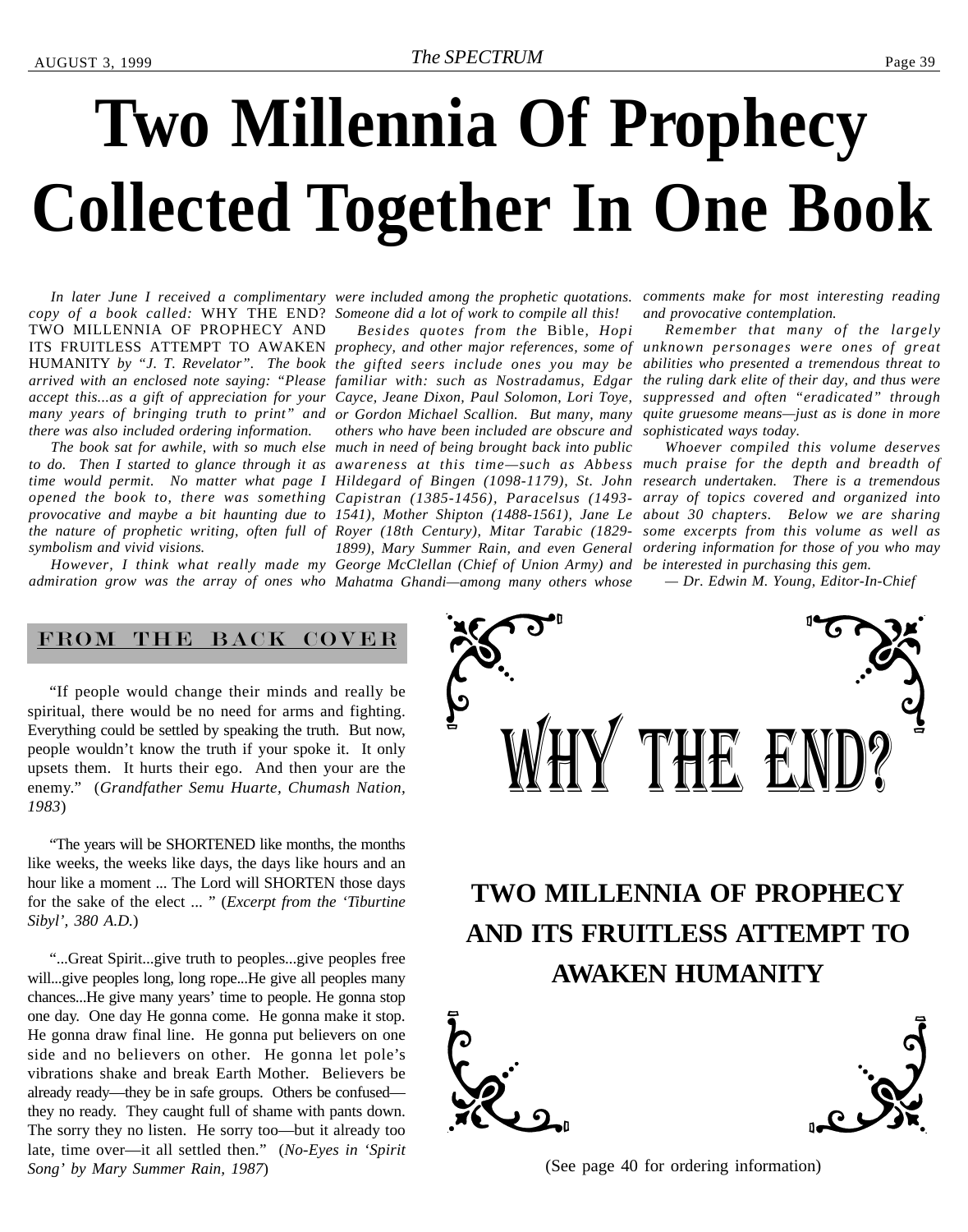## <span id="page-38-0"></span>**Two Millennia Of Prophecy Collected Together In One Book**

*copy of a book called:* WHY THE END? *Someone did a lot of work to compile all this!* TWO MILLENNIA OF PROPHECY AND ITS FRUITLESS ATTEMPT TO AWAKEN *prophecy, and other major references, some of unknown personages were ones of great* HUMANITY *by "J. T. Revelator". The book the gifted seers include ones you may be abilities who presented a tremendous threat to arrived with an enclosed note saying: "Please familiar with: such as Nostradamus, Edgar the ruling dark elite of their day, and thus were accept this...as a gift of appreciation for your Cayce, Jeane Dixon, Paul Solomon, Lori Toye, suppressed and often "eradicated" through many years of bringing truth to print" and or Gordon Michael Scallion. But many, many quite gruesome means—just as is done in more there was also included ordering information.*

*symbolism and vivid visions.*

*admiration grow was the array of ones who Mahatma Ghandi—among many others whose*

*However, I think what really made my George McClellan (Chief of Union Army) and be interested in purchasing this gem.*

#### FROM THE BACK COVER

"If people would change their minds and really be spiritual, there would be no need for arms and fighting. Everything could be settled by speaking the truth. But now, people wouldn't know the truth if your spoke it. It only upsets them. It hurts their ego. And then your are the enemy." (*Grandfather Semu Huarte, Chumash Nation, 1983*)

"The years will be SHORTENED like months, the months like weeks, the weeks like days, the days like hours and an hour like a moment ... The Lord will SHORTEN those days for the sake of the elect ... " (*Excerpt from the 'Tiburtine Sibyl', 380 A.D.*)

"...Great Spirit...give truth to peoples...give peoples free will...give peoples long, long rope...He give all peoples many chances...He give many years' time to people. He gonna stop one day. One day He gonna come. He gonna make it stop. He gonna draw final line. He gonna put believers on one side and no believers on other. He gonna let pole's vibrations shake and break Earth Mother. Believers be already ready—they be in safe groups. Others be confused they no ready. They caught full of shame with pants down. The sorry they no listen. He sorry too—but it already too late, time over—it all settled then." (*No-Eyes in 'Spirit Song' by Mary Summer Rain, 1987*)

*The book sat for awhile, with so much else much in need of being brought back into public Besides quotes from the* Bible*, Hopi others who have been included are obscure and sophisticated ways today.*

In later June I received a complimentary were included among the prophetic quotations. comments make for most interesting reading *and provocative contemplation.*

*Remember that many of the largely*

*to do. Then I started to glance through it as awareness at this time—such as Abbess much praise for the depth and breadth of time would permit. No matter what page I Hildegard of Bingen (1098-1179), St. John research undertaken. There is a tremendous opened the book to, there was something Capistran (1385-1456), Paracelsus (1493- array of topics covered and organized into provocative and maybe a bit haunting due to 1541), Mother Shipton (1488-1561), Jane Le about 30 chapters. Below we are sharing the nature of prophetic writing, often full of Royer (18th Century), Mitar Tarabic (1829- some excerpts from this volume as well as* 1899), Mary Summer Rain, and even General ordering information for those of you who may *Whoever compiled this volume deserves*

*— Dr. Edwin M. Young, Editor-In-Chief*



### **TWO MILLENNIA OF PROPHECY AND ITS FRUITLESS ATTEMPT TO AWAKEN HUMANITY**





(See page 40 for ordering information)